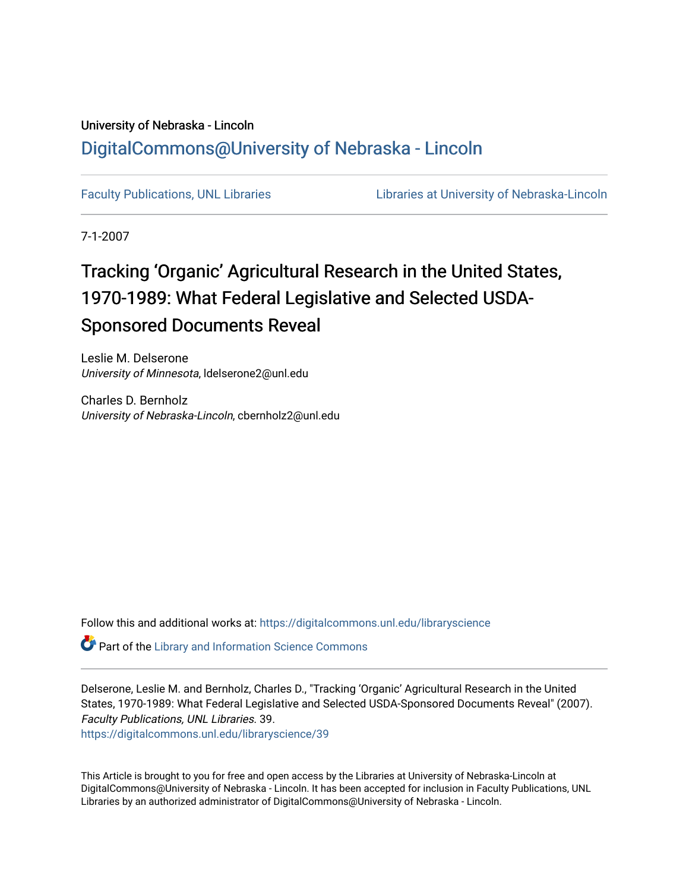## University of Nebraska - Lincoln [DigitalCommons@University of Nebraska - Lincoln](https://digitalcommons.unl.edu/)

[Faculty Publications, UNL Libraries](https://digitalcommons.unl.edu/libraryscience) **Libraries Libraries at University of Nebraska-Lincoln** 

7-1-2007

# Tracking 'Organic' Agricultural Research in the United States, 1970-1989: What Federal Legislative and Selected USDA-Sponsored Documents Reveal

Leslie M. Delserone University of Minnesota, ldelserone2@unl.edu

Charles D. Bernholz University of Nebraska-Lincoln, cbernholz2@unl.edu

Follow this and additional works at: [https://digitalcommons.unl.edu/libraryscience](https://digitalcommons.unl.edu/libraryscience?utm_source=digitalcommons.unl.edu%2Flibraryscience%2F39&utm_medium=PDF&utm_campaign=PDFCoverPages)

**Part of the Library and Information Science Commons** 

Delserone, Leslie M. and Bernholz, Charles D., "Tracking 'Organic' Agricultural Research in the United States, 1970-1989: What Federal Legislative and Selected USDA-Sponsored Documents Reveal" (2007). Faculty Publications, UNL Libraries. 39.

[https://digitalcommons.unl.edu/libraryscience/39](https://digitalcommons.unl.edu/libraryscience/39?utm_source=digitalcommons.unl.edu%2Flibraryscience%2F39&utm_medium=PDF&utm_campaign=PDFCoverPages) 

This Article is brought to you for free and open access by the Libraries at University of Nebraska-Lincoln at DigitalCommons@University of Nebraska - Lincoln. It has been accepted for inclusion in Faculty Publications, UNL Libraries by an authorized administrator of DigitalCommons@University of Nebraska - Lincoln.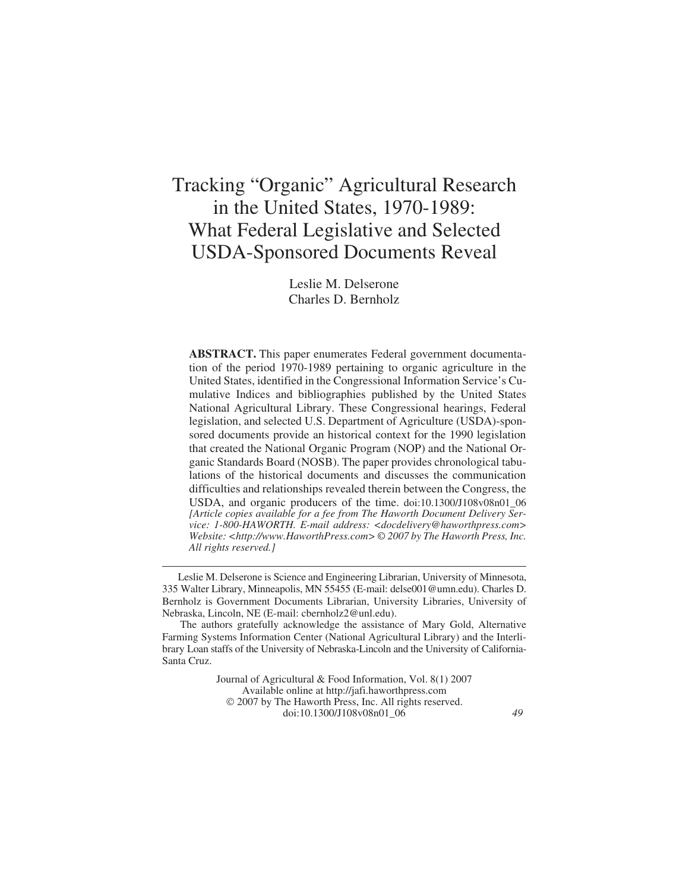## Tracking "Organic" Agricultural Research in the United States, 1970-1989: What Federal Legislative and Selected USDA-Sponsored Documents Reveal

Leslie M. Delserone Charles D. Bernholz

**ABSTRACT.** This paper enumerates Federal government documentation of the period 1970-1989 pertaining to organic agriculture in the United States, identified in the Congressional Information Service's Cumulative Indices and bibliographies published by the United States National Agricultural Library. These Congressional hearings, Federal legislation, and selected U.S. Department of Agriculture (USDA)-sponsored documents provide an historical context for the 1990 legislation that created the National Organic Program (NOP) and the National Organic Standards Board (NOSB). The paper provides chronological tabulations of the historical documents and discusses the communication difficulties and relationships revealed therein between the Congress, the USDA, and organic producers of the time. doi:10.1300/J108v08n01\_06 *[Article copies available for a fee from The Haworth Document Delivery Service: 1-800-HAWORTH. E-mail address: <[docdelivery@haworthpress.com>](mailto:docdelivery@haworthpress.com) Website: <[http://www.HaworthPress.com>](http://www.HaworthPress.com) © 2007 by The Haworth Press, Inc. All rights reserved.]*

Journal of Agricultural & Food Information, Vol. 8(1) 2007 Available online at <http://jafi.haworthpress.com> © 2007 by The Haworth Press, Inc. All rights reserved. doi:10.1300/J108v08n01\_06 *49*

Leslie M. Delserone is Science and Engineering Librarian, University of Minnesota, 335 Walter Library, Minneapolis, MN 55455 (E-mail: [delse001@umn.edu\). Ch](mailto:delse001@umn.edu)arles D. Bernholz is Government Documents Librarian, University Libraries, University of Nebraska, Lincoln, NE (E-mail: [cbernholz2@unl.edu\).](mailto:cbernholz2@unl.edu)

The authors gratefully acknowledge the assistance of Mary Gold, Alternative Farming Systems Information Center (National Agricultural Library) and the Interlibrary Loan staffs of the University of Nebraska-Lincoln and the University of California-Santa Cruz.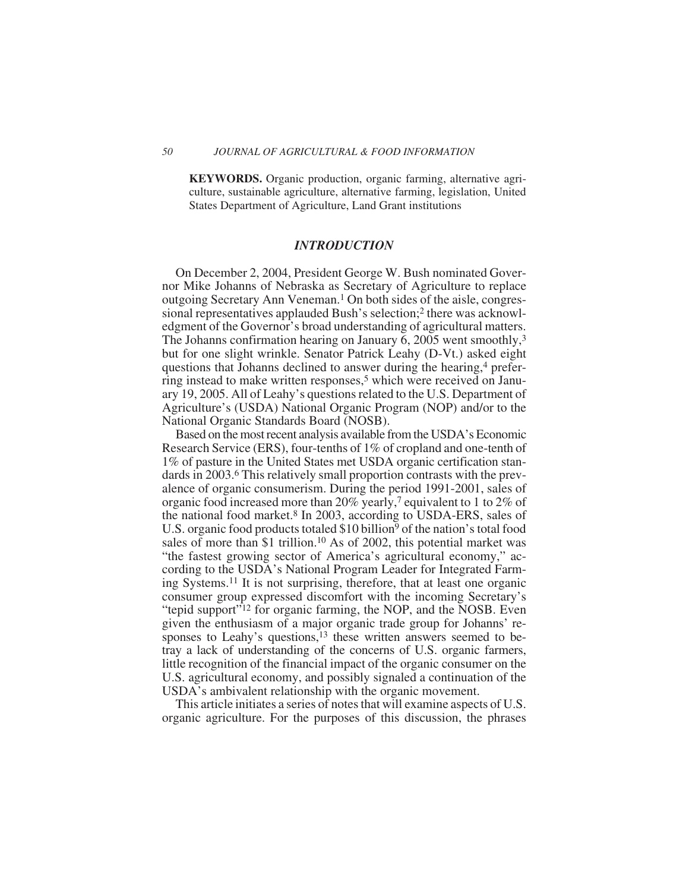**KEYWORDS.** Organic production, organic farming, alternative agriculture, sustainable agriculture, alternative farming, legislation, United States Department of Agriculture, Land Grant institutions

#### *INTRODUCTION*

On December 2, 2004, President George W. Bush nominated Governor Mike Johanns of Nebraska as Secretary of Agriculture to replace outgoing Secretary Ann Veneman.1 On both sides of the aisle, congressional representatives applauded Bush's selection;2 there was acknowledgment of the Governor's broad understanding of agricultural matters. The Johanns confirmation hearing on January 6, 2005 went smoothly,<sup>3</sup> but for one slight wrinkle. Senator Patrick Leahy (D-Vt.) asked eight questions that Johanns declined to answer during the hearing,4 preferring instead to make written responses,<sup>5</sup> which were received on January 19, 2005. All of Leahy's questions related to the U.S. Department of Agriculture's (USDA) National Organic Program (NOP) and/or to the National Organic Standards Board (NOSB).

Based on the most recent analysis available from the USDA's Economic Research Service (ERS), four-tenths of 1% of cropland and one-tenth of 1% of pasture in the United States met USDA organic certification standards in 2003.6 This relatively small proportion contrasts with the prevalence of organic consumerism. During the period 1991-2001, sales of organic food increased more than 20% yearly,<sup>7</sup> equivalent to 1 to 2% of the national food market.8 In 2003, according to USDA-ERS, sales of U.S. organic food products totaled \$10 billion<sup>9</sup> of the nation's total food sales of more than \$1 trillion.<sup>10</sup> As of 2002, this potential market was "the fastest growing sector of America's agricultural economy," according to the USDA's National Program Leader for Integrated Farming Systems.11 It is not surprising, therefore, that at least one organic consumer group expressed discomfort with the incoming Secretary's "tepid support"<sup>12</sup> for organic farming, the NOP, and the NOSB. Even given the enthusiasm of a major organic trade group for Johanns' responses to Leahy's questions,<sup>13</sup> these written answers seemed to betray a lack of understanding of the concerns of U.S. organic farmers, little recognition of the financial impact of the organic consumer on the U.S. agricultural economy, and possibly signaled a continuation of the USDA's ambivalent relationship with the organic movement.

This article initiates a series of notes that will examine aspects of U.S. organic agriculture. For the purposes of this discussion, the phrases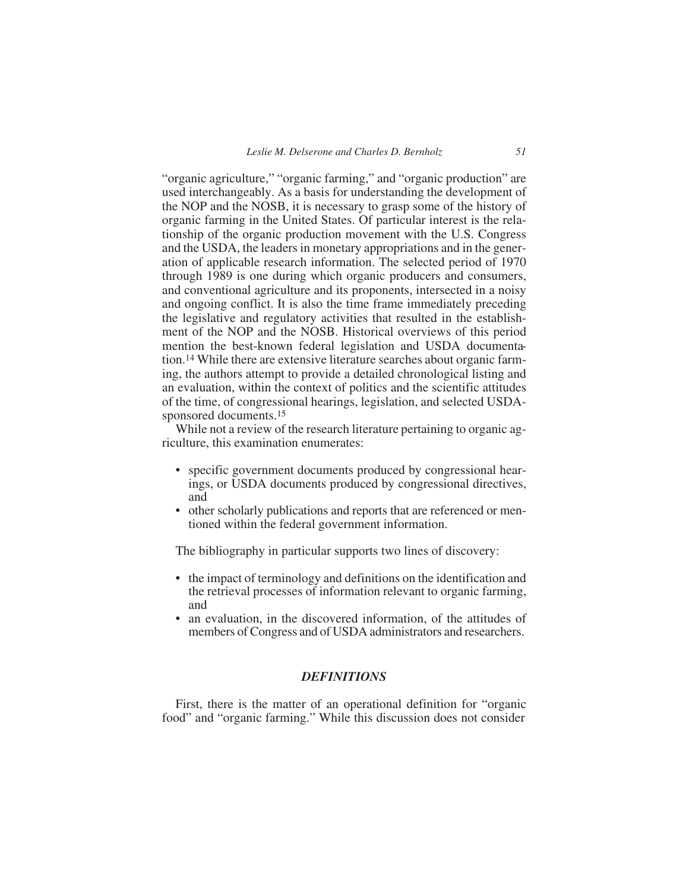"organic agriculture," "organic farming," and "organic production" are used interchangeably. As a basis for understanding the development of the NOP and the NOSB, it is necessary to grasp some of the history of organic farming in the United States. Of particular interest is the relationship of the organic production movement with the U.S. Congress and the USDA, the leaders in monetary appropriations and in the generation of applicable research information. The selected period of 1970 through 1989 is one during which organic producers and consumers, and conventional agriculture and its proponents, intersected in a noisy and ongoing conflict. It is also the time frame immediately preceding the legislative and regulatory activities that resulted in the establishment of the NOP and the NOSB. Historical overviews of this period mention the best-known federal legislation and USDA documentation.14 While there are extensive literature searches about organic farming, the authors attempt to provide a detailed chronological listing and an evaluation, within the context of politics and the scientific attitudes of the time, of congressional hearings, legislation, and selected USDAsponsored documents.15

While not a review of the research literature pertaining to organic agriculture, this examination enumerates:

- specific government documents produced by congressional hearings, or USDA documents produced by congressional directives, and
- other scholarly publications and reports that are referenced or mentioned within the federal government information.

The bibliography in particular supports two lines of discovery:

- the impact of terminology and definitions on the identification and the retrieval processes of information relevant to organic farming, and
- an evaluation, in the discovered information, of the attitudes of members of Congress and of USDA administrators and researchers.

#### *DEFINITIONS*

First, there is the matter of an operational definition for "organic food" and "organic farming." While this discussion does not consider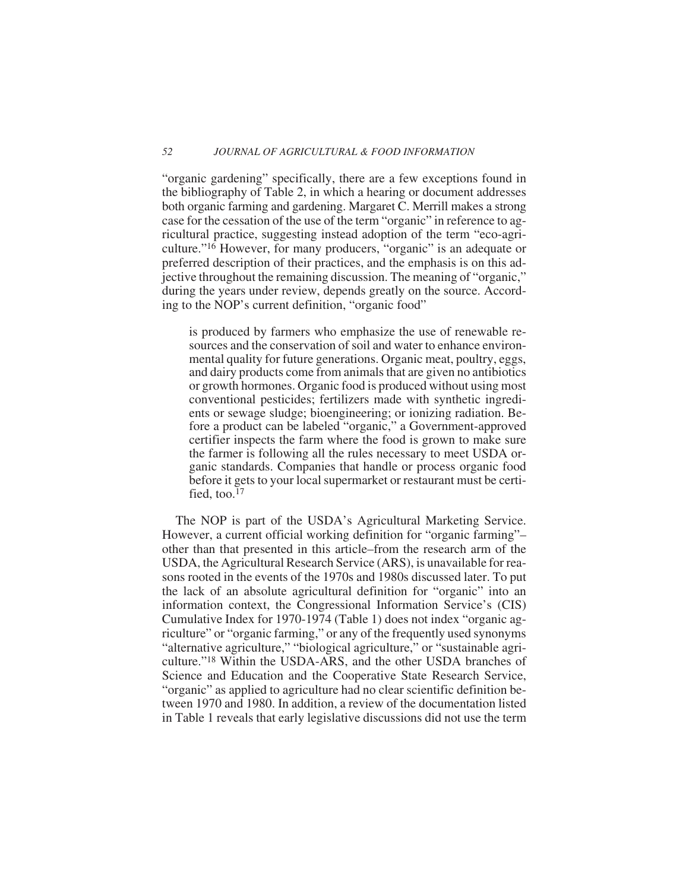"organic gardening" specifically, there are a few exceptions found in the bibliography of Table 2, in which a hearing or document addresses both organic farming and gardening. Margaret C. Merrill makes a strong case for the cessation of the use of the term "organic" in reference to agricultural practice, suggesting instead adoption of the term "eco-agriculture."16 However, for many producers, "organic" is an adequate or preferred description of their practices, and the emphasis is on this adjective throughout the remaining discussion. The meaning of "organic," during the years under review, depends greatly on the source. According to the NOP's current definition, "organic food"

is produced by farmers who emphasize the use of renewable resources and the conservation of soil and water to enhance environmental quality for future generations. Organic meat, poultry, eggs, and dairy products come from animals that are given no antibiotics or growth hormones. Organic food is produced without using most conventional pesticides; fertilizers made with synthetic ingredients or sewage sludge; bioengineering; or ionizing radiation. Before a product can be labeled "organic," a Government-approved certifier inspects the farm where the food is grown to make sure the farmer is following all the rules necessary to meet USDA organic standards. Companies that handle or process organic food before it gets to your local supermarket or restaurant must be certified, too.<sup>17</sup>

The NOP is part of the USDA's Agricultural Marketing Service. However, a current official working definition for "organic farming"– other than that presented in this article–from the research arm of the USDA, the Agricultural Research Service (ARS), is unavailable for reasons rooted in the events of the 1970s and 1980s discussed later. To put the lack of an absolute agricultural definition for "organic" into an information context, the Congressional Information Service's (CIS) Cumulative Index for 1970-1974 (Table 1) does not index "organic agriculture" or "organic farming," or any of the frequently used synonyms "alternative agriculture," "biological agriculture," or "sustainable agriculture."18 Within the USDA-ARS, and the other USDA branches of Science and Education and the Cooperative State Research Service, "organic" as applied to agriculture had no clear scientific definition between 1970 and 1980. In addition, a review of the documentation listed in Table 1 reveals that early legislative discussions did not use the term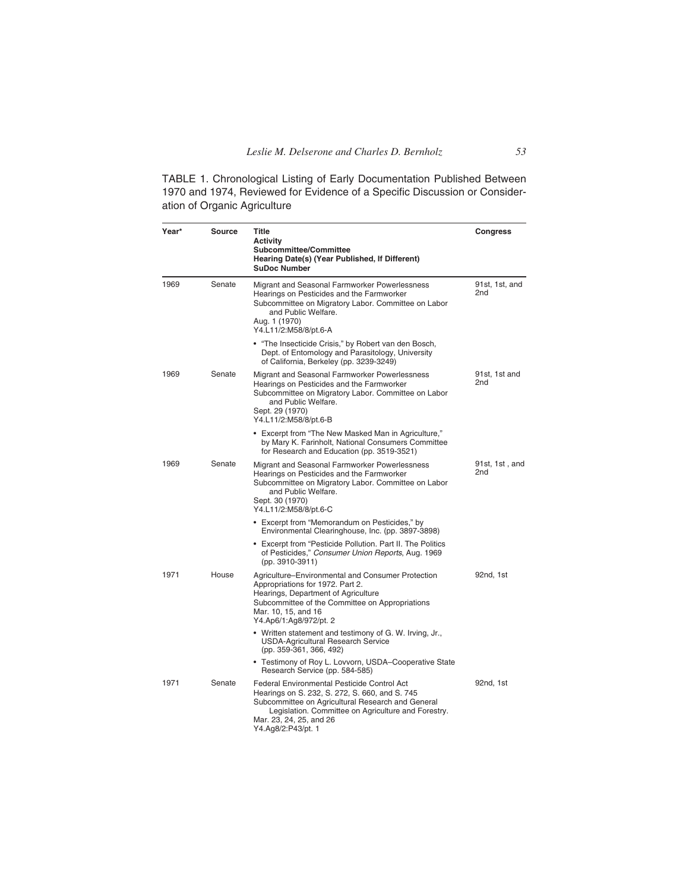TABLE 1. Chronological Listing of Early Documentation Published Between 1970 and 1974, Reviewed for Evidence of a Specific Discussion or Consideration of Organic Agriculture

| Year* | Source | Title<br><b>Activity</b><br>Subcommittee/Committee<br>Hearing Date(s) (Year Published, If Different)<br><b>SuDoc Number</b>                                                                                                                                | Congress              |
|-------|--------|------------------------------------------------------------------------------------------------------------------------------------------------------------------------------------------------------------------------------------------------------------|-----------------------|
| 1969  | Senate | Migrant and Seasonal Farmworker Powerlessness<br>Hearings on Pesticides and the Farmworker<br>Subcommittee on Migratory Labor. Committee on Labor<br>and Public Welfare.<br>Aug. 1 (1970)<br>Y4.L11/2:M58/8/pt.6-A                                         | 91st, 1st, and<br>2nd |
|       |        | • "The Insecticide Crisis," by Robert van den Bosch,<br>Dept. of Entomology and Parasitology, University<br>of California, Berkeley (pp. 3239-3249)                                                                                                        |                       |
| 1969  | Senate | Migrant and Seasonal Farmworker Powerlessness<br>Hearings on Pesticides and the Farmworker<br>Subcommittee on Migratory Labor. Committee on Labor<br>and Public Welfare.<br>Sept. 29 (1970)<br>Y4.L11/2:M58/8/pt.6-B                                       | 91st. 1st and<br>2nd  |
|       |        | • Excerpt from "The New Masked Man in Agriculture,"<br>by Mary K. Farinholt, National Consumers Committee<br>for Research and Education (pp. 3519-3521)                                                                                                    |                       |
| 1969  | Senate | Migrant and Seasonal Farmworker Powerlessness<br>Hearings on Pesticides and the Farmworker<br>Subcommittee on Migratory Labor. Committee on Labor<br>and Public Welfare.<br>Sept. 30 (1970)<br>Y4.L11/2:M58/8/pt.6-C                                       | 91st, 1st, and<br>2nd |
|       |        | • Excerpt from "Memorandum on Pesticides," by<br>Environmental Clearinghouse, Inc. (pp. 3897-3898)                                                                                                                                                         |                       |
|       |        | • Excerpt from "Pesticide Pollution. Part II. The Politics<br>of Pesticides," Consumer Union Reports, Aug. 1969<br>$(pp. 3910-3911)$                                                                                                                       |                       |
| 1971  | House  | Agriculture-Environmental and Consumer Protection<br>Appropriations for 1972. Part 2.<br>Hearings, Department of Agriculture<br>Subcommittee of the Committee on Appropriations<br>Mar. 10, 15, and 16<br>Y4.Ap6/1:Ag8/972/pt. 2                           | 92nd, 1st             |
|       |        | • Written statement and testimony of G. W. Irving, Jr.,<br>USDA-Agricultural Research Service<br>(pp. 359-361, 366, 492)                                                                                                                                   |                       |
|       |        | • Testimony of Roy L. Lovvorn, USDA-Cooperative State<br>Research Service (pp. 584-585)                                                                                                                                                                    |                       |
| 1971  | Senate | Federal Environmental Pesticide Control Act<br>Hearings on S. 232, S. 272, S. 660, and S. 745<br>Subcommittee on Agricultural Research and General<br>Legislation. Committee on Agriculture and Forestry.<br>Mar. 23, 24, 25, and 26<br>Y4.Ag8/2:P43/pt. 1 | 92nd, 1st             |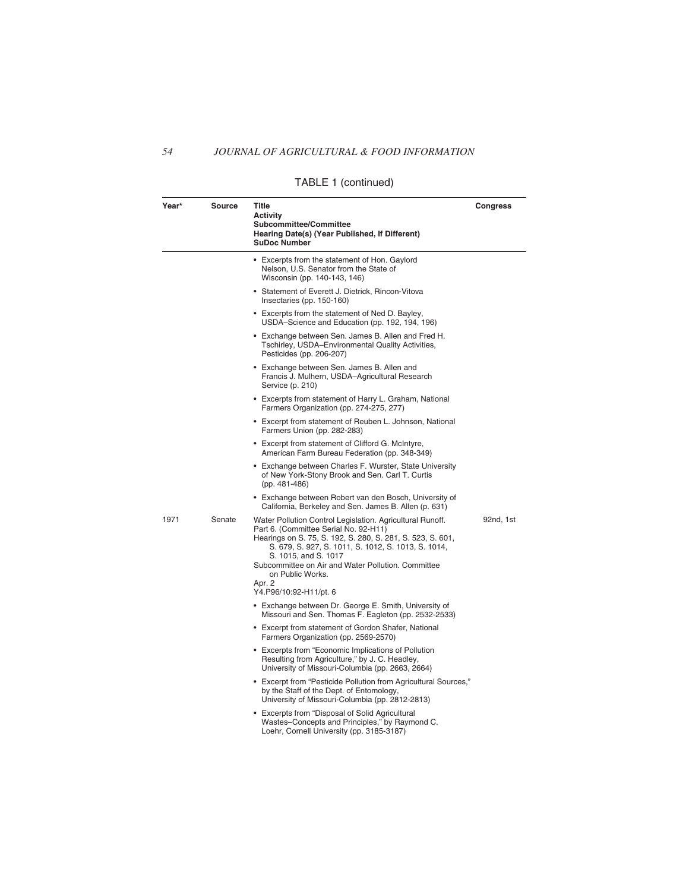#### TABLE 1 (continued)

| Year* | Source | Title<br><b>Activity</b><br>Subcommittee/Committee<br>Hearing Date(s) (Year Published, If Different)<br><b>SuDoc Number</b>                                                                                                                                                                                                         | Congress  |
|-------|--------|-------------------------------------------------------------------------------------------------------------------------------------------------------------------------------------------------------------------------------------------------------------------------------------------------------------------------------------|-----------|
|       |        | • Excerpts from the statement of Hon. Gaylord<br>Nelson, U.S. Senator from the State of<br>Wisconsin (pp. 140-143, 146)                                                                                                                                                                                                             |           |
|       |        | • Statement of Everett J. Dietrick, Rincon-Vitova<br>Insectaries (pp. 150-160)                                                                                                                                                                                                                                                      |           |
|       |        | • Excerpts from the statement of Ned D. Bayley,<br>USDA-Science and Education (pp. 192, 194, 196)                                                                                                                                                                                                                                   |           |
|       |        | • Exchange between Sen. James B. Allen and Fred H.<br>Tschirley, USDA-Environmental Quality Activities,<br>Pesticides (pp. 206-207)                                                                                                                                                                                                 |           |
|       |        | • Exchange between Sen. James B. Allen and<br>Francis J. Mulhern, USDA-Agricultural Research<br>Service (p. 210)                                                                                                                                                                                                                    |           |
|       |        | • Excerpts from statement of Harry L. Graham, National<br>Farmers Organization (pp. 274-275, 277)                                                                                                                                                                                                                                   |           |
|       |        | • Excerpt from statement of Reuben L. Johnson, National<br>Farmers Union (pp. 282-283)                                                                                                                                                                                                                                              |           |
|       |        | • Excerpt from statement of Clifford G. McIntyre,<br>American Farm Bureau Federation (pp. 348-349)                                                                                                                                                                                                                                  |           |
|       |        | • Exchange between Charles F. Wurster, State University<br>of New York-Stony Brook and Sen. Carl T. Curtis<br>(pp. 481-486)                                                                                                                                                                                                         |           |
|       |        | • Exchange between Robert van den Bosch, University of<br>California, Berkeley and Sen. James B. Allen (p. 631)                                                                                                                                                                                                                     |           |
| 1971  | Senate | Water Pollution Control Legislation. Agricultural Runoff.<br>Part 6. (Committee Serial No. 92-H11)<br>Hearings on S. 75, S. 192, S. 280, S. 281, S. 523, S. 601,<br>S. 679, S. 927, S. 1011, S. 1012, S. 1013, S. 1014,<br>S. 1015, and S. 1017<br>Subcommittee on Air and Water Pollution. Committee<br>on Public Works.<br>Apr. 2 | 92nd, 1st |
|       |        | Y4.P96/10:92-H11/pt. 6<br>• Exchange between Dr. George E. Smith, University of                                                                                                                                                                                                                                                     |           |
|       |        | Missouri and Sen. Thomas F. Eagleton (pp. 2532-2533)<br>• Excerpt from statement of Gordon Shafer, National                                                                                                                                                                                                                         |           |
|       |        | Farmers Organization (pp. 2569-2570)                                                                                                                                                                                                                                                                                                |           |
|       |        | • Excerpts from "Economic Implications of Pollution<br>Resulting from Agriculture," by J. C. Headley,<br>University of Missouri-Columbia (pp. 2663, 2664)                                                                                                                                                                           |           |
|       |        | • Excerpt from "Pesticide Pollution from Agricultural Sources,"<br>by the Staff of the Dept. of Entomology,<br>University of Missouri-Columbia (pp. 2812-2813)                                                                                                                                                                      |           |
|       |        | • Excerpts from "Disposal of Solid Agricultural<br>Wastes-Concepts and Principles," by Raymond C.<br>Loehr, Cornell University (pp. 3185-3187)                                                                                                                                                                                      |           |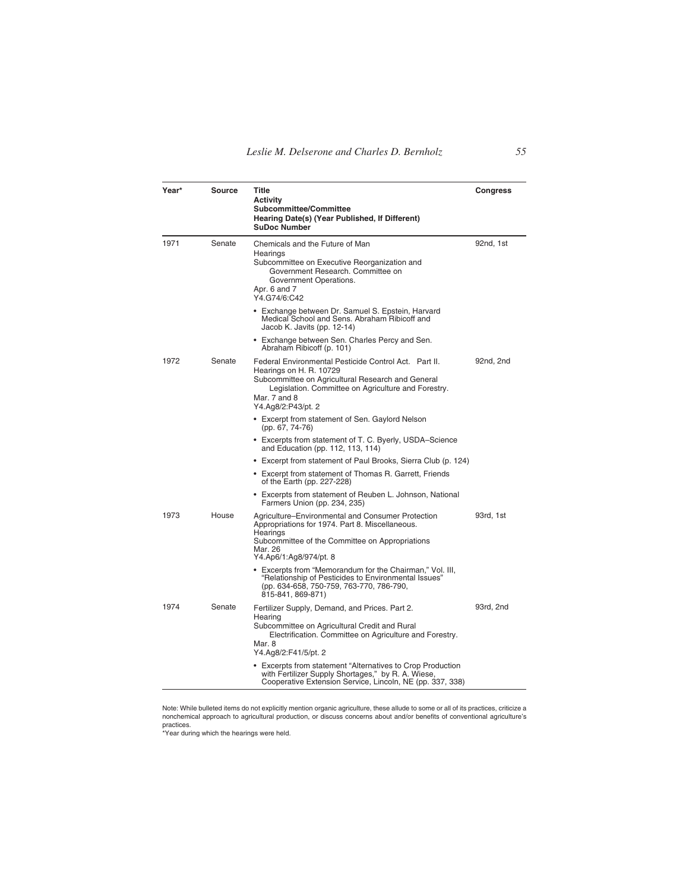| Year* | Source | Title<br>Activity<br>Subcommittee/Committee<br>Hearing Date(s) (Year Published, If Different)<br><b>SuDoc Number</b>                                                                                                                                                  | Congress  |
|-------|--------|-----------------------------------------------------------------------------------------------------------------------------------------------------------------------------------------------------------------------------------------------------------------------|-----------|
| 1971  | Senate | Chemicals and the Future of Man<br>Hearings<br>Subcommittee on Executive Reorganization and<br>Government Research. Committee on<br>Government Operations.<br>Apr. 6 and 7<br>Y4.G74/6:C42                                                                            | 92nd, 1st |
|       |        | • Exchange between Dr. Samuel S. Epstein, Harvard<br>Medical School and Sens. Abraham Ribicoff and<br>Jacob K. Javits (pp. 12-14)                                                                                                                                     |           |
|       |        | • Exchange between Sen. Charles Percy and Sen.<br>Abraham Ribicoff (p. 101)                                                                                                                                                                                           |           |
| 1972  | Senate | Federal Environmental Pesticide Control Act. Part II.<br>Hearings on H. R. 10729<br>Subcommittee on Agricultural Research and General<br>Legislation. Committee on Agriculture and Forestry.<br>Mar. 7 and 8<br>Y4.Aq8/2:P43/pt. 2                                    | 92nd, 2nd |
|       |        | • Excerpt from statement of Sen. Gaylord Nelson<br>(pp. 67, 74-76)                                                                                                                                                                                                    |           |
|       |        | • Excerpts from statement of T. C. Byerly, USDA-Science<br>and Education (pp. 112, 113, 114)                                                                                                                                                                          |           |
|       |        | • Excerpt from statement of Paul Brooks, Sierra Club (p. 124)                                                                                                                                                                                                         |           |
|       |        | • Excerpt from statement of Thomas R. Garrett, Friends<br>of the Earth (pp. 227-228)                                                                                                                                                                                  |           |
|       |        | • Excerpts from statement of Reuben L. Johnson, National<br>Farmers Union (pp. 234, 235)                                                                                                                                                                              |           |
| 1973  | House  | Agriculture–Environmental and Consumer Protection<br>Appropriations for 1974. Part 8. Miscellaneous.<br>Hearings<br>Subcommittee of the Committee on Appropriations<br>Mar. 26<br>Y4.Ap6/1:Ag8/974/pt. 8                                                              | 93rd, 1st |
|       |        | • Excerpts from "Memorandum for the Chairman," Vol. III,<br>"Relationship of Pesticides to Environmental Issues"<br>(pp. 634-658, 750-759, 763-770, 786-790,<br>815-841, 869-871)                                                                                     |           |
| 1974  | Senate | Fertilizer Supply, Demand, and Prices. Part 2.<br>Hearing<br>Subcommittee on Agricultural Credit and Rural<br>Electrification. Committee on Agriculture and Forestry.<br>Mar. 8<br>Y4.Ag8/2:F41/5/pt. 2<br>• Excerpts from statement "Alternatives to Crop Production | 93rd, 2nd |
|       |        | with Fertilizer Supply Shortages," by R. A. Wiese,<br>Cooperative Extension Service, Lincoln, NE (pp. 337, 338)                                                                                                                                                       |           |

Note: While bulleted items do not explicitly mention organic agriculture, these allude to some or all of its practices, criticize a<br>nonchemical approach to agricultural production, or discuss concerns about and/or benefits practices. \*Year during which the hearings were held.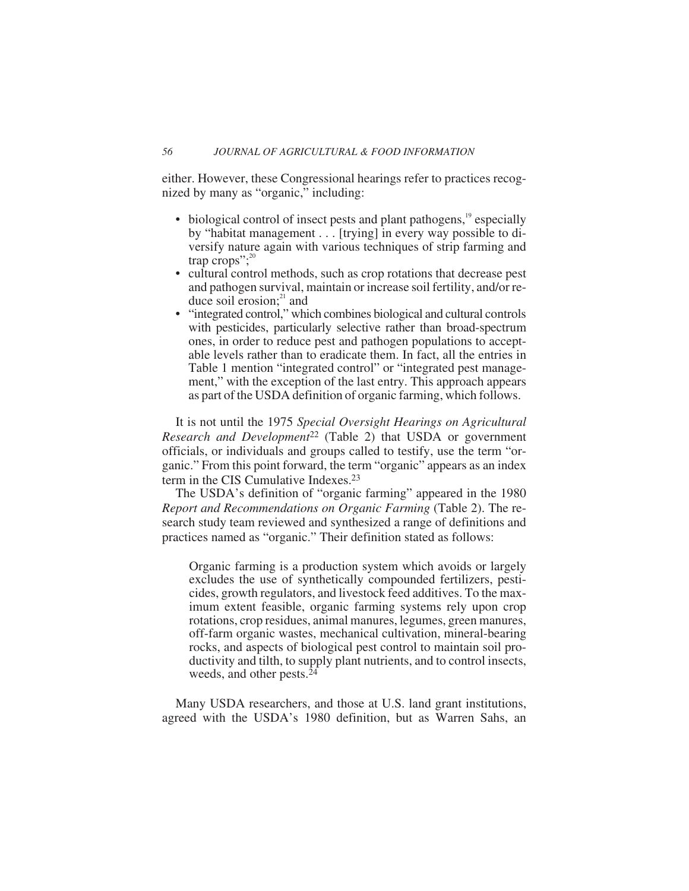either. However, these Congressional hearings refer to practices recognized by many as "organic," including:

- biological control of insect pests and plant pathogens, $\frac{19}{12}$  especially by "habitat management . . . [trying] in every way possible to diversify nature again with various techniques of strip farming and trap crops"; $20$
- cultural control methods, such as crop rotations that decrease pest and pathogen survival, maintain or increase soil fertility, and/or reduce soil erosion; $^{21}$  and
- "integrated control," which combines biological and cultural controls with pesticides, particularly selective rather than broad-spectrum ones, in order to reduce pest and pathogen populations to acceptable levels rather than to eradicate them. In fact, all the entries in Table 1 mention "integrated control" or "integrated pest management," with the exception of the last entry. This approach appears as part of the USDA definition of organic farming, which follows.

It is not until the 1975 *Special Oversight Hearings on Agricultural Research and Development*<sup>22</sup> (Table 2) that USDA or government officials, or individuals and groups called to testify, use the term "organic." From this point forward, the term "organic" appears as an index term in the CIS Cumulative Indexes.23

The USDA's definition of "organic farming" appeared in the 1980 *Report and Recommendations on Organic Farming* (Table 2). The research study team reviewed and synthesized a range of definitions and practices named as "organic." Their definition stated as follows:

Organic farming is a production system which avoids or largely excludes the use of synthetically compounded fertilizers, pesticides, growth regulators, and livestock feed additives. To the maximum extent feasible, organic farming systems rely upon crop rotations, crop residues, animal manures, legumes, green manures, off-farm organic wastes, mechanical cultivation, mineral-bearing rocks, and aspects of biological pest control to maintain soil productivity and tilth, to supply plant nutrients, and to control insects, weeds, and other pests.24

Many USDA researchers, and those at U.S. land grant institutions, agreed with the USDA's 1980 definition, but as Warren Sahs, an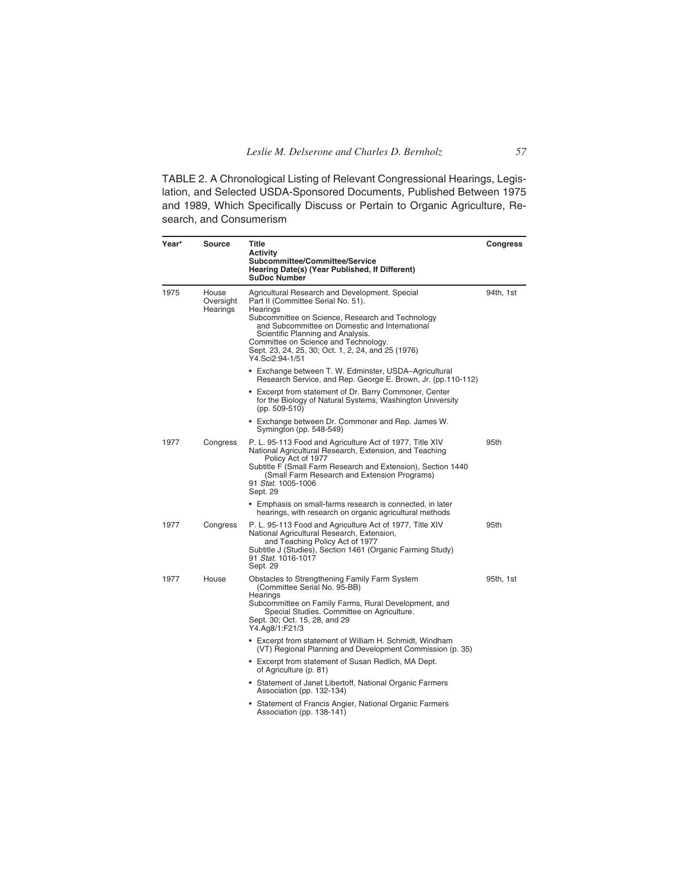TABLE 2. A Chronological Listing of Relevant Congressional Hearings, Legislation, and Selected USDA-Sponsored Documents, Published Between 1975 and 1989, Which Specifically Discuss or Pertain to Organic Agriculture, Research, and Consumerism

| Year* | Source                         | Title<br>Activity<br>Subcommittee/Committee/Service<br>Hearing Date(s) (Year Published, If Different)<br><b>SuDoc Number</b>                                                                                                                                                                                                                                 | Congress  |
|-------|--------------------------------|--------------------------------------------------------------------------------------------------------------------------------------------------------------------------------------------------------------------------------------------------------------------------------------------------------------------------------------------------------------|-----------|
| 1975  | House<br>Oversight<br>Hearings | Agricultural Research and Development. Special<br>Part II (Committee Serial No. 51).<br>Hearings<br>Subcommittee on Science, Research and Technology<br>and Subcommittee on Domestic and International<br>Scientific Planning and Analysis.<br>Committee on Science and Technology.<br>Sept. 23, 24, 25, 30; Oct. 1, 2, 24, and 25 (1976)<br>Y4.Sci2:94-1/51 | 94th, 1st |
|       |                                | • Exchange between T. W. Edminster, USDA-Agricultural<br>Research Service, and Rep. George E. Brown, Jr. (pp.110-112)                                                                                                                                                                                                                                        |           |
|       |                                | • Excerpt from statement of Dr. Barry Commoner, Center<br>for the Biology of Natural Systems, Washington University<br>$(pp. 509-510)$                                                                                                                                                                                                                       |           |
|       |                                | • Exchange between Dr. Commoner and Rep. James W.<br>Symington (pp. 548-549)                                                                                                                                                                                                                                                                                 |           |
| 1977  | Congress                       | P. L. 95-113 Food and Agriculture Act of 1977, Title XIV<br>National Agricultural Research, Extension, and Teaching<br>Policy Act of 1977<br>Subtitle F (Small Farm Research and Extension), Section 1440<br>(Small Farm Research and Extension Programs)<br>91 Stat. 1005-1006<br>Sept. 29                                                                  | 95th      |
|       |                                | • Emphasis on small-farms research is connected, in later<br>hearings, with research on organic agricultural methods                                                                                                                                                                                                                                         |           |
| 1977  | Congress                       | P. L. 95-113 Food and Agriculture Act of 1977, Title XIV<br>National Agricultural Research, Extension,<br>and Teaching Policy Act of 1977<br>Subtitle J (Studies), Section 1461 (Organic Farming Study)<br>91 Stat. 1016-1017<br>Sept. 29                                                                                                                    | 95th      |
| 1977  | House                          | Obstacles to Strengthening Family Farm System<br>(Committee Serial No. 95-BB)<br>Hearings<br>Subcommittee on Family Farms, Rural Development, and<br>Special Studies. Committee on Agriculture.<br>Sept. 30; Oct. 15, 28, and 29<br>Y4.Aq8/1:F21/3                                                                                                           | 95th, 1st |
|       |                                | • Excerpt from statement of William H. Schmidt, Windham<br>(VT) Regional Planning and Development Commission (p. 35)                                                                                                                                                                                                                                         |           |
|       |                                | • Excerpt from statement of Susan Redlich, MA Dept.<br>of Agriculture (p. 81)                                                                                                                                                                                                                                                                                |           |
|       |                                | • Statement of Janet Libertoff, National Organic Farmers<br>Association (pp. 132-134)                                                                                                                                                                                                                                                                        |           |
|       |                                | • Statement of Francis Angier, National Organic Farmers<br>Association (pp. 138-141)                                                                                                                                                                                                                                                                         |           |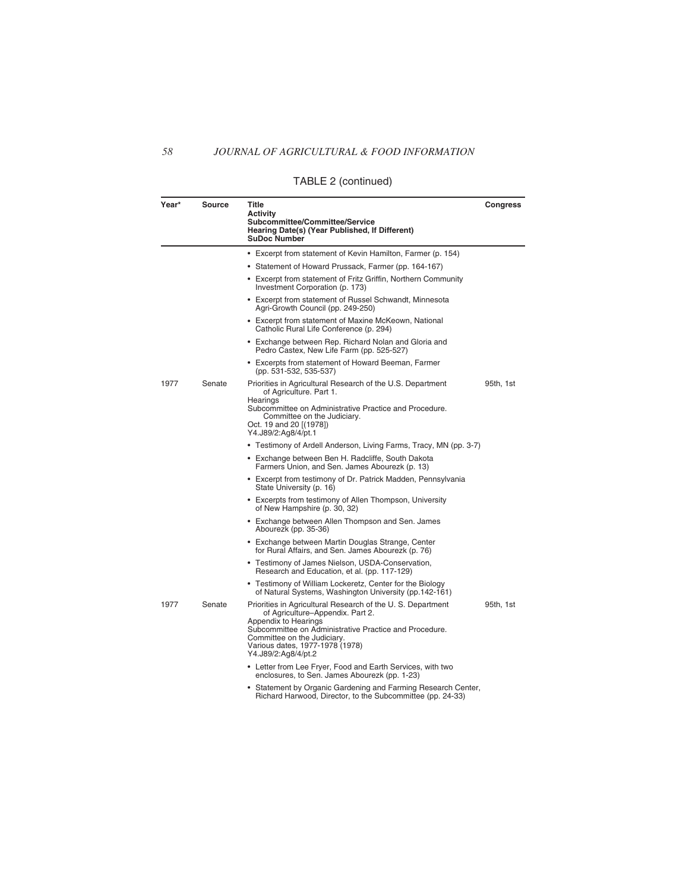## TABLE 2 (continued)

| Year* | Source | Title<br><b>Activity</b><br>Subcommittee/Committee/Service                                                                                                                                                                                                                | Congress  |
|-------|--------|---------------------------------------------------------------------------------------------------------------------------------------------------------------------------------------------------------------------------------------------------------------------------|-----------|
|       |        | Hearing Date(s) (Year Published, If Different)<br><b>SuDoc Number</b>                                                                                                                                                                                                     |           |
|       |        | • Excerpt from statement of Kevin Hamilton, Farmer (p. 154)                                                                                                                                                                                                               |           |
|       |        | • Statement of Howard Prussack, Farmer (pp. 164-167)                                                                                                                                                                                                                      |           |
|       |        | • Excerpt from statement of Fritz Griffin, Northern Community<br>Investment Corporation (p. 173)                                                                                                                                                                          |           |
|       |        | • Excerpt from statement of Russel Schwandt, Minnesota<br>Agri-Growth Council (pp. 249-250)                                                                                                                                                                               |           |
|       |        | • Excerpt from statement of Maxine McKeown, National<br>Catholic Rural Life Conference (p. 294)                                                                                                                                                                           |           |
|       |        | • Exchange between Rep. Richard Nolan and Gloria and<br>Pedro Castex, New Life Farm (pp. 525-527)                                                                                                                                                                         |           |
|       |        | • Excerpts from statement of Howard Beeman, Farmer<br>(pp. 531-532, 535-537)                                                                                                                                                                                              |           |
| 1977  | Senate | Priorities in Agricultural Research of the U.S. Department<br>of Agriculture. Part 1.<br>Hearings<br>Subcommittee on Administrative Practice and Procedure.<br>Committee on the Judiciary.<br>Oct. 19 and 20 [(1978])<br>Y4.J89/2:Ag8/4/pt.1                              | 95th, 1st |
|       |        | • Testimony of Ardell Anderson, Living Farms, Tracy, MN (pp. 3-7)                                                                                                                                                                                                         |           |
|       |        | • Exchange between Ben H. Radcliffe, South Dakota<br>Farmers Union, and Sen. James Abourezk (p. 13)                                                                                                                                                                       |           |
|       |        | • Excerpt from testimony of Dr. Patrick Madden, Pennsylvania<br>State University (p. 16)                                                                                                                                                                                  |           |
|       |        | • Excerpts from testimony of Allen Thompson, University<br>of New Hampshire (p. 30, 32)                                                                                                                                                                                   |           |
|       |        | • Exchange between Allen Thompson and Sen. James<br>Abourezk (pp. 35-36)                                                                                                                                                                                                  |           |
|       |        | • Exchange between Martin Douglas Strange, Center<br>for Rural Affairs, and Sen. James Abourezk (p. 76)                                                                                                                                                                   |           |
|       |        | • Testimony of James Nielson, USDA-Conservation,<br>Research and Education, et al. (pp. 117-129)                                                                                                                                                                          |           |
|       |        | • Testimony of William Lockeretz, Center for the Biology<br>of Natural Systems, Washington University (pp. 142-161)                                                                                                                                                       |           |
| 1977  | Senate | Priorities in Agricultural Research of the U.S. Department<br>of Agriculture-Appendix. Part 2.<br>Appendix to Hearings<br>Subcommittee on Administrative Practice and Procedure.<br>Committee on the Judiciary.<br>Various dates, 1977-1978 (1978)<br>Y4.J89/2:Ag8/4/pt.2 | 95th, 1st |
|       |        | • Letter from Lee Fryer, Food and Earth Services, with two<br>enclosures, to Sen. James Abourezk (pp. 1-23)                                                                                                                                                               |           |
|       |        | Statement by Organic Gardening and Farming Research Center,<br>Richard Harwood, Director, to the Subcommittee (pp. 24-33)                                                                                                                                                 |           |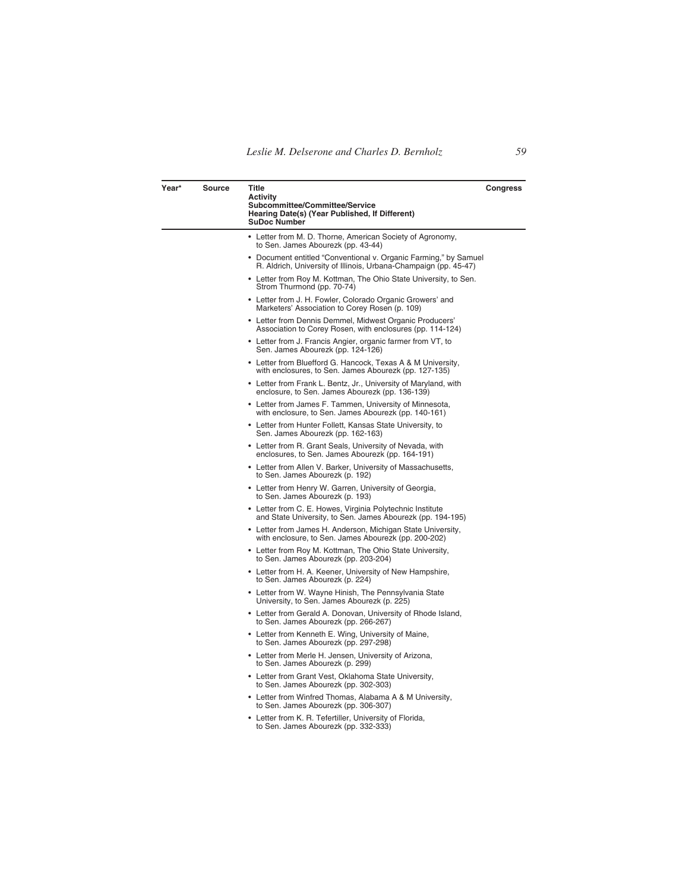| Year* | <b>Source</b> | Title<br><b>Activity</b><br>Subcommittee/Committee/Service<br>Hearing Date(s) (Year Published, If Different)<br><b>SuDoc Number</b>  | <b>Congress</b> |
|-------|---------------|--------------------------------------------------------------------------------------------------------------------------------------|-----------------|
|       |               | • Letter from M. D. Thorne, American Society of Agronomy,<br>to Sen. James Abourezk (pp. 43-44)                                      |                 |
|       |               | • Document entitled "Conventional v. Organic Farming," by Samuel<br>R. Aldrich, University of Illinois, Urbana-Champaign (pp. 45-47) |                 |
|       |               | • Letter from Roy M. Kottman, The Ohio State University, to Sen.<br>Strom Thurmond (pp. 70-74)                                       |                 |
|       |               | • Letter from J. H. Fowler, Colorado Organic Growers' and<br>Marketers' Association to Corey Rosen (p. 109)                          |                 |
|       |               | • Letter from Dennis Demmel, Midwest Organic Producers'<br>Association to Corey Rosen, with enclosures (pp. 114-124)                 |                 |
|       |               | • Letter from J. Francis Angier, organic farmer from VT, to<br>Sen. James Abourezk (pp. 124-126)                                     |                 |
|       |               | • Letter from Bluefford G. Hancock, Texas A & M University,<br>with enclosures, to Sen. James Abourezk (pp. 127-135)                 |                 |
|       |               | • Letter from Frank L. Bentz, Jr., University of Maryland, with<br>enclosure, to Sen. James Abourezk (pp. 136-139)                   |                 |
|       |               | • Letter from James F. Tammen, University of Minnesota,<br>with enclosure, to Sen. James Abourezk (pp. 140-161)                      |                 |
|       |               | • Letter from Hunter Follett, Kansas State University, to<br>Sen. James Abourezk (pp. 162-163)                                       |                 |
|       |               | • Letter from R. Grant Seals, University of Nevada, with<br>enclosures, to Sen. James Abourezk (pp. 164-191)                         |                 |
|       |               | • Letter from Allen V. Barker, University of Massachusetts,<br>to Sen. James Abourezk (p. 192)                                       |                 |
|       |               | • Letter from Henry W. Garren, University of Georgia,<br>to Sen. James Abourezk (p. 193)                                             |                 |
|       |               | • Letter from C. E. Howes, Virginia Polytechnic Institute<br>and State University, to Sen. James Abourezk (pp. 194-195)              |                 |
|       |               | • Letter from James H. Anderson, Michigan State University,<br>with enclosure, to Sen. James Abourezk (pp. 200-202)                  |                 |
|       |               | • Letter from Roy M. Kottman, The Ohio State University,<br>to Sen. James Abourezk (pp. 203-204)                                     |                 |
|       |               | • Letter from H. A. Keener, University of New Hampshire,<br>to Sen. James Abourezk (p. 224)                                          |                 |
|       |               | • Letter from W. Wayne Hinish, The Pennsylvania State<br>University, to Sen. James Abourezk (p. 225)                                 |                 |
|       |               | • Letter from Gerald A. Donovan, University of Rhode Island,<br>to Sen. James Abourezk (pp. 266-267)                                 |                 |
|       |               | • Letter from Kenneth E. Wing, University of Maine,<br>to Sen. James Abourezk (pp. 297-298)                                          |                 |
|       |               | • Letter from Merle H. Jensen, University of Arizona,<br>to Sen. James Abourezk (p. 299)                                             |                 |
|       |               | • Letter from Grant Vest, Oklahoma State University,<br>to Sen. James Abourezk (pp. 302-303)                                         |                 |
|       |               | • Letter from Winfred Thomas, Alabama A & M University,<br>to Sen. James Abourezk (pp. 306-307)                                      |                 |
|       |               | • Letter from K. R. Tefertiller, University of Florida,<br>to Sen. James Abourezk (pp. 332-333)                                      |                 |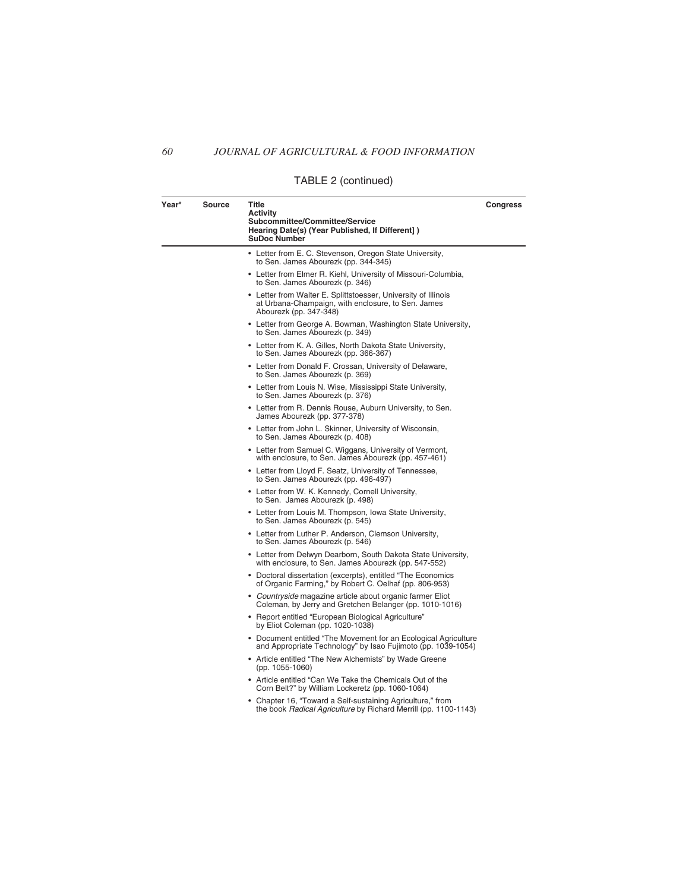## TABLE 2 (continued)

| Year* | Source | Title<br><b>Activity</b><br>Subcommittee/Committee/Service<br>Hearing Date(s) (Year Published, If Different])<br><b>SuDoc Number</b>           | <b>Congress</b> |
|-------|--------|------------------------------------------------------------------------------------------------------------------------------------------------|-----------------|
|       |        | • Letter from E. C. Stevenson, Oregon State University,<br>to Sen. James Abourezk (pp. 344-345)                                                |                 |
|       |        | • Letter from Elmer R. Kiehl, University of Missouri-Columbia,<br>to Sen. James Abourezk (p. 346)                                              |                 |
|       |        | • Letter from Walter E. Splittstoesser, University of Illinois<br>at Urbana-Champaign, with enclosure, to Sen. James<br>Abourezk (pp. 347-348) |                 |
|       |        | • Letter from George A. Bowman, Washington State University,<br>to Sen. James Abourezk (p. 349)                                                |                 |
|       |        | • Letter from K. A. Gilles, North Dakota State University,<br>to Sen. James Abourezk (pp. 366-367)                                             |                 |
|       |        | • Letter from Donald F. Crossan, University of Delaware,<br>to Sen. James Abourezk (p. 369)                                                    |                 |
|       |        | • Letter from Louis N. Wise, Mississippi State University,<br>to Sen. James Abourezk (p. 376)                                                  |                 |
|       |        | • Letter from R. Dennis Rouse, Auburn University, to Sen.<br>James Abourezk (pp. 377-378)                                                      |                 |
|       |        | • Letter from John L. Skinner, University of Wisconsin,<br>to Sen. James Abourezk (p. 408)                                                     |                 |
|       |        | • Letter from Samuel C. Wiggans, University of Vermont,<br>with enclosure, to Sen. James Abourezk (pp. 457-461)                                |                 |
|       |        | • Letter from Lloyd F. Seatz, University of Tennessee,<br>to Sen. James Abourezk (pp. 496-497)                                                 |                 |
|       |        | • Letter from W. K. Kennedy, Cornell University,<br>to Sen. James Abourezk (p. 498)                                                            |                 |
|       |        | • Letter from Louis M. Thompson, Iowa State University,<br>to Sen. James Abourezk (p. 545)                                                     |                 |
|       |        | • Letter from Luther P. Anderson, Clemson University,<br>to Sen. James Abourezk (p. 546)                                                       |                 |
|       |        | • Letter from Delwyn Dearborn, South Dakota State University,<br>with enclosure, to Sen. James Abourezk (pp. 547-552)                          |                 |
|       |        | • Doctoral dissertation (excerpts), entitled "The Economics"<br>of Organic Farming," by Robert C. Oelhaf (pp. 806-953)                         |                 |
|       |        | • Countryside magazine article about organic farmer Eliot<br>Coleman, by Jerry and Gretchen Belanger (pp. 1010-1016)                           |                 |
|       |        | • Report entitled "European Biological Agriculture"<br>by Eliot Coleman (pp. 1020-1038)                                                        |                 |
|       |        | • Document entitled "The Movement for an Ecological Agriculture<br>and Appropriate Technology" by Isao Fujimoto (pp. 1039-1054)                |                 |
|       |        | • Article entitled "The New Alchemists" by Wade Greene<br>(pp. 1055-1060)                                                                      |                 |
|       |        | • Article entitled "Can We Take the Chemicals Out of the<br>Corn Belt?" by William Lockeretz (pp. 1060-1064)                                   |                 |
|       |        | • Chapter 16, "Toward a Self-sustaining Agriculture," from<br>the book Radical Agriculture by Richard Merrill (pp. 1100-1143)                  |                 |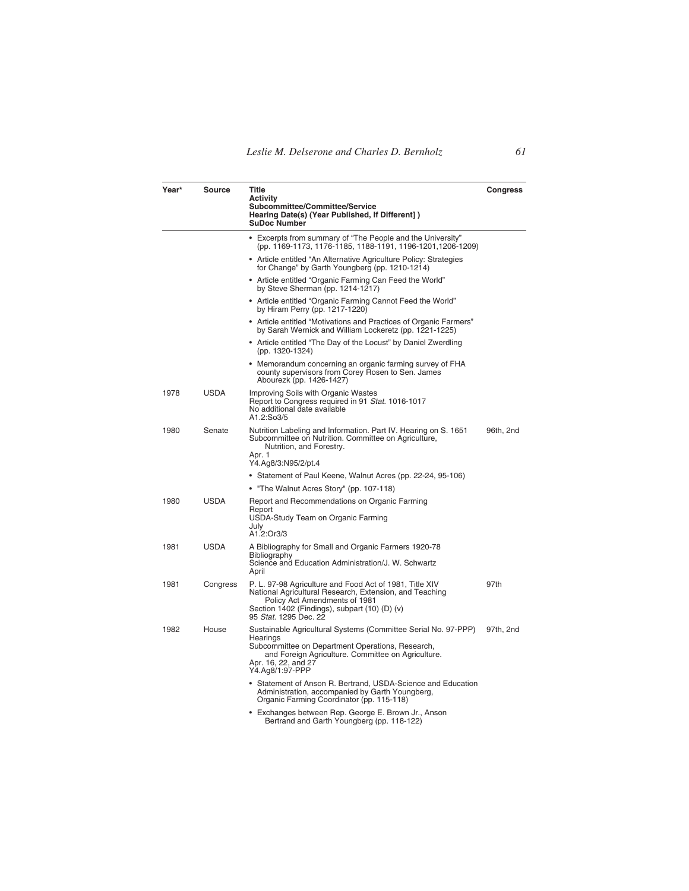| Year* | Source      | Title<br><b>Activity</b><br>Subcommittee/Committee/Service<br>Hearing Date(s) (Year Published, If Different])<br><b>SuDoc Number</b>                                                                                           | <b>Congress</b> |
|-------|-------------|--------------------------------------------------------------------------------------------------------------------------------------------------------------------------------------------------------------------------------|-----------------|
|       |             | • Excerpts from summary of "The People and the University"<br>(pp. 1169-1173, 1176-1185, 1188-1191, 1196-1201, 1206-1209)                                                                                                      |                 |
|       |             | • Article entitled "An Alternative Agriculture Policy: Strategies<br>for Change" by Garth Youngberg (pp. 1210-1214)                                                                                                            |                 |
|       |             | • Article entitled "Organic Farming Can Feed the World"<br>by Steve Sherman (pp. 1214-1217)                                                                                                                                    |                 |
|       |             | • Article entitled "Organic Farming Cannot Feed the World"<br>by Hiram Perry (pp. 1217-1220)                                                                                                                                   |                 |
|       |             | • Article entitled "Motivations and Practices of Organic Farmers"<br>by Sarah Wernick and William Lockeretz (pp. 1221-1225)                                                                                                    |                 |
|       |             | • Article entitled "The Day of the Locust" by Daniel Zwerdling<br>(pp. 1320-1324)                                                                                                                                              |                 |
|       |             | • Memorandum concerning an organic farming survey of FHA<br>county supervisors from Corey Rosen to Sen. James<br>Abourezk (pp. 1426-1427)                                                                                      |                 |
| 1978  | <b>USDA</b> | Improving Soils with Organic Wastes<br>Report to Congress required in 91 Stat. 1016-1017<br>No additional date available<br>A1.2:So3/5                                                                                         |                 |
| 1980  | Senate      | Nutrition Labeling and Information. Part IV. Hearing on S. 1651<br>Subcommittee on Nutrition. Committee on Agriculture,<br>Nutrition, and Forestry.<br>Apr. 1<br>Y4.Ag8/3:N95/2/pt.4                                           | 96th, 2nd       |
|       |             | • Statement of Paul Keene, Walnut Acres (pp. 22-24, 95-106)                                                                                                                                                                    |                 |
|       |             | • "The Walnut Acres Story" (pp. 107-118)                                                                                                                                                                                       |                 |
| 1980  | <b>USDA</b> | Report and Recommendations on Organic Farming<br>Report<br>USDA-Study Team on Organic Farming<br>July<br>A1.2:Or3/3                                                                                                            |                 |
| 1981  | <b>USDA</b> | A Bibliography for Small and Organic Farmers 1920-78<br>Bibliography<br>Science and Education Administration/J. W. Schwartz<br>April                                                                                           |                 |
| 1981  | Congress    | P. L. 97-98 Agriculture and Food Act of 1981, Title XIV<br>National Agricultural Research, Extension, and Teaching<br>Policy Act Amendments of 1981<br>Section 1402 (Findings), subpart (10) (D) (v)<br>95 Stat. 1295 Dec. 22  | 97th            |
| 1982  | House       | Sustainable Agricultural Systems (Committee Serial No. 97-PPP)<br>Hearings<br>Subcommittee on Department Operations, Research,<br>and Foreign Agriculture. Committee on Agriculture.<br>Apr. 16, 22, and 27<br>Y4.Ag8/1:97-PPP | 97th, 2nd       |
|       |             | • Statement of Anson R. Bertrand, USDA-Science and Education<br>Administration, accompanied by Garth Youngberg,<br>Organic Farming Coordinator (pp. 115-118)                                                                   |                 |
|       |             | • Exchanges between Rep. George E. Brown Jr., Anson<br>Bertrand and Garth Youngberg (pp. 118-122)                                                                                                                              |                 |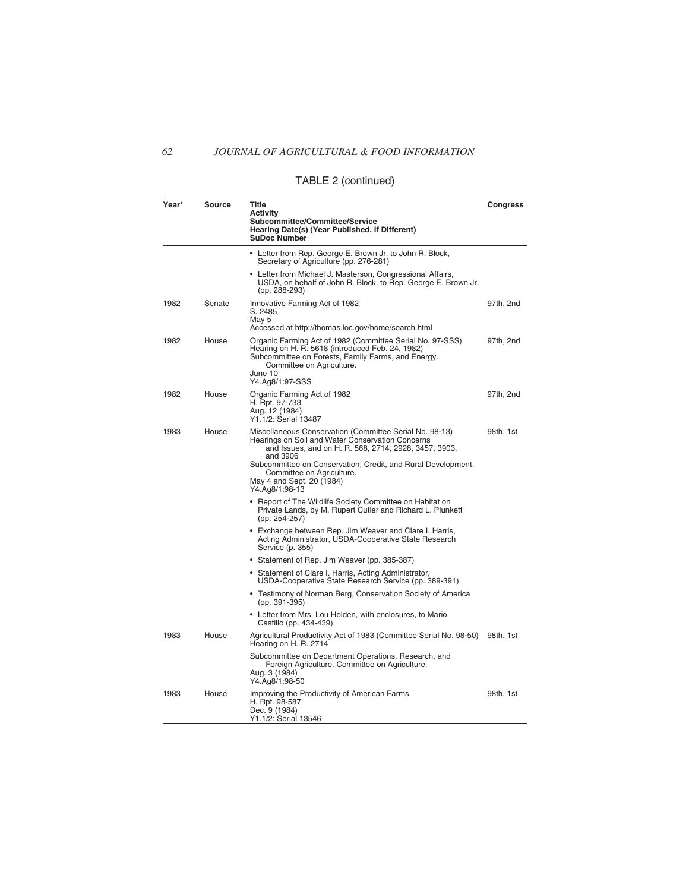## TABLE 2 (continued)

| Year* | Source | Title<br><b>Activity</b>                                                                                                                                                                                                                                                                                                     | Congress  |
|-------|--------|------------------------------------------------------------------------------------------------------------------------------------------------------------------------------------------------------------------------------------------------------------------------------------------------------------------------------|-----------|
|       |        | Subcommittee/Committee/Service<br>Hearing Date(s) (Year Published, If Different)<br><b>SuDoc Number</b>                                                                                                                                                                                                                      |           |
|       |        | • Letter from Rep. George E. Brown Jr. to John R. Block,<br>Secretary of Agriculture (pp. 276-281)                                                                                                                                                                                                                           |           |
|       |        | • Letter from Michael J. Masterson, Congressional Affairs,<br>USDA, on behalf of John R. Block, to Rep. George E. Brown Jr.<br>(pp. 288-293)                                                                                                                                                                                 |           |
| 1982  | Senate | Innovative Farming Act of 1982<br>S. 2485<br>May 5<br>Accessed at http://thomas.loc.gov/home/search.html                                                                                                                                                                                                                     | 97th, 2nd |
| 1982  | House  | Organic Farming Act of 1982 (Committee Serial No. 97-SSS)<br>Hearing on H. R. 5618 (introduced Feb. 24, 1982)<br>Subcommittee on Forests, Family Farms, and Energy.<br>Committee on Agriculture.<br>June 10<br>Y4.Aq8/1:97-SSS                                                                                               | 97th, 2nd |
| 1982  | House  | Organic Farming Act of 1982<br>H. Rpt. 97-733<br>Aug. 12 (1984)<br>Y1.1/2: Serial 13487                                                                                                                                                                                                                                      | 97th, 2nd |
| 1983  | House  | Miscellaneous Conservation (Committee Serial No. 98-13)<br>Hearings on Soil and Water Conservation Concerns<br>and Issues, and on H. R. 568, 2714, 2928, 3457, 3903,<br>and 3906<br>Subcommittee on Conservation, Credit, and Rural Development.<br>Committee on Agriculture.<br>May 4 and Sept. 20 (1984)<br>Y4.Ag8/1:98-13 | 98th, 1st |
|       |        | • Report of The Wildlife Society Committee on Habitat on<br>Private Lands, by M. Rupert Cutler and Richard L. Plunkett<br>(pp. 254-257)                                                                                                                                                                                      |           |
|       |        | • Exchange between Rep. Jim Weaver and Clare I. Harris,<br>Acting Administrator, USDA-Cooperative State Research<br>Service (p. 355)                                                                                                                                                                                         |           |
|       |        | • Statement of Rep. Jim Weaver (pp. 385-387)                                                                                                                                                                                                                                                                                 |           |
|       |        | • Statement of Clare I. Harris, Acting Administrator,<br>USDA-Cooperative State Research Service (pp. 389-391)                                                                                                                                                                                                               |           |
|       |        | • Testimony of Norman Berg, Conservation Society of America<br>$(pp. 391-395)$                                                                                                                                                                                                                                               |           |
|       |        | • Letter from Mrs. Lou Holden, with enclosures, to Mario<br>Castillo (pp. 434-439)                                                                                                                                                                                                                                           |           |
| 1983  | House  | Agricultural Productivity Act of 1983 (Committee Serial No. 98-50)<br>Hearing on H. R. 2714                                                                                                                                                                                                                                  | 98th, 1st |
|       |        | Subcommittee on Department Operations, Research, and<br>Foreign Agriculture. Committee on Agriculture.<br>Aug. 3 (1984)<br>Y4.Ag8/1:98-50                                                                                                                                                                                    |           |
| 1983  | House  | Improving the Productivity of American Farms<br>H. Rpt. 98-587<br>Dec. 9 (1984)<br>Y1.1/2: Serial 13546                                                                                                                                                                                                                      | 98th, 1st |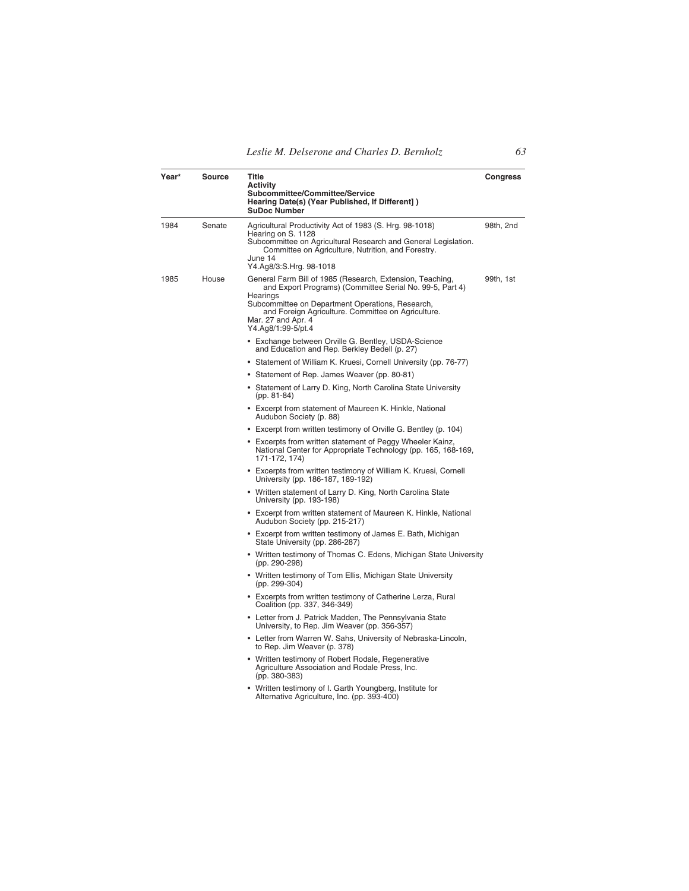| 1984<br>Senate<br>Agricultural Productivity Act of 1983 (S. Hrg. 98-1018)<br>Hearing on S. 1128<br>Subcommittee on Agricultural Research and General Legislation.<br>Committee on Agriculture, Nutrition, and Forestry.<br>June 14<br>Y4.Ag8/3:S.Hrg. 98-1018<br>General Farm Bill of 1985 (Research, Extension, Teaching,<br>1985<br>House<br>and Export Programs) (Committee Serial No. 99-5, Part 4)<br>Hearings<br>Subcommittee on Department Operations, Research,<br>and Foreign Agriculture. Committee on Agriculture.<br>Mar. 27 and Apr. 4<br>Y4.Ag8/1:99-5/pt.4<br>• Exchange between Orville G. Bentley, USDA-Science<br>and Education and Rep. Berkley Bedell (p. 27)<br>• Statement of William K. Kruesi, Cornell University (pp. 76-77)<br>• Statement of Rep. James Weaver (pp. 80-81)<br>• Statement of Larry D. King, North Carolina State University<br>(pp. 81-84)<br>• Excerpt from statement of Maureen K. Hinkle, National<br>Audubon Society (p. 88)<br>• Excerpt from written testimony of Orville G. Bentley (p. 104)<br>• Excerpts from written statement of Peggy Wheeler Kainz,<br>National Center for Appropriate Technology (pp. 165, 168-169,<br>171-172, 174)<br>• Excerpts from written testimony of William K. Kruesi, Cornell<br>University (pp. 186-187, 189-192)<br>• Written statement of Larry D. King, North Carolina State<br>University (pp. 193-198)<br>• Excerpt from written statement of Maureen K. Hinkle, National<br>Audubon Society (pp. 215-217)<br>• Excerpt from written testimony of James E. Bath, Michigan<br>State University (pp. 286-287)<br>• Written testimony of Thomas C. Edens, Michigan State University<br>(pp. 290-298)<br>• Written testimony of Tom Ellis, Michigan State University<br>(pp. 299-304)<br>• Excerpts from written testimony of Catherine Lerza, Rural<br>Coalition (pp. 337, 346-349)<br>• Letter from J. Patrick Madden, The Pennsylvania State<br>University, to Rep. Jim Weaver (pp. 356-357)<br>• Letter from Warren W. Sahs, University of Nebraska-Lincoln,<br>to Rep. Jim Weaver (p. 378)<br>• Written testimony of Robert Rodale, Regenerative<br>Agriculture Association and Rodale Press, Inc.<br>(pp. 380-383) | Congress  | Title<br><b>Activity</b><br>Subcommittee/Committee/Service<br>Hearing Date(s) (Year Published, If Different])<br><b>SuDoc Number</b> | <b>Source</b> | Year* |
|---------------------------------------------------------------------------------------------------------------------------------------------------------------------------------------------------------------------------------------------------------------------------------------------------------------------------------------------------------------------------------------------------------------------------------------------------------------------------------------------------------------------------------------------------------------------------------------------------------------------------------------------------------------------------------------------------------------------------------------------------------------------------------------------------------------------------------------------------------------------------------------------------------------------------------------------------------------------------------------------------------------------------------------------------------------------------------------------------------------------------------------------------------------------------------------------------------------------------------------------------------------------------------------------------------------------------------------------------------------------------------------------------------------------------------------------------------------------------------------------------------------------------------------------------------------------------------------------------------------------------------------------------------------------------------------------------------------------------------------------------------------------------------------------------------------------------------------------------------------------------------------------------------------------------------------------------------------------------------------------------------------------------------------------------------------------------------------------------------------------------------------------------------------------------------------------------------------|-----------|--------------------------------------------------------------------------------------------------------------------------------------|---------------|-------|
|                                                                                                                                                                                                                                                                                                                                                                                                                                                                                                                                                                                                                                                                                                                                                                                                                                                                                                                                                                                                                                                                                                                                                                                                                                                                                                                                                                                                                                                                                                                                                                                                                                                                                                                                                                                                                                                                                                                                                                                                                                                                                                                                                                                                               | 98th, 2nd |                                                                                                                                      |               |       |
|                                                                                                                                                                                                                                                                                                                                                                                                                                                                                                                                                                                                                                                                                                                                                                                                                                                                                                                                                                                                                                                                                                                                                                                                                                                                                                                                                                                                                                                                                                                                                                                                                                                                                                                                                                                                                                                                                                                                                                                                                                                                                                                                                                                                               |           |                                                                                                                                      |               |       |
|                                                                                                                                                                                                                                                                                                                                                                                                                                                                                                                                                                                                                                                                                                                                                                                                                                                                                                                                                                                                                                                                                                                                                                                                                                                                                                                                                                                                                                                                                                                                                                                                                                                                                                                                                                                                                                                                                                                                                                                                                                                                                                                                                                                                               | 99th, 1st |                                                                                                                                      |               |       |
|                                                                                                                                                                                                                                                                                                                                                                                                                                                                                                                                                                                                                                                                                                                                                                                                                                                                                                                                                                                                                                                                                                                                                                                                                                                                                                                                                                                                                                                                                                                                                                                                                                                                                                                                                                                                                                                                                                                                                                                                                                                                                                                                                                                                               |           |                                                                                                                                      |               |       |
|                                                                                                                                                                                                                                                                                                                                                                                                                                                                                                                                                                                                                                                                                                                                                                                                                                                                                                                                                                                                                                                                                                                                                                                                                                                                                                                                                                                                                                                                                                                                                                                                                                                                                                                                                                                                                                                                                                                                                                                                                                                                                                                                                                                                               |           |                                                                                                                                      |               |       |
|                                                                                                                                                                                                                                                                                                                                                                                                                                                                                                                                                                                                                                                                                                                                                                                                                                                                                                                                                                                                                                                                                                                                                                                                                                                                                                                                                                                                                                                                                                                                                                                                                                                                                                                                                                                                                                                                                                                                                                                                                                                                                                                                                                                                               |           |                                                                                                                                      |               |       |
|                                                                                                                                                                                                                                                                                                                                                                                                                                                                                                                                                                                                                                                                                                                                                                                                                                                                                                                                                                                                                                                                                                                                                                                                                                                                                                                                                                                                                                                                                                                                                                                                                                                                                                                                                                                                                                                                                                                                                                                                                                                                                                                                                                                                               |           |                                                                                                                                      |               |       |
|                                                                                                                                                                                                                                                                                                                                                                                                                                                                                                                                                                                                                                                                                                                                                                                                                                                                                                                                                                                                                                                                                                                                                                                                                                                                                                                                                                                                                                                                                                                                                                                                                                                                                                                                                                                                                                                                                                                                                                                                                                                                                                                                                                                                               |           |                                                                                                                                      |               |       |
|                                                                                                                                                                                                                                                                                                                                                                                                                                                                                                                                                                                                                                                                                                                                                                                                                                                                                                                                                                                                                                                                                                                                                                                                                                                                                                                                                                                                                                                                                                                                                                                                                                                                                                                                                                                                                                                                                                                                                                                                                                                                                                                                                                                                               |           |                                                                                                                                      |               |       |
|                                                                                                                                                                                                                                                                                                                                                                                                                                                                                                                                                                                                                                                                                                                                                                                                                                                                                                                                                                                                                                                                                                                                                                                                                                                                                                                                                                                                                                                                                                                                                                                                                                                                                                                                                                                                                                                                                                                                                                                                                                                                                                                                                                                                               |           |                                                                                                                                      |               |       |
|                                                                                                                                                                                                                                                                                                                                                                                                                                                                                                                                                                                                                                                                                                                                                                                                                                                                                                                                                                                                                                                                                                                                                                                                                                                                                                                                                                                                                                                                                                                                                                                                                                                                                                                                                                                                                                                                                                                                                                                                                                                                                                                                                                                                               |           |                                                                                                                                      |               |       |
|                                                                                                                                                                                                                                                                                                                                                                                                                                                                                                                                                                                                                                                                                                                                                                                                                                                                                                                                                                                                                                                                                                                                                                                                                                                                                                                                                                                                                                                                                                                                                                                                                                                                                                                                                                                                                                                                                                                                                                                                                                                                                                                                                                                                               |           |                                                                                                                                      |               |       |
|                                                                                                                                                                                                                                                                                                                                                                                                                                                                                                                                                                                                                                                                                                                                                                                                                                                                                                                                                                                                                                                                                                                                                                                                                                                                                                                                                                                                                                                                                                                                                                                                                                                                                                                                                                                                                                                                                                                                                                                                                                                                                                                                                                                                               |           |                                                                                                                                      |               |       |
|                                                                                                                                                                                                                                                                                                                                                                                                                                                                                                                                                                                                                                                                                                                                                                                                                                                                                                                                                                                                                                                                                                                                                                                                                                                                                                                                                                                                                                                                                                                                                                                                                                                                                                                                                                                                                                                                                                                                                                                                                                                                                                                                                                                                               |           |                                                                                                                                      |               |       |
|                                                                                                                                                                                                                                                                                                                                                                                                                                                                                                                                                                                                                                                                                                                                                                                                                                                                                                                                                                                                                                                                                                                                                                                                                                                                                                                                                                                                                                                                                                                                                                                                                                                                                                                                                                                                                                                                                                                                                                                                                                                                                                                                                                                                               |           |                                                                                                                                      |               |       |
|                                                                                                                                                                                                                                                                                                                                                                                                                                                                                                                                                                                                                                                                                                                                                                                                                                                                                                                                                                                                                                                                                                                                                                                                                                                                                                                                                                                                                                                                                                                                                                                                                                                                                                                                                                                                                                                                                                                                                                                                                                                                                                                                                                                                               |           |                                                                                                                                      |               |       |
|                                                                                                                                                                                                                                                                                                                                                                                                                                                                                                                                                                                                                                                                                                                                                                                                                                                                                                                                                                                                                                                                                                                                                                                                                                                                                                                                                                                                                                                                                                                                                                                                                                                                                                                                                                                                                                                                                                                                                                                                                                                                                                                                                                                                               |           |                                                                                                                                      |               |       |
|                                                                                                                                                                                                                                                                                                                                                                                                                                                                                                                                                                                                                                                                                                                                                                                                                                                                                                                                                                                                                                                                                                                                                                                                                                                                                                                                                                                                                                                                                                                                                                                                                                                                                                                                                                                                                                                                                                                                                                                                                                                                                                                                                                                                               |           |                                                                                                                                      |               |       |
|                                                                                                                                                                                                                                                                                                                                                                                                                                                                                                                                                                                                                                                                                                                                                                                                                                                                                                                                                                                                                                                                                                                                                                                                                                                                                                                                                                                                                                                                                                                                                                                                                                                                                                                                                                                                                                                                                                                                                                                                                                                                                                                                                                                                               |           |                                                                                                                                      |               |       |
|                                                                                                                                                                                                                                                                                                                                                                                                                                                                                                                                                                                                                                                                                                                                                                                                                                                                                                                                                                                                                                                                                                                                                                                                                                                                                                                                                                                                                                                                                                                                                                                                                                                                                                                                                                                                                                                                                                                                                                                                                                                                                                                                                                                                               |           |                                                                                                                                      |               |       |
|                                                                                                                                                                                                                                                                                                                                                                                                                                                                                                                                                                                                                                                                                                                                                                                                                                                                                                                                                                                                                                                                                                                                                                                                                                                                                                                                                                                                                                                                                                                                                                                                                                                                                                                                                                                                                                                                                                                                                                                                                                                                                                                                                                                                               |           |                                                                                                                                      |               |       |
| Alternative Agriculture, Inc. (pp. 393-400)                                                                                                                                                                                                                                                                                                                                                                                                                                                                                                                                                                                                                                                                                                                                                                                                                                                                                                                                                                                                                                                                                                                                                                                                                                                                                                                                                                                                                                                                                                                                                                                                                                                                                                                                                                                                                                                                                                                                                                                                                                                                                                                                                                   |           | • Written testimony of I. Garth Youngberg, Institute for                                                                             |               |       |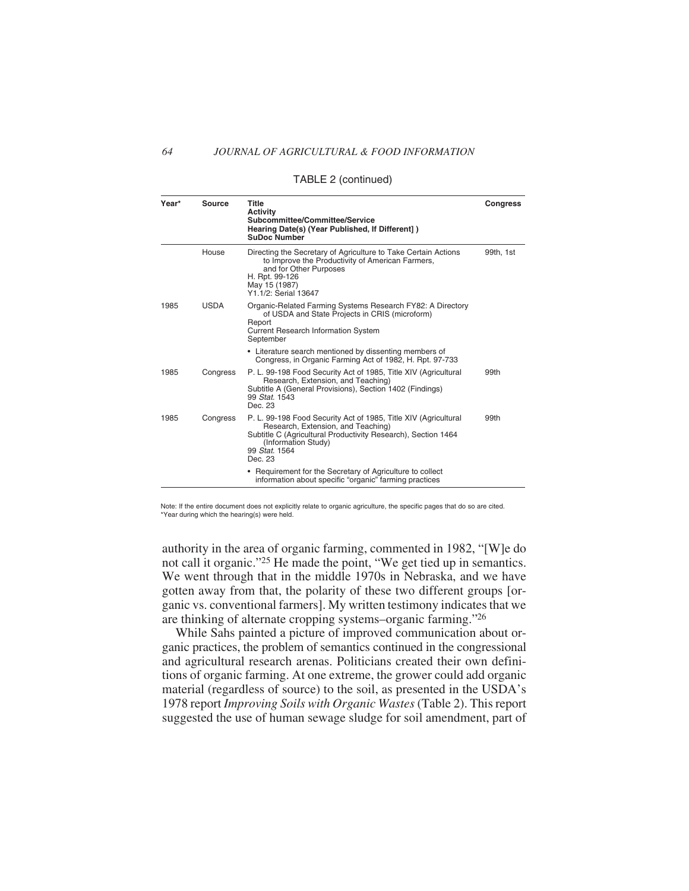#### TABLE 2 (continued)

| Year* | Source      | <b>Title</b><br><b>Activity</b><br>Subcommittee/Committee/Service<br>Hearing Date(s) (Year Published, If Different])<br><b>SuDoc Number</b>                                                                               | <b>Congress</b> |
|-------|-------------|---------------------------------------------------------------------------------------------------------------------------------------------------------------------------------------------------------------------------|-----------------|
|       | House       | Directing the Secretary of Agriculture to Take Certain Actions<br>to Improve the Productivity of American Farmers,<br>and for Other Purposes<br>H. Rpt. 99-126<br>May 15 (1987)<br>Y1.1/2: Serial 13647                   | 99th, 1st       |
| 1985  | <b>USDA</b> | Organic-Related Farming Systems Research FY82: A Directory<br>of USDA and State Projects in CRIS (microform)<br>Report<br><b>Current Research Information System</b><br>September                                         |                 |
|       |             | • Literature search mentioned by dissenting members of<br>Congress, in Organic Farming Act of 1982, H. Rpt. 97-733                                                                                                        |                 |
| 1985  | Congress    | P. L. 99-198 Food Security Act of 1985, Title XIV (Agricultural<br>Research, Extension, and Teaching)<br>Subtitle A (General Provisions), Section 1402 (Findings)<br>99 Stat. 1543<br>Dec. 23                             | 99th            |
| 1985  | Congress    | P. L. 99-198 Food Security Act of 1985. Title XIV (Agricultural<br>Research, Extension, and Teaching)<br>Subtitle C (Agricultural Productivity Research), Section 1464<br>(Information Study)<br>99 Stat. 1564<br>Dec. 23 | 99th            |
|       |             | • Requirement for the Secretary of Agriculture to collect<br>information about specific "organic" farming practices                                                                                                       |                 |

Note: If the entire document does not explicitly relate to organic agriculture, the specific pages that do so are cited. \*Year during which the hearing(s) were held.

authority in the area of organic farming, commented in 1982, "[W]e do not call it organic."25 He made the point, "We get tied up in semantics. We went through that in the middle 1970s in Nebraska, and we have gotten away from that, the polarity of these two different groups [organic vs. conventional farmers]. My written testimony indicates that we are thinking of alternate cropping systems–organic farming."26

While Sahs painted a picture of improved communication about organic practices, the problem of semantics continued in the congressional and agricultural research arenas. Politicians created their own definitions of organic farming. At one extreme, the grower could add organic material (regardless of source) to the soil, as presented in the USDA's 1978 report *Improving Soils with Organic Wastes* (Table 2). This report suggested the use of human sewage sludge for soil amendment, part of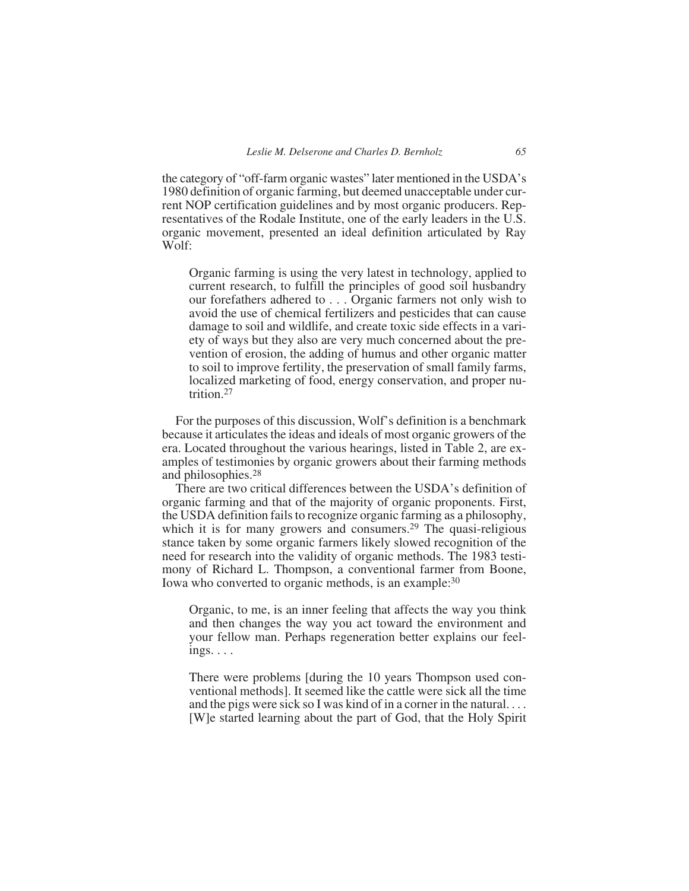the category of "off-farm organic wastes" later mentioned in the USDA's 1980 definition of organic farming, but deemed unacceptable under current NOP certification guidelines and by most organic producers. Representatives of the Rodale Institute, one of the early leaders in the U.S. organic movement, presented an ideal definition articulated by Ray Wolf:

Organic farming is using the very latest in technology, applied to current research, to fulfill the principles of good soil husbandry our forefathers adhered to . . . Organic farmers not only wish to avoid the use of chemical fertilizers and pesticides that can cause damage to soil and wildlife, and create toxic side effects in a variety of ways but they also are very much concerned about the prevention of erosion, the adding of humus and other organic matter to soil to improve fertility, the preservation of small family farms, localized marketing of food, energy conservation, and proper nutrition.27

For the purposes of this discussion, Wolf's definition is a benchmark because it articulates the ideas and ideals of most organic growers of the era. Located throughout the various hearings, listed in Table 2, are examples of testimonies by organic growers about their farming methods and philosophies.28

There are two critical differences between the USDA's definition of organic farming and that of the majority of organic proponents. First, the USDA definition fails to recognize organic farming as a philosophy, which it is for many growers and consumers.<sup>29</sup> The quasi-religious stance taken by some organic farmers likely slowed recognition of the need for research into the validity of organic methods. The 1983 testimony of Richard L. Thompson, a conventional farmer from Boone, Iowa who converted to organic methods, is an example:30

Organic, to me, is an inner feeling that affects the way you think and then changes the way you act toward the environment and your fellow man. Perhaps regeneration better explains our feel $ings. \ldots$ 

There were problems [during the 10 years Thompson used conventional methods]. It seemed like the cattle were sick all the time and the pigs were sick so I was kind of in a corner in the natural. . . . [W]e started learning about the part of God, that the Holy Spirit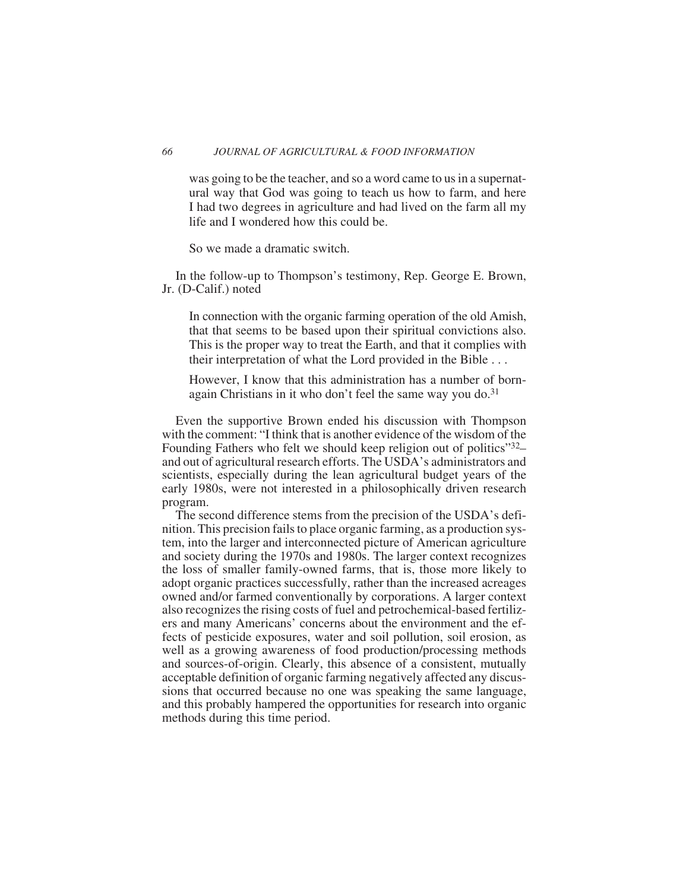was going to be the teacher, and so a word came to us in a supernatural way that God was going to teach us how to farm, and here I had two degrees in agriculture and had lived on the farm all my life and I wondered how this could be.

So we made a dramatic switch.

In the follow-up to Thompson's testimony, Rep. George E. Brown, Jr. (D-Calif.) noted

In connection with the organic farming operation of the old Amish, that that seems to be based upon their spiritual convictions also. This is the proper way to treat the Earth, and that it complies with their interpretation of what the Lord provided in the Bible . . .

However, I know that this administration has a number of bornagain Christians in it who don't feel the same way you do.<sup>31</sup>

Even the supportive Brown ended his discussion with Thompson with the comment: "I think that is another evidence of the wisdom of the Founding Fathers who felt we should keep religion out of politics"32– and out of agricultural research efforts. The USDA's administrators and scientists, especially during the lean agricultural budget years of the early 1980s, were not interested in a philosophically driven research program.

The second difference stems from the precision of the USDA's definition. This precision fails to place organic farming, as a production system, into the larger and interconnected picture of American agriculture and society during the 1970s and 1980s. The larger context recognizes the loss of smaller family-owned farms, that is, those more likely to adopt organic practices successfully, rather than the increased acreages owned and/or farmed conventionally by corporations. A larger context also recognizes the rising costs of fuel and petrochemical-based fertilizers and many Americans' concerns about the environment and the effects of pesticide exposures, water and soil pollution, soil erosion, as well as a growing awareness of food production/processing methods and sources-of-origin. Clearly, this absence of a consistent, mutually acceptable definition of organic farming negatively affected any discussions that occurred because no one was speaking the same language, and this probably hampered the opportunities for research into organic methods during this time period.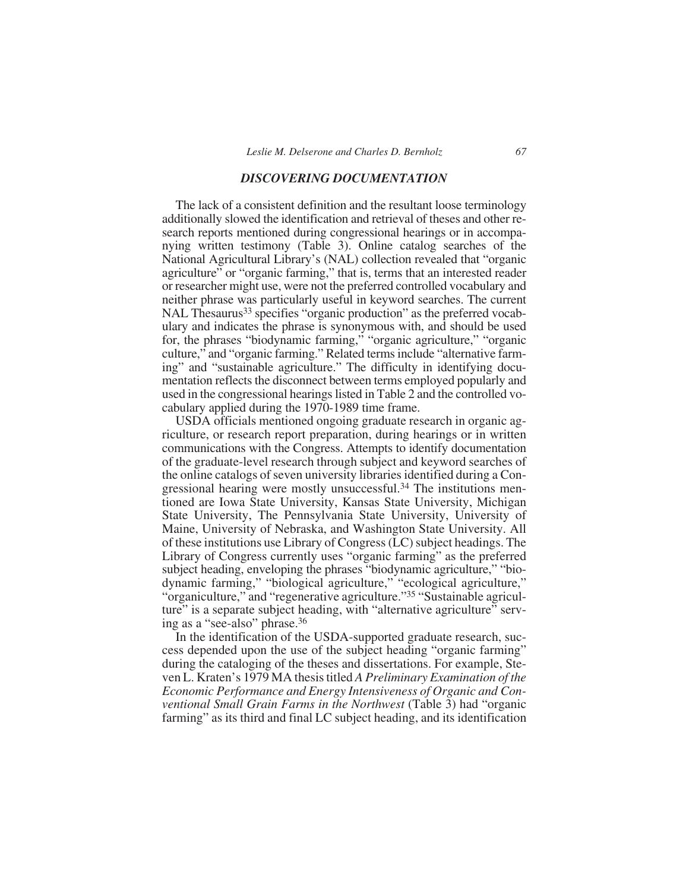#### *DISCOVERING DOCUMENTATION*

The lack of a consistent definition and the resultant loose terminology additionally slowed the identification and retrieval of theses and other research reports mentioned during congressional hearings or in accompanying written testimony (Table 3). Online catalog searches of the National Agricultural Library's (NAL) collection revealed that "organic agriculture" or "organic farming," that is, terms that an interested reader or researcher might use, were not the preferred controlled vocabulary and neither phrase was particularly useful in keyword searches. The current NAL Thesaurus<sup>33</sup> specifies "organic production" as the preferred vocabulary and indicates the phrase is synonymous with, and should be used for, the phrases "biodynamic farming," "organic agriculture," "organic culture," and "organic farming." Related terms include "alternative farming" and "sustainable agriculture." The difficulty in identifying documentation reflects the disconnect between terms employed popularly and used in the congressional hearings listed in Table 2 and the controlled vocabulary applied during the 1970-1989 time frame.

USDA officials mentioned ongoing graduate research in organic agriculture, or research report preparation, during hearings or in written communications with the Congress. Attempts to identify documentation of the graduate-level research through subject and keyword searches of the online catalogs of seven university libraries identified during a Congressional hearing were mostly unsuccessful.34 The institutions mentioned are Iowa State University, Kansas State University, Michigan State University, The Pennsylvania State University, University of Maine, University of Nebraska, and Washington State University. All of these institutions use Library of Congress (LC) subject headings. The Library of Congress currently uses "organic farming" as the preferred subject heading, enveloping the phrases "biodynamic agriculture," "biodynamic farming," "biological agriculture," "ecological agriculture," "organiculture," and "regenerative agriculture."35 "Sustainable agriculture" is a separate subject heading, with "alternative agriculture" serving as a "see-also" phrase.36

In the identification of the USDA-supported graduate research, success depended upon the use of the subject heading "organic farming" during the cataloging of the theses and dissertations. For example, Steven L. Kraten's 1979 MA thesis titled *A Preliminary Examination of the Economic Performance and Energy Intensiveness of Organic and Conventional Small Grain Farms in the Northwest* (Table 3) had "organic farming" as its third and final LC subject heading, and its identification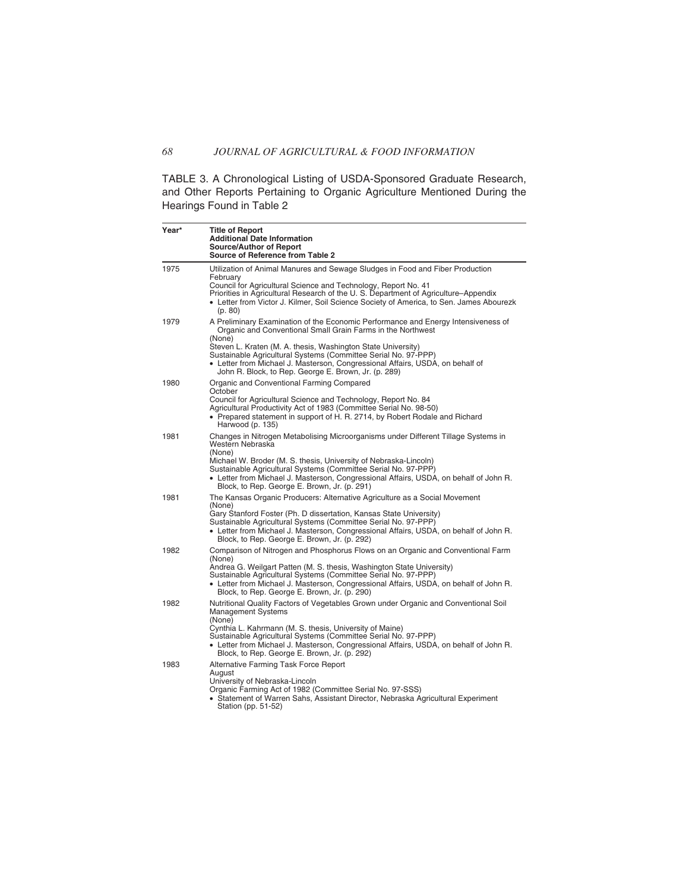TABLE 3. A Chronological Listing of USDA-Sponsored Graduate Research, and Other Reports Pertaining to Organic Agriculture Mentioned During the Hearings Found in Table 2

| Year* | <b>Title of Report</b><br><b>Additional Date Information</b><br><b>Source/Author of Report</b><br>Source of Reference from Table 2                                                                                                                                                                                                                                                                                                    |
|-------|---------------------------------------------------------------------------------------------------------------------------------------------------------------------------------------------------------------------------------------------------------------------------------------------------------------------------------------------------------------------------------------------------------------------------------------|
| 1975  | Utilization of Animal Manures and Sewage Sludges in Food and Fiber Production<br>February<br>Council for Agricultural Science and Technology, Report No. 41<br>Priorities in Agricultural Research of the U.S. Department of Agriculture–Appendix<br>• Letter from Victor J. Kilmer, Soil Science Society of America, to Sen. James Abourezk<br>(p. 80)                                                                               |
| 1979  | A Preliminary Examination of the Economic Performance and Energy Intensiveness of<br>Organic and Conventional Small Grain Farms in the Northwest<br>(None)<br>Steven L. Kraten (M. A. thesis, Washington State University)<br>Sustainable Agricultural Systems (Committee Serial No. 97-PPP)<br>• Letter from Michael J. Masterson, Congressional Affairs, USDA, on behalf of<br>John R. Block, to Rep. George E. Brown, Jr. (p. 289) |
| 1980  | Organic and Conventional Farming Compared<br>October<br>Council for Agricultural Science and Technology, Report No. 84<br>Agricultural Productivity Act of 1983 (Committee Serial No. 98-50)<br>• Prepared statement in support of H. R. 2714, by Robert Rodale and Richard<br>Harwood (p. 135)                                                                                                                                       |
| 1981  | Changes in Nitrogen Metabolising Microorganisms under Different Tillage Systems in<br>Western Nebraska<br>(None)<br>Michael W. Broder (M. S. thesis, University of Nebraska-Lincoln)<br>Sustainable Agricultural Systems (Committee Serial No. 97-PPP)<br>• Letter from Michael J. Masterson, Congressional Affairs, USDA, on behalf of John R.<br>Block, to Rep. George E. Brown, Jr. (p. 291)                                       |
| 1981  | The Kansas Organic Producers: Alternative Agriculture as a Social Movement<br>(None)<br>Gary Stanford Foster (Ph. D dissertation, Kansas State University)<br>Sustainable Agricultural Systems (Committee Serial No. 97-PPP)<br>• Letter from Michael J. Masterson, Congressional Affairs, USDA, on behalf of John R.<br>Block, to Rep. George E. Brown, Jr. (p. 292)                                                                 |
| 1982  | Comparison of Nitrogen and Phosphorus Flows on an Organic and Conventional Farm<br>(None)<br>Andrea G. Weilgart Patten (M. S. thesis, Washington State University)<br>Sustainable Agricultural Systems (Committee Serial No. 97-PPP)<br>• Letter from Michael J. Masterson, Congressional Affairs, USDA, on behalf of John R.<br>Block, to Rep. George E. Brown, Jr. (p. 290)                                                         |
| 1982  | Nutritional Quality Factors of Vegetables Grown under Organic and Conventional Soil<br><b>Management Systems</b><br>(None)<br>Cynthia L. Kahrmann (M. S. thesis, University of Maine)<br>Sustainable Agricultural Systems (Committee Serial No. 97-PPP)<br>• Letter from Michael J. Masterson, Congressional Affairs, USDA, on behalf of John R.<br>Block, to Rep. George E. Brown, Jr. (p. 292)                                      |
| 1983  | Alternative Farming Task Force Report<br>August<br>University of Nebraska-Lincoln<br>Organic Farming Act of 1982 (Committee Serial No. 97-SSS)<br>• Statement of Warren Sahs, Assistant Director, Nebraska Agricultural Experiment<br>Station (pp. 51-52)                                                                                                                                                                             |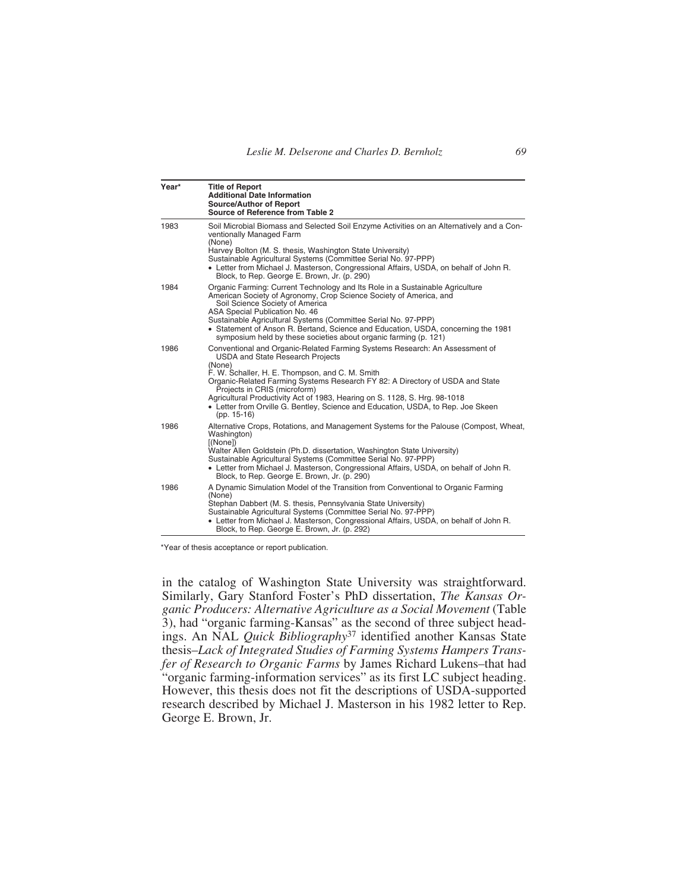| Year* | <b>Title of Report</b><br><b>Additional Date Information</b><br><b>Source/Author of Report</b><br>Source of Reference from Table 2                                                                                                                                   |
|-------|----------------------------------------------------------------------------------------------------------------------------------------------------------------------------------------------------------------------------------------------------------------------|
| 1983  | Soil Microbial Biomass and Selected Soil Enzyme Activities on an Alternatively and a Con-<br>ventionally Managed Farm<br>(None)                                                                                                                                      |
|       | Harvey Bolton (M. S. thesis, Washington State University)<br>Sustainable Agricultural Systems (Committee Serial No. 97-PPP)<br>• Letter from Michael J. Masterson, Congressional Affairs, USDA, on behalf of John R.<br>Block, to Rep. George E. Brown, Jr. (p. 290) |
| 1984  | Organic Farming: Current Technology and Its Role in a Sustainable Agriculture<br>American Society of Agronomy, Crop Science Society of America, and<br>Soil Science Society of America<br>ASA Special Publication No. 46                                             |
|       | Sustainable Agricultural Systems (Committee Serial No. 97-PPP)<br>• Statement of Anson R. Bertand, Science and Education, USDA, concerning the 1981<br>symposium held by these societies about organic farming (p. 121)                                              |
| 1986  | Conventional and Organic-Related Farming Systems Research: An Assessment of<br><b>USDA and State Research Projects</b><br>(None)                                                                                                                                     |
|       | F. W. Schaller, H. E. Thompson, and C. M. Smith<br>Organic-Related Farming Systems Research FY 82: A Directory of USDA and State<br>Projects in CRIS (microform)                                                                                                     |
|       | Agricultural Productivity Act of 1983, Hearing on S. 1128, S. Hrg. 98-1018<br>• Letter from Orville G. Bentley, Science and Education, USDA, to Rep. Joe Skeen<br>$(pp. 15-16)$                                                                                      |
| 1986  | Alternative Crops, Rotations, and Management Systems for the Palouse (Compost, Wheat,<br>Washington)<br>$[$ (None])                                                                                                                                                  |
|       | Walter Allen Goldstein (Ph.D. dissertation, Washington State University)<br>Sustainable Agricultural Systems (Committee Serial No. 97-PPP)                                                                                                                           |
|       | • Letter from Michael J. Masterson, Congressional Affairs, USDA, on behalf of John R.<br>Block, to Rep. George E. Brown, Jr. (p. 290)                                                                                                                                |
| 1986  | A Dynamic Simulation Model of the Transition from Conventional to Organic Farming<br>(None)                                                                                                                                                                          |
|       | Stephan Dabbert (M. S. thesis, Pennsylvania State University)<br>Sustainable Agricultural Systems (Committee Serial No. 97-PPP)                                                                                                                                      |
|       | • Letter from Michael J. Masterson, Congressional Affairs, USDA, on behalf of John R.<br>Block, to Rep. George E. Brown, Jr. (p. 292)                                                                                                                                |

\*Year of thesis acceptance or report publication.

in the catalog of Washington State University was straightforward. Similarly, Gary Stanford Foster's PhD dissertation, *The Kansas Organic Producers: Alternative Agriculture as a Social Movement* (Table 3), had "organic farming-Kansas" as the second of three subject headings. An NAL *Quick Bibliography*<sup>37</sup> identified another Kansas State thesis–*Lack of Integrated Studies of Farming Systems Hampers Transfer of Research to Organic Farms* by James Richard Lukens–that had "organic farming-information services" as its first LC subject heading. However, this thesis does not fit the descriptions of USDA-supported research described by Michael J. Masterson in his 1982 letter to Rep. George E. Brown, Jr.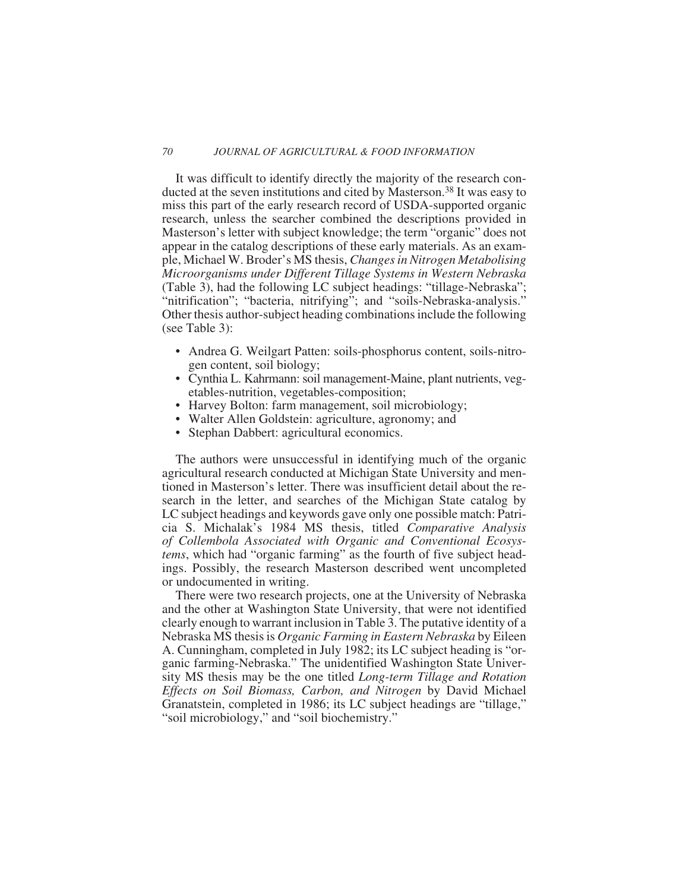It was difficult to identify directly the majority of the research conducted at the seven institutions and cited by Masterson.38 It was easy to miss this part of the early research record of USDA-supported organic research, unless the searcher combined the descriptions provided in Masterson's letter with subject knowledge; the term "organic" does not appear in the catalog descriptions of these early materials. As an example, Michael W. Broder's MS thesis, *Changes in Nitrogen Metabolising Microorganisms under Different Tillage Systems in Western Nebraska* (Table 3), had the following LC subject headings: "tillage-Nebraska"; "nitrification"; "bacteria, nitrifying"; and "soils-Nebraska-analysis." Other thesis author-subject heading combinations include the following (see Table 3):

- Andrea G. Weilgart Patten: soils-phosphorus content, soils-nitrogen content, soil biology;
- Cynthia L. Kahrmann: soil management-Maine, plant nutrients, vegetables-nutrition, vegetables-composition;
- Harvey Bolton: farm management, soil microbiology;
- Walter Allen Goldstein: agriculture, agronomy; and
- Stephan Dabbert: agricultural economics.

The authors were unsuccessful in identifying much of the organic agricultural research conducted at Michigan State University and mentioned in Masterson's letter. There was insufficient detail about the research in the letter, and searches of the Michigan State catalog by LC subject headings and keywords gave only one possible match: Patricia S. Michalak's 1984 MS thesis, titled *Comparative Analysis of Collembola Associated with Organic and Conventional Ecosystems*, which had "organic farming" as the fourth of five subject headings. Possibly, the research Masterson described went uncompleted or undocumented in writing.

There were two research projects, one at the University of Nebraska and the other at Washington State University, that were not identified clearly enough to warrant inclusion in Table 3. The putative identity of a Nebraska MS thesis is *Organic Farming in Eastern Nebraska* by Eileen A. Cunningham, completed in July 1982; its LC subject heading is "organic farming-Nebraska." The unidentified Washington State University MS thesis may be the one titled *Long-term Tillage and Rotation Effects on Soil Biomass, Carbon, and Nitrogen* by David Michael Granatstein, completed in 1986; its LC subject headings are "tillage," "soil microbiology," and "soil biochemistry."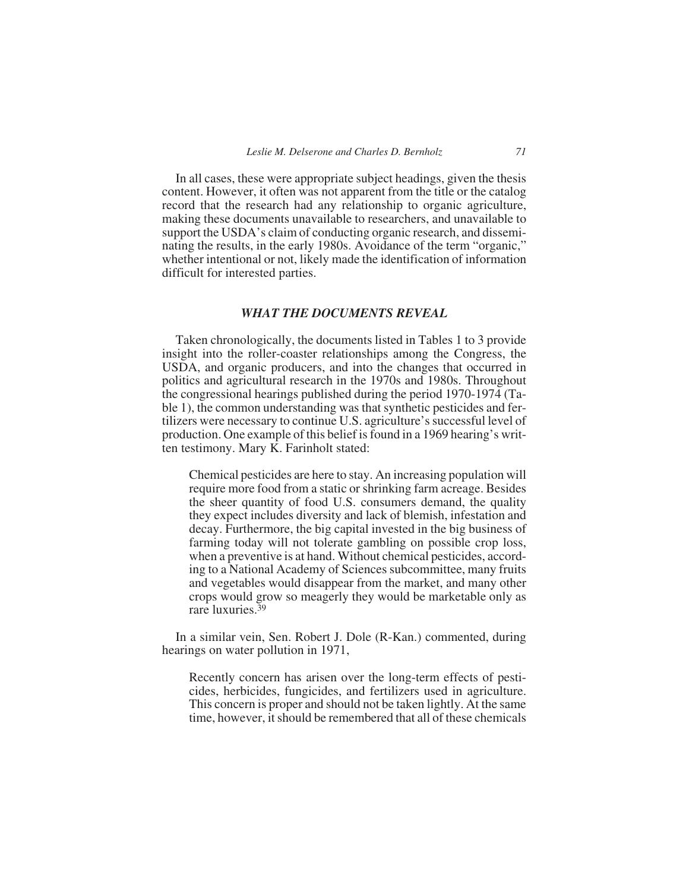In all cases, these were appropriate subject headings, given the thesis content. However, it often was not apparent from the title or the catalog record that the research had any relationship to organic agriculture, making these documents unavailable to researchers, and unavailable to support the USDA's claim of conducting organic research, and disseminating the results, in the early 1980s. Avoidance of the term "organic," whether intentional or not, likely made the identification of information difficult for interested parties.

#### *WHAT THE DOCUMENTS REVEAL*

Taken chronologically, the documents listed in Tables 1 to 3 provide insight into the roller-coaster relationships among the Congress, the USDA, and organic producers, and into the changes that occurred in politics and agricultural research in the 1970s and 1980s. Throughout the congressional hearings published during the period 1970-1974 (Table 1), the common understanding was that synthetic pesticides and fertilizers were necessary to continue U.S. agriculture's successful level of production. One example of this belief is found in a 1969 hearing's written testimony. Mary K. Farinholt stated:

Chemical pesticides are here to stay. An increasing population will require more food from a static or shrinking farm acreage. Besides the sheer quantity of food U.S. consumers demand, the quality they expect includes diversity and lack of blemish, infestation and decay. Furthermore, the big capital invested in the big business of farming today will not tolerate gambling on possible crop loss, when a preventive is at hand. Without chemical pesticides, according to a National Academy of Sciences subcommittee, many fruits and vegetables would disappear from the market, and many other crops would grow so meagerly they would be marketable only as rare luxuries.39

In a similar vein, Sen. Robert J. Dole (R-Kan.) commented, during hearings on water pollution in 1971,

Recently concern has arisen over the long-term effects of pesticides, herbicides, fungicides, and fertilizers used in agriculture. This concern is proper and should not be taken lightly. At the same time, however, it should be remembered that all of these chemicals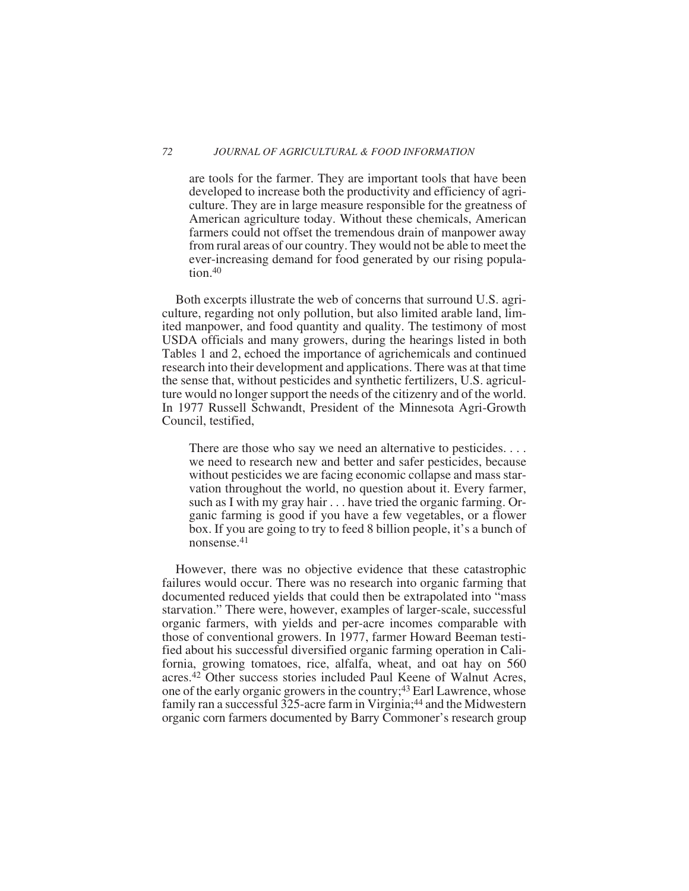are tools for the farmer. They are important tools that have been developed to increase both the productivity and efficiency of agriculture. They are in large measure responsible for the greatness of American agriculture today. Without these chemicals, American farmers could not offset the tremendous drain of manpower away from rural areas of our country. They would not be able to meet the ever-increasing demand for food generated by our rising population.40

Both excerpts illustrate the web of concerns that surround U.S. agriculture, regarding not only pollution, but also limited arable land, limited manpower, and food quantity and quality. The testimony of most USDA officials and many growers, during the hearings listed in both Tables 1 and 2, echoed the importance of agrichemicals and continued research into their development and applications. There was at that time the sense that, without pesticides and synthetic fertilizers, U.S. agriculture would no longer support the needs of the citizenry and of the world. In 1977 Russell Schwandt, President of the Minnesota Agri-Growth Council, testified,

There are those who say we need an alternative to pesticides.... we need to research new and better and safer pesticides, because without pesticides we are facing economic collapse and mass starvation throughout the world, no question about it. Every farmer, such as I with my gray hair . . . have tried the organic farming. Organic farming is good if you have a few vegetables, or a flower box. If you are going to try to feed 8 billion people, it's a bunch of nonsense.41

However, there was no objective evidence that these catastrophic failures would occur. There was no research into organic farming that documented reduced yields that could then be extrapolated into "mass starvation." There were, however, examples of larger-scale, successful organic farmers, with yields and per-acre incomes comparable with those of conventional growers. In 1977, farmer Howard Beeman testified about his successful diversified organic farming operation in California, growing tomatoes, rice, alfalfa, wheat, and oat hay on 560 acres.42 Other success stories included Paul Keene of Walnut Acres, one of the early organic growers in the country;43 Earl Lawrence, whose family ran a successful 325-acre farm in Virginia;<sup>44</sup> and the Midwestern organic corn farmers documented by Barry Commoner's research group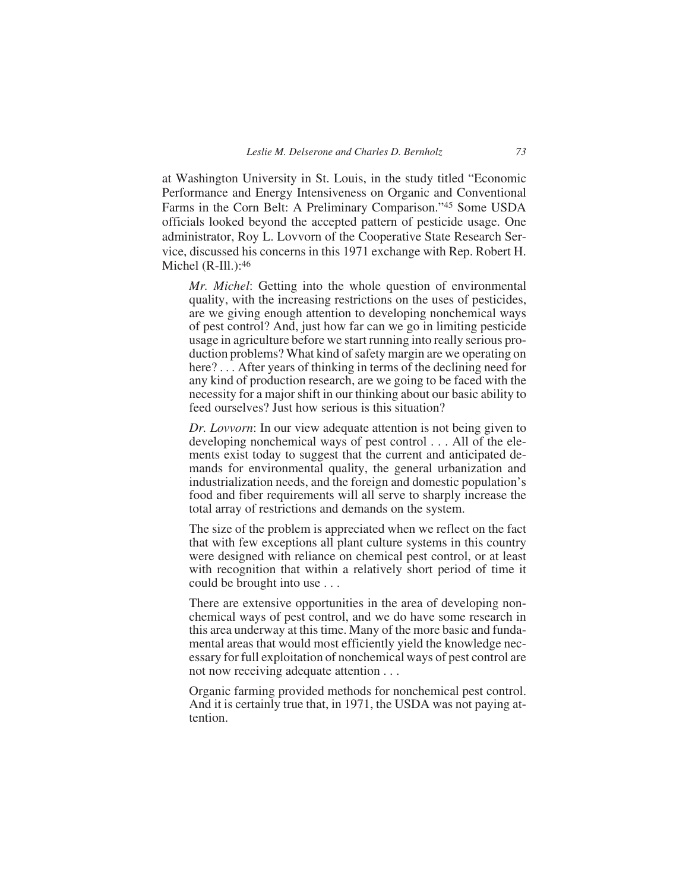at Washington University in St. Louis, in the study titled "Economic Performance and Energy Intensiveness on Organic and Conventional Farms in the Corn Belt: A Preliminary Comparison."45 Some USDA officials looked beyond the accepted pattern of pesticide usage. One administrator, Roy L. Lovvorn of the Cooperative State Research Service, discussed his concerns in this 1971 exchange with Rep. Robert H. Michel (R-Ill.):46

*Mr. Michel*: Getting into the whole question of environmental quality, with the increasing restrictions on the uses of pesticides, are we giving enough attention to developing nonchemical ways of pest control? And, just how far can we go in limiting pesticide usage in agriculture before we start running into really serious production problems? What kind of safety margin are we operating on here? . . . After years of thinking in terms of the declining need for any kind of production research, are we going to be faced with the necessity for a major shift in our thinking about our basic ability to feed ourselves? Just how serious is this situation?

*Dr. Lovvorn*: In our view adequate attention is not being given to developing nonchemical ways of pest control . . . All of the elements exist today to suggest that the current and anticipated demands for environmental quality, the general urbanization and industrialization needs, and the foreign and domestic population's food and fiber requirements will all serve to sharply increase the total array of restrictions and demands on the system.

The size of the problem is appreciated when we reflect on the fact that with few exceptions all plant culture systems in this country were designed with reliance on chemical pest control, or at least with recognition that within a relatively short period of time it could be brought into use . . .

There are extensive opportunities in the area of developing nonchemical ways of pest control, and we do have some research in this area underway at this time. Many of the more basic and fundamental areas that would most efficiently yield the knowledge necessary for full exploitation of nonchemical ways of pest control are not now receiving adequate attention . . .

Organic farming provided methods for nonchemical pest control. And it is certainly true that, in 1971, the USDA was not paying attention.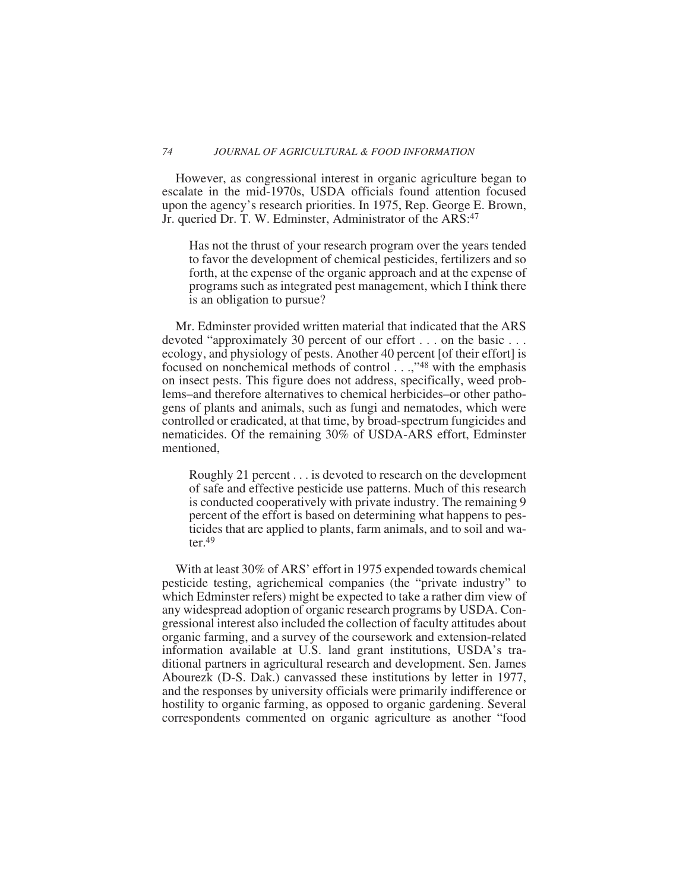However, as congressional interest in organic agriculture began to escalate in the mid-1970s, USDA officials found attention focused upon the agency's research priorities. In 1975, Rep. George E. Brown, Jr. queried Dr. T. W. Edminster, Administrator of the ARS:47

Has not the thrust of your research program over the years tended to favor the development of chemical pesticides, fertilizers and so forth, at the expense of the organic approach and at the expense of programs such as integrated pest management, which I think there is an obligation to pursue?

Mr. Edminster provided written material that indicated that the ARS devoted "approximately 30 percent of our effort . . . on the basic . . . ecology, and physiology of pests. Another 40 percent [of their effort] is focused on nonchemical methods of control . . .,"48 with the emphasis on insect pests. This figure does not address, specifically, weed problems–and therefore alternatives to chemical herbicides–or other pathogens of plants and animals, such as fungi and nematodes, which were controlled or eradicated, at that time, by broad-spectrum fungicides and nematicides. Of the remaining 30% of USDA-ARS effort, Edminster mentioned,

Roughly 21 percent . . . is devoted to research on the development of safe and effective pesticide use patterns. Much of this research is conducted cooperatively with private industry. The remaining 9 percent of the effort is based on determining what happens to pesticides that are applied to plants, farm animals, and to soil and water.49

With at least 30% of ARS' effort in 1975 expended towards chemical pesticide testing, agrichemical companies (the "private industry" to which Edminster refers) might be expected to take a rather dim view of any widespread adoption of organic research programs by USDA. Congressional interest also included the collection of faculty attitudes about organic farming, and a survey of the coursework and extension-related information available at U.S. land grant institutions, USDA's traditional partners in agricultural research and development. Sen. James Abourezk (D-S. Dak.) canvassed these institutions by letter in 1977, and the responses by university officials were primarily indifference or hostility to organic farming, as opposed to organic gardening. Several correspondents commented on organic agriculture as another "food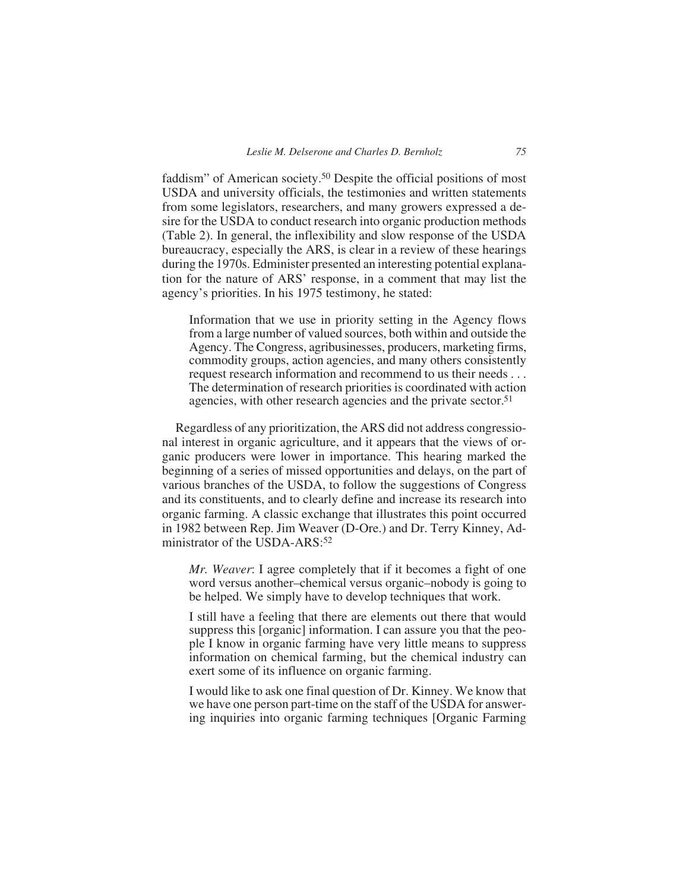faddism" of American society.50 Despite the official positions of most USDA and university officials, the testimonies and written statements from some legislators, researchers, and many growers expressed a desire for the USDA to conduct research into organic production methods (Table 2). In general, the inflexibility and slow response of the USDA bureaucracy, especially the ARS, is clear in a review of these hearings during the 1970s. Edminister presented an interesting potential explanation for the nature of ARS' response, in a comment that may list the agency's priorities. In his 1975 testimony, he stated:

Information that we use in priority setting in the Agency flows from a large number of valued sources, both within and outside the Agency. The Congress, agribusinesses, producers, marketing firms, commodity groups, action agencies, and many others consistently request research information and recommend to us their needs . . . The determination of research priorities is coordinated with action agencies, with other research agencies and the private sector.<sup>51</sup>

Regardless of any prioritization, the ARS did not address congressional interest in organic agriculture, and it appears that the views of organic producers were lower in importance. This hearing marked the beginning of a series of missed opportunities and delays, on the part of various branches of the USDA, to follow the suggestions of Congress and its constituents, and to clearly define and increase its research into organic farming. A classic exchange that illustrates this point occurred in 1982 between Rep. Jim Weaver (D-Ore.) and Dr. Terry Kinney, Administrator of the USDA-ARS:52

*Mr. Weaver*: I agree completely that if it becomes a fight of one word versus another–chemical versus organic–nobody is going to be helped. We simply have to develop techniques that work.

I still have a feeling that there are elements out there that would suppress this [organic] information. I can assure you that the people I know in organic farming have very little means to suppress information on chemical farming, but the chemical industry can exert some of its influence on organic farming.

I would like to ask one final question of Dr. Kinney. We know that we have one person part-time on the staff of the USDA for answering inquiries into organic farming techniques [Organic Farming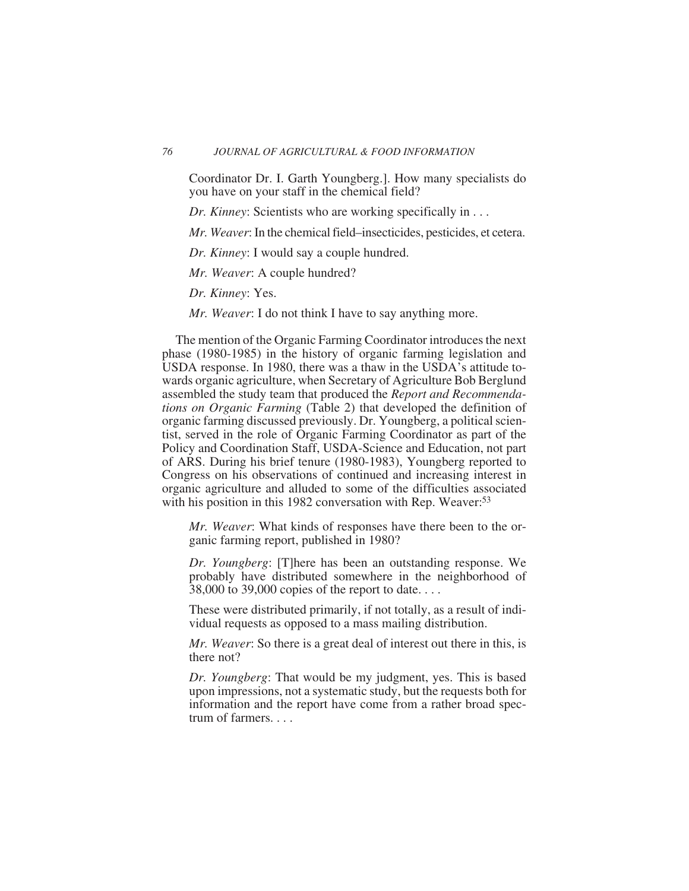Coordinator Dr. I. Garth Youngberg.]. How many specialists do you have on your staff in the chemical field?

*Dr. Kinney*: Scientists who are working specifically in . . .

*Mr. Weaver*: In the chemical field–insecticides, pesticides, et cetera.

*Dr. Kinney*: I would say a couple hundred.

*Mr. Weaver*: A couple hundred?

*Dr. Kinney*: Yes.

*Mr. Weaver*: I do not think I have to say anything more.

The mention of the Organic Farming Coordinator introduces the next phase (1980-1985) in the history of organic farming legislation and USDA response. In 1980, there was a thaw in the USDA's attitude towards organic agriculture, when Secretary of Agriculture Bob Berglund assembled the study team that produced the *Report and Recommendations on Organic Farming* (Table 2) that developed the definition of organic farming discussed previously. Dr. Youngberg, a political scientist, served in the role of Organic Farming Coordinator as part of the Policy and Coordination Staff, USDA-Science and Education, not part of ARS. During his brief tenure (1980-1983), Youngberg reported to Congress on his observations of continued and increasing interest in organic agriculture and alluded to some of the difficulties associated with his position in this 1982 conversation with Rep. Weaver:<sup>53</sup>

*Mr. Weaver*: What kinds of responses have there been to the organic farming report, published in 1980?

*Dr. Youngberg*: [T]here has been an outstanding response. We probably have distributed somewhere in the neighborhood of 38,000 to 39,000 copies of the report to date. . . .

These were distributed primarily, if not totally, as a result of individual requests as opposed to a mass mailing distribution.

*Mr. Weaver*: So there is a great deal of interest out there in this, is there not?

*Dr. Youngberg*: That would be my judgment, yes. This is based upon impressions, not a systematic study, but the requests both for information and the report have come from a rather broad spectrum of farmers. . . .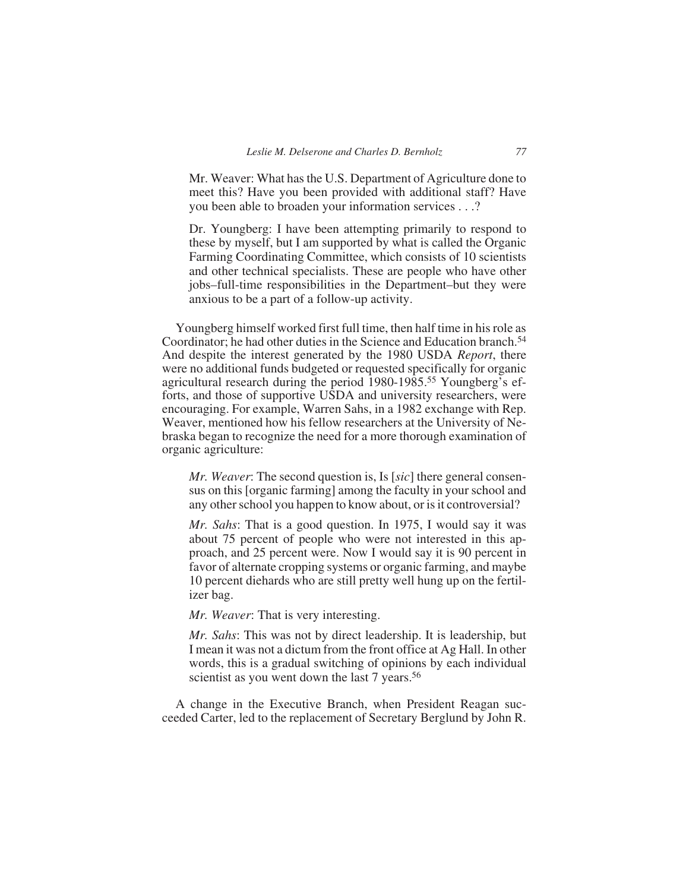Mr. Weaver: What has the U.S. Department of Agriculture done to meet this? Have you been provided with additional staff? Have you been able to broaden your information services . . .?

Dr. Youngberg: I have been attempting primarily to respond to these by myself, but I am supported by what is called the Organic Farming Coordinating Committee, which consists of 10 scientists and other technical specialists. These are people who have other jobs–full-time responsibilities in the Department–but they were anxious to be a part of a follow-up activity.

Youngberg himself worked first full time, then half time in his role as Coordinator; he had other duties in the Science and Education branch.54 And despite the interest generated by the 1980 USDA *Report*, there were no additional funds budgeted or requested specifically for organic agricultural research during the period 1980-1985.55 Youngberg's efforts, and those of supportive USDA and university researchers, were encouraging. For example, Warren Sahs, in a 1982 exchange with Rep. Weaver, mentioned how his fellow researchers at the University of Nebraska began to recognize the need for a more thorough examination of organic agriculture:

*Mr. Weaver*: The second question is, Is [*sic*] there general consensus on this [organic farming] among the faculty in your school and any other school you happen to know about, or is it controversial?

*Mr. Sahs*: That is a good question. In 1975, I would say it was about 75 percent of people who were not interested in this approach, and 25 percent were. Now I would say it is 90 percent in favor of alternate cropping systems or organic farming, and maybe 10 percent diehards who are still pretty well hung up on the fertilizer bag.

*Mr. Weaver*: That is very interesting.

*Mr. Sahs*: This was not by direct leadership. It is leadership, but I mean it was not a dictum from the front office at Ag Hall. In other words, this is a gradual switching of opinions by each individual scientist as you went down the last 7 years.<sup>56</sup>

A change in the Executive Branch, when President Reagan succeeded Carter, led to the replacement of Secretary Berglund by John R.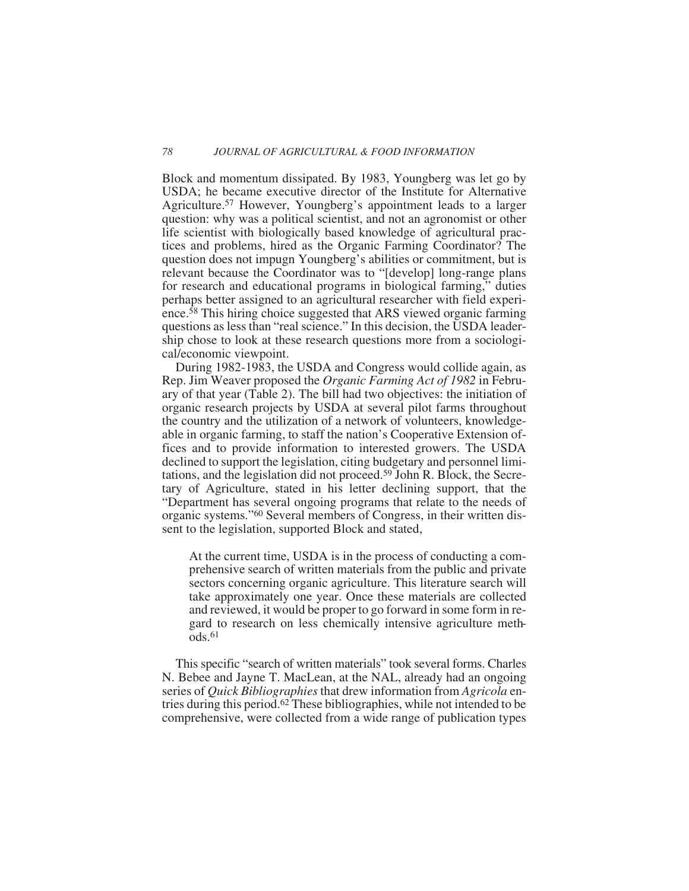Block and momentum dissipated. By 1983, Youngberg was let go by USDA; he became executive director of the Institute for Alternative Agriculture.57 However, Youngberg's appointment leads to a larger question: why was a political scientist, and not an agronomist or other life scientist with biologically based knowledge of agricultural practices and problems, hired as the Organic Farming Coordinator? The question does not impugn Youngberg's abilities or commitment, but is relevant because the Coordinator was to "[develop] long-range plans for research and educational programs in biological farming," duties perhaps better assigned to an agricultural researcher with field experience.58 This hiring choice suggested that ARS viewed organic farming questions as less than "real science." In this decision, the USDA leadership chose to look at these research questions more from a sociological/economic viewpoint.

During 1982-1983, the USDA and Congress would collide again, as Rep. Jim Weaver proposed the *Organic Farming Act of 1982* in February of that year (Table 2). The bill had two objectives: the initiation of organic research projects by USDA at several pilot farms throughout the country and the utilization of a network of volunteers, knowledgeable in organic farming, to staff the nation's Cooperative Extension offices and to provide information to interested growers. The USDA declined to support the legislation, citing budgetary and personnel limitations, and the legislation did not proceed.59 John R. Block, the Secretary of Agriculture, stated in his letter declining support, that the "Department has several ongoing programs that relate to the needs of organic systems."60 Several members of Congress, in their written dissent to the legislation, supported Block and stated,

At the current time, USDA is in the process of conducting a comprehensive search of written materials from the public and private sectors concerning organic agriculture. This literature search will take approximately one year. Once these materials are collected and reviewed, it would be proper to go forward in some form in regard to research on less chemically intensive agriculture meth- $\mathrm{ods}$ .<sup>61</sup>

This specific "search of written materials" took several forms. Charles N. Bebee and Jayne T. MacLean, at the NAL, already had an ongoing series of *Quick Bibliographies* that drew information from *Agricola* entries during this period.62 These bibliographies, while not intended to be comprehensive, were collected from a wide range of publication types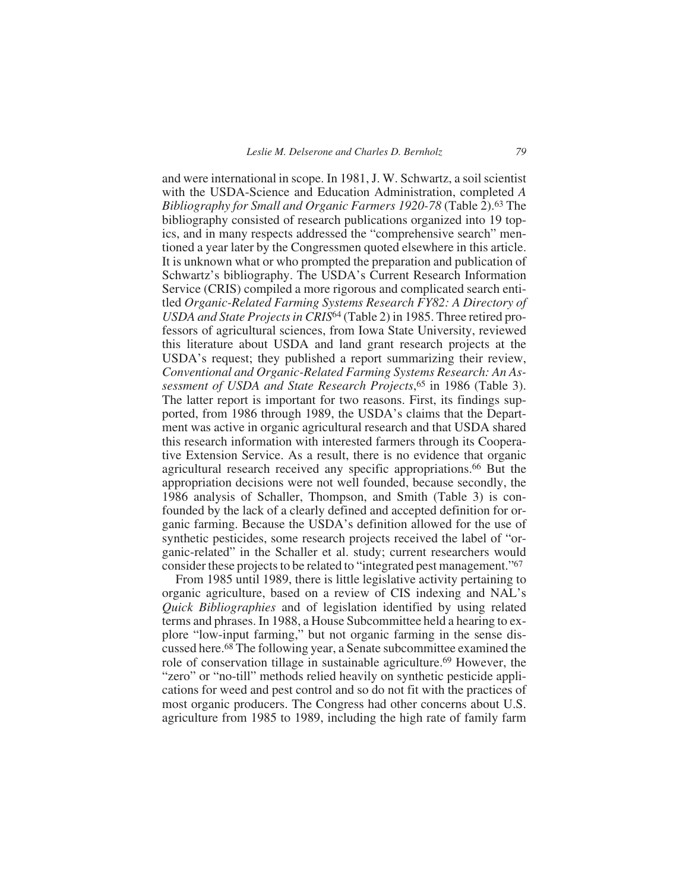and were international in scope. In 1981, J. W. Schwartz, a soil scientist with the USDA-Science and Education Administration, completed *A Bibliography for Small and Organic Farmers 1920-78* (Table 2).63 The bibliography consisted of research publications organized into 19 topics, and in many respects addressed the "comprehensive search" mentioned a year later by the Congressmen quoted elsewhere in this article. It is unknown what or who prompted the preparation and publication of Schwartz's bibliography. The USDA's Current Research Information Service (CRIS) compiled a more rigorous and complicated search entitled *Organic-Related Farming Systems Research FY82: A Directory of USDA and State Projects in CRIS*<sup>64</sup> (Table 2) in 1985. Three retired professors of agricultural sciences, from Iowa State University, reviewed this literature about USDA and land grant research projects at the USDA's request; they published a report summarizing their review, *Conventional and Organic-Related Farming Systems Research: An Assessment of USDA and State Research Projects*, <sup>65</sup> in 1986 (Table 3). The latter report is important for two reasons. First, its findings supported, from 1986 through 1989, the USDA's claims that the Department was active in organic agricultural research and that USDA shared this research information with interested farmers through its Cooperative Extension Service. As a result, there is no evidence that organic agricultural research received any specific appropriations.66 But the appropriation decisions were not well founded, because secondly, the 1986 analysis of Schaller, Thompson, and Smith (Table 3) is confounded by the lack of a clearly defined and accepted definition for organic farming. Because the USDA's definition allowed for the use of synthetic pesticides, some research projects received the label of "organic-related" in the Schaller et al. study; current researchers would consider these projects to be related to "integrated pest management."67

From 1985 until 1989, there is little legislative activity pertaining to organic agriculture, based on a review of CIS indexing and NAL's *Quick Bibliographies* and of legislation identified by using related terms and phrases. In 1988, a House Subcommittee held a hearing to explore "low-input farming," but not organic farming in the sense discussed here.68 The following year, a Senate subcommittee examined the role of conservation tillage in sustainable agriculture.69 However, the "zero" or "no-till" methods relied heavily on synthetic pesticide applications for weed and pest control and so do not fit with the practices of most organic producers. The Congress had other concerns about U.S. agriculture from 1985 to 1989, including the high rate of family farm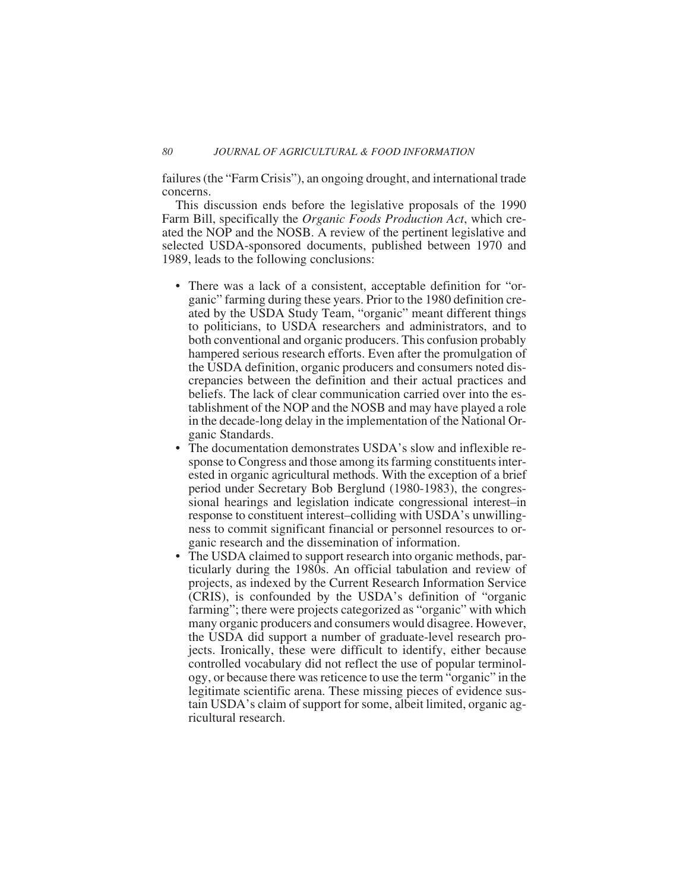failures (the "Farm Crisis"), an ongoing drought, and international trade concerns.

This discussion ends before the legislative proposals of the 1990 Farm Bill, specifically the *Organic Foods Production Act*, which created the NOP and the NOSB. A review of the pertinent legislative and selected USDA-sponsored documents, published between 1970 and 1989, leads to the following conclusions:

- There was a lack of a consistent, acceptable definition for "organic" farming during these years. Prior to the 1980 definition created by the USDA Study Team, "organic" meant different things to politicians, to USDA researchers and administrators, and to both conventional and organic producers. This confusion probably hampered serious research efforts. Even after the promulgation of the USDA definition, organic producers and consumers noted discrepancies between the definition and their actual practices and beliefs. The lack of clear communication carried over into the establishment of the NOP and the NOSB and may have played a role in the decade-long delay in the implementation of the National Organic Standards.
- The documentation demonstrates USDA's slow and inflexible response to Congress and those among its farming constituents interested in organic agricultural methods. With the exception of a brief period under Secretary Bob Berglund (1980-1983), the congressional hearings and legislation indicate congressional interest–in response to constituent interest–colliding with USDA's unwillingness to commit significant financial or personnel resources to organic research and the dissemination of information.
- The USDA claimed to support research into organic methods, particularly during the 1980s. An official tabulation and review of projects, as indexed by the Current Research Information Service (CRIS), is confounded by the USDA's definition of "organic farming"; there were projects categorized as "organic" with which many organic producers and consumers would disagree. However, the USDA did support a number of graduate-level research projects. Ironically, these were difficult to identify, either because controlled vocabulary did not reflect the use of popular terminology, or because there was reticence to use the term "organic" in the legitimate scientific arena. These missing pieces of evidence sustain USDA's claim of support for some, albeit limited, organic agricultural research.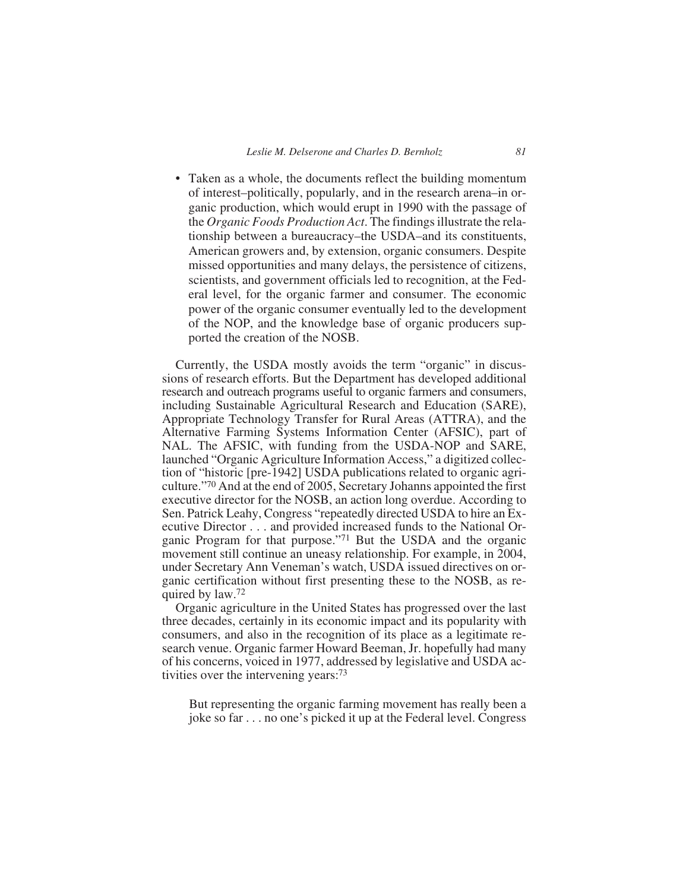• Taken as a whole, the documents reflect the building momentum of interest–politically, popularly, and in the research arena–in organic production, which would erupt in 1990 with the passage of the *Organic Foods Production Act*. The findings illustrate the relationship between a bureaucracy–the USDA–and its constituents, American growers and, by extension, organic consumers. Despite missed opportunities and many delays, the persistence of citizens, scientists, and government officials led to recognition, at the Federal level, for the organic farmer and consumer. The economic power of the organic consumer eventually led to the development of the NOP, and the knowledge base of organic producers supported the creation of the NOSB.

Currently, the USDA mostly avoids the term "organic" in discussions of research efforts. But the Department has developed additional research and outreach programs useful to organic farmers and consumers, including Sustainable Agricultural Research and Education (SARE), Appropriate Technology Transfer for Rural Areas (ATTRA), and the Alternative Farming Systems Information Center (AFSIC), part of NAL. The AFSIC, with funding from the USDA-NOP and SARE, launched "Organic Agriculture Information Access," a digitized collection of "historic [pre-1942] USDA publications related to organic agriculture."70 And at the end of 2005, Secretary Johanns appointed the first executive director for the NOSB, an action long overdue. According to Sen. Patrick Leahy, Congress "repeatedly directed USDA to hire an Executive Director . . . and provided increased funds to the National Organic Program for that purpose."71 But the USDA and the organic movement still continue an uneasy relationship. For example, in 2004, under Secretary Ann Veneman's watch, USDA issued directives on organic certification without first presenting these to the NOSB, as required by law.72

Organic agriculture in the United States has progressed over the last three decades, certainly in its economic impact and its popularity with consumers, and also in the recognition of its place as a legitimate research venue. Organic farmer Howard Beeman, Jr. hopefully had many of his concerns, voiced in 1977, addressed by legislative and USDA activities over the intervening years:73

But representing the organic farming movement has really been a joke so far . . . no one's picked it up at the Federal level. Congress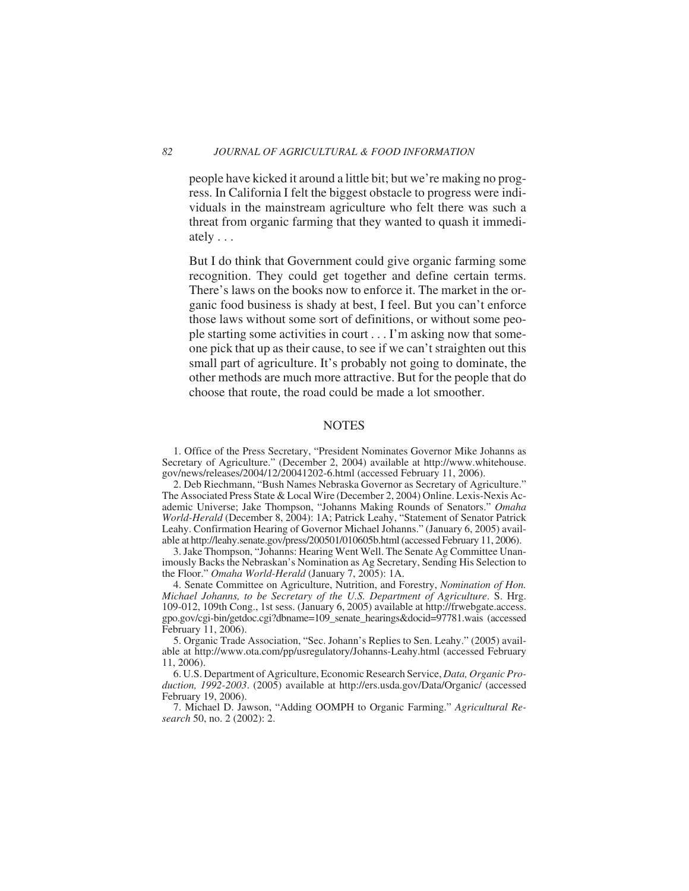people have kicked it around a little bit; but we're making no progress. In California I felt the biggest obstacle to progress were individuals in the mainstream agriculture who felt there was such a threat from organic farming that they wanted to quash it immediately . . .

But I do think that Government could give organic farming some recognition. They could get together and define certain terms. There's laws on the books now to enforce it. The market in the organic food business is shady at best, I feel. But you can't enforce those laws without some sort of definitions, or without some people starting some activities in court . . . I'm asking now that someone pick that up as their cause, to see if we can't straighten out this small part of agriculture. It's probably not going to dominate, the other methods are much more attractive. But for the people that do choose that route, the road could be made a lot smoother.

#### NOTES

1. Office of the Press Secretary, "President Nominates Governor Mike Johanns as Secretary of Agriculture." (December 2, 2004) available at [http://www.whitehouse.](http://www.whitehouse) gov/news/releases/2004/12/20041202-6.html (accessed February 11, 2006).

2. Deb Riechmann, "Bush Names Nebraska Governor as Secretary of Agriculture." The Associated Press State & Local Wire (December 2, 2004) Online. Lexis-Nexis Academic Universe; Jake Thompson, "Johanns Making Rounds of Senators." *Omaha World-Herald* (December 8, 2004): 1A; Patrick Leahy, "Statement of Senator Patrick Leahy. Confirmation Hearing of Governor Michael Johanns." (January 6, 2005) available at [http://leahy.senate.gov/press/200501/010605b.html \(ac](http://leahy.senate.gov/press/200501/010605b.html)cessed February 11, 2006).

3. Jake Thompson, "Johanns: Hearing Went Well. The Senate Ag Committee Unanimously Backs the Nebraskan's Nomination as Ag Secretary, Sending His Selection to the Floor." *Omaha World-Herald* (January 7, 2005): 1A.

4. Senate Committee on Agriculture, Nutrition, and Forestry, *Nomination of Hon. Michael Johanns, to be Secretary of the U.S. Department of Agriculture*. S. Hrg. 109-012, 109th Cong., 1st sess. (January 6, 2005) available at [http://frwebgate.access.](http://frwebgate.access) gpo.gov/cgi-bin/getdoc.cgi?dbname=109\_senate\_hearings&docid=97781.wais (accessed February 11, 2006).

5. Organic Trade Association, "Sec. Johann's Replies to Sen. Leahy." (2005) available at [http://www.ota.com/pp/usregulatory/Johanns-Leahy.html \(a](http://www.ota.com/pp/usregulatory/Johanns-Leahy.html)ccessed February 11, 2006).

6. U.S. Department of Agriculture, Economic Research Service, *Data, Organic Production, 1992-2003*. (2005) available at [http://ers.usda.gov/Data/Organic/](http://ers.usda.gov/Data/Organic) (accessed February 19, 2006).

7. Michael D. Jawson, "Adding OOMPH to Organic Farming." *Agricultural Research* 50, no. 2 (2002): 2.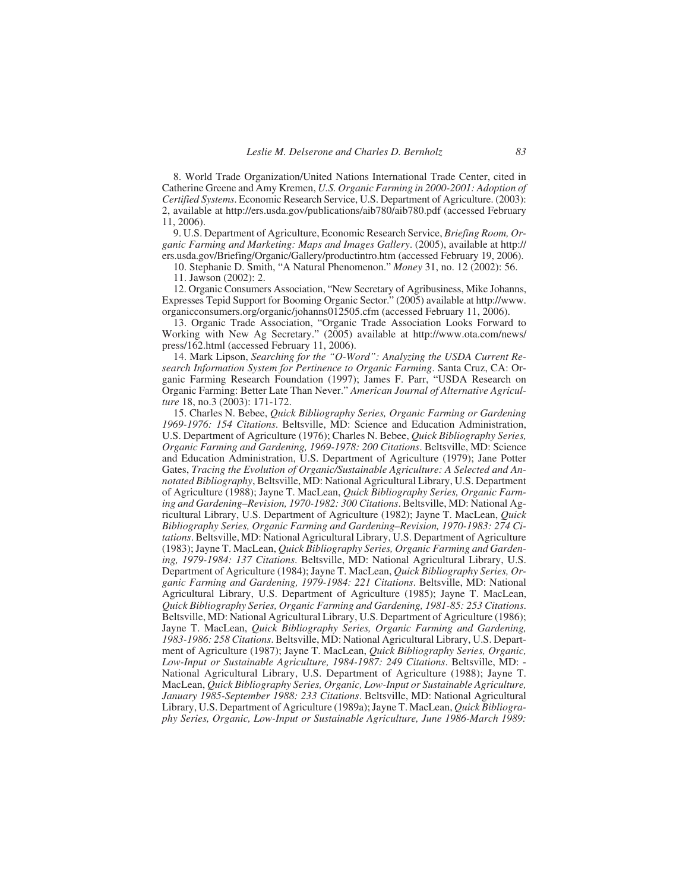8. World Trade Organization/United Nations International Trade Center, cited in Catherine Greene and Amy Kremen, *U.S. Organic Farming in 2000-2001: Adoption of Certified Systems*. Economic Research Service, U.S. Department of Agriculture. (2003): 2, available at [http://ers.usda.gov/publications/aib780/aib780.pdf \(a](http://ers.usda.gov/publications/aib780/aib780.pdf)ccessed February 11, 2006).

9. U.S. Department of Agriculture, Economic Research Service, *Briefing Room, Organic Farming and Marketing: Maps and Images Gallery*. (2005), available at [http://](http://ers.usda.gov/Briefing/Organic/Gallery/productintro.htm) [ers.usda.gov/Briefing/Organic/Gallery/productintro.htm \(a](http://ers.usda.gov/Briefing/Organic/Gallery/productintro.htm)ccessed February 19, 2006).

10. Stephanie D. Smith, "A Natural Phenomenon." *Money* 31, no. 12 (2002): 56.

11. Jawson (2002): 2.

12. Organic Consumers Association, "New Secretary of Agribusiness, Mike Johanns, Expresses Tepid Support for Booming Organic Sector." (2005) available at [http://www.](http://www) organicconsumers.org/organic/johanns012505.cfm (accessed February 11, 2006).

13. Organic Trade Association, "Organic Trade Association Looks Forward to Working with New Ag Secretary." (2005) available at [http://www.ota.com/news/](http://www.ota.com/news) press/162.html (accessed February 11, 2006).

14. Mark Lipson, *Searching for the "O-Word": Analyzing the USDA Current Research Information System for Pertinence to Organic Farming*. Santa Cruz, CA: Organic Farming Research Foundation (1997); James F. Parr, "USDA Research on Organic Farming: Better Late Than Never." *American Journal of Alternative Agriculture* 18, no.3 (2003): 171-172.

15. Charles N. Bebee, *Quick Bibliography Series, Organic Farming or Gardening 1969-1976: 154 Citations*. Beltsville, MD: Science and Education Administration, U.S. Department of Agriculture (1976); Charles N. Bebee, *Quick Bibliography Series, Organic Farming and Gardening, 1969-1978: 200 Citations*. Beltsville, MD: Science and Education Administration, U.S. Department of Agriculture (1979); Jane Potter Gates, *Tracing the Evolution of Organic/Sustainable Agriculture: A Selected and Annotated Bibliography*, Beltsville, MD: National Agricultural Library, U.S. Department of Agriculture (1988); Jayne T. MacLean, *Quick Bibliography Series, Organic Farming and Gardening–Revision, 1970-1982: 300 Citations*. Beltsville, MD: National Agricultural Library, U.S. Department of Agriculture (1982); Jayne T. MacLean, *Quick Bibliography Series, Organic Farming and Gardening–Revision, 1970-1983: 274 Citations*. Beltsville, MD: National Agricultural Library, U.S. Department of Agriculture (1983); Jayne T. MacLean, *Quick Bibliography Series, Organic Farming and Gardening, 1979-1984: 137 Citations*. Beltsville, MD: National Agricultural Library, U.S. Department of Agriculture (1984); Jayne T. MacLean, *Quick Bibliography Series, Organic Farming and Gardening, 1979-1984: 221 Citations*. Beltsville, MD: National Agricultural Library, U.S. Department of Agriculture (1985); Jayne T. MacLean, *Quick Bibliography Series, Organic Farming and Gardening, 1981-85: 253 Citations*. Beltsville, MD: National Agricultural Library, U.S. Department of Agriculture (1986); Jayne T. MacLean, *Quick Bibliography Series, Organic Farming and Gardening, 1983-1986: 258 Citations*. Beltsville, MD: National Agricultural Library, U.S. Department of Agriculture (1987); Jayne T. MacLean, *Quick Bibliography Series, Organic, Low-Input or Sustainable Agriculture, 1984-1987: 249 Citations*. Beltsville, MD: - National Agricultural Library, U.S. Department of Agriculture (1988); Jayne T. MacLean, *Quick Bibliography Series, Organic, Low-Input or Sustainable Agriculture, January 1985-September 1988: 233 Citations*. Beltsville, MD: National Agricultural Library, U.S. Department of Agriculture (1989a); Jayne T. MacLean, *Quick Bibliography Series, Organic, Low-Input or Sustainable Agriculture, June 1986-March 1989:*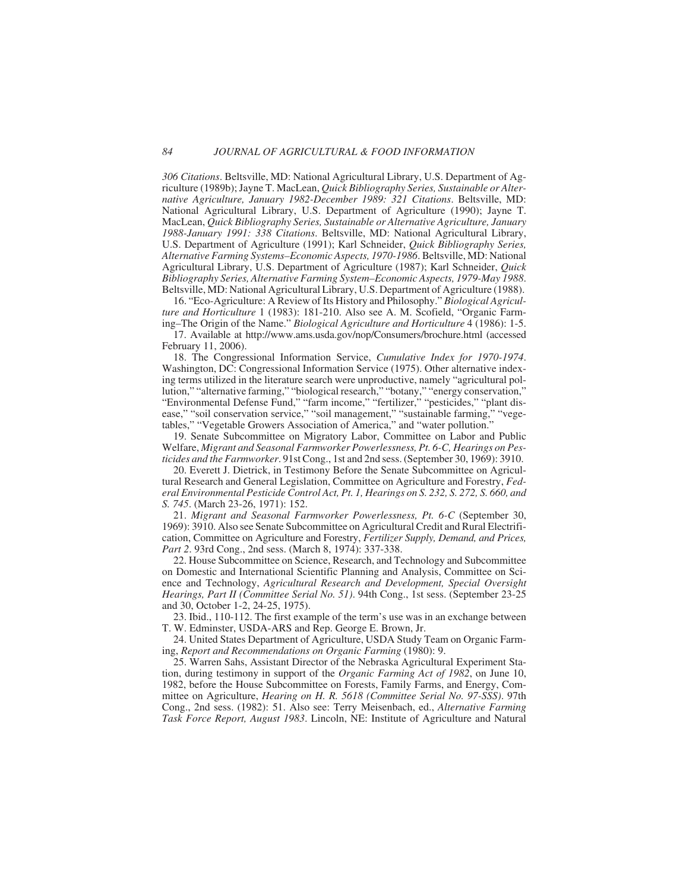*306 Citations*. Beltsville, MD: National Agricultural Library, U.S. Department of Agriculture (1989b); Jayne T. MacLean, *Quick Bibliography Series, Sustainable or Alternative Agriculture, January 1982-December 1989: 321 Citations*. Beltsville, MD: National Agricultural Library, U.S. Department of Agriculture (1990); Jayne T. MacLean, *Quick Bibliography Series, Sustainable or Alternative Agriculture, January 1988-January 1991: 338 Citations*. Beltsville, MD: National Agricultural Library, U.S. Department of Agriculture (1991); Karl Schneider, *Quick Bibliography Series, Alternative Farming Systems–Economic Aspects, 1970-1986*. Beltsville, MD: National Agricultural Library, U.S. Department of Agriculture (1987); Karl Schneider, *Quick Bibliography Series, Alternative Farming System–Economic Aspects, 1979-May 1988*. Beltsville, MD: National Agricultural Library, U.S. Department of Agriculture (1988).

16. "Eco-Agriculture: A Review of Its History and Philosophy." *Biological Agriculture and Horticulture* 1 (1983): 181-210. Also see A. M. Scofield, "Organic Farming–The Origin of the Name." *Biological Agriculture and Horticulture* 4 (1986): 1-5.

17. Available at [http://www.ams.usda.gov/nop/Consumers/brochure.html \(a](http://www.ams.usda.gov/nop/Consumers/brochure.html)ccessed February 11, 2006).

18. The Congressional Information Service, *Cumulative Index for 1970-1974*. Washington, DC: Congressional Information Service (1975). Other alternative indexing terms utilized in the literature search were unproductive, namely "agricultural pollution," "alternative farming," "biological research," "botany," "energy conservation," "Environmental Defense Fund," "farm income," "fertilizer," "pesticides," "plant disease," "soil conservation service," "soil management," "sustainable farming," "vegetables," "Vegetable Growers Association of America," and "water pollution."

19. Senate Subcommittee on Migratory Labor, Committee on Labor and Public Welfare, *Migrant and Seasonal Farmworker Powerlessness, Pt. 6-C, Hearings on Pesticides and the Farmworker*. 91st Cong., 1st and 2nd sess. (September 30, 1969): 3910.

20. Everett J. Dietrick, in Testimony Before the Senate Subcommittee on Agricultural Research and General Legislation, Committee on Agriculture and Forestry, *Federal Environmental Pesticide Control Act, Pt. 1, Hearings on S. 232, S. 272, S. 660, and S. 745*. (March 23-26, 1971): 152.

21. *Migrant and Seasonal Farmworker Powerlessness, Pt. 6-C* (September 30, 1969): 3910. Also see Senate Subcommittee on Agricultural Credit and Rural Electrification, Committee on Agriculture and Forestry, *Fertilizer Supply, Demand, and Prices, Part 2*. 93rd Cong., 2nd sess. (March 8, 1974): 337-338.

22. House Subcommittee on Science, Research, and Technology and Subcommittee on Domestic and International Scientific Planning and Analysis, Committee on Science and Technology, *Agricultural Research and Development, Special Oversight Hearings, Part II (Committee Serial No. 51)*. 94th Cong., 1st sess. (September 23-25 and 30, October 1-2, 24-25, 1975).

23. Ibid., 110-112. The first example of the term's use was in an exchange between T. W. Edminster, USDA-ARS and Rep. George E. Brown, Jr.

24. United States Department of Agriculture, USDA Study Team on Organic Farming, *Report and Recommendations on Organic Farming* (1980): 9.

25. Warren Sahs, Assistant Director of the Nebraska Agricultural Experiment Station, during testimony in support of the *Organic Farming Act of 1982*, on June 10, 1982, before the House Subcommittee on Forests, Family Farms, and Energy, Committee on Agriculture, *Hearing on H. R. 5618 (Committee Serial No. 97-SSS)*. 97th Cong., 2nd sess. (1982): 51. Also see: Terry Meisenbach, ed., *Alternative Farming Task Force Report, August 1983*. Lincoln, NE: Institute of Agriculture and Natural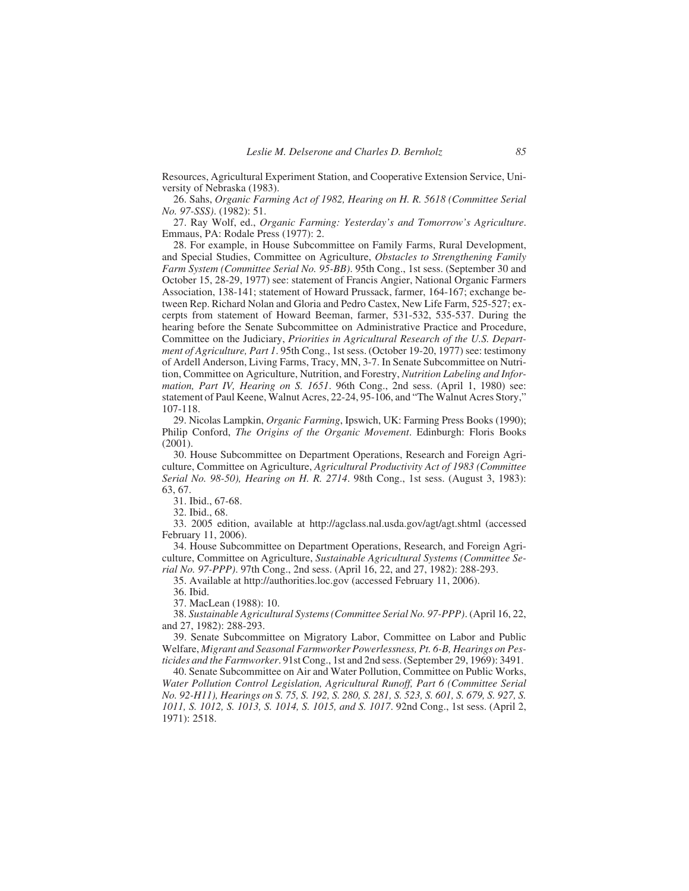Resources, Agricultural Experiment Station, and Cooperative Extension Service, University of Nebraska (1983).

26. Sahs, *Organic Farming Act of 1982, Hearing on H. R. 5618 (Committee Serial No. 97-SSS)*. (1982): 51.

27. Ray Wolf, ed., *Organic Farming: Yesterday's and Tomorrow's Agriculture*. Emmaus, PA: Rodale Press (1977): 2.

28. For example, in House Subcommittee on Family Farms, Rural Development, and Special Studies, Committee on Agriculture, *Obstacles to Strengthening Family Farm System (Committee Serial No. 95-BB)*. 95th Cong., 1st sess. (September 30 and October 15, 28-29, 1977) see: statement of Francis Angier, National Organic Farmers Association, 138-141; statement of Howard Prussack, farmer, 164-167; exchange between Rep. Richard Nolan and Gloria and Pedro Castex, New Life Farm, 525-527; excerpts from statement of Howard Beeman, farmer, 531-532, 535-537. During the hearing before the Senate Subcommittee on Administrative Practice and Procedure, Committee on the Judiciary, *Priorities in Agricultural Research of the U.S. Department of Agriculture, Part 1*. 95th Cong., 1st sess. (October 19-20, 1977) see: testimony of Ardell Anderson, Living Farms, Tracy, MN, 3-7. In Senate Subcommittee on Nutrition, Committee on Agriculture, Nutrition, and Forestry, *Nutrition Labeling and Information, Part IV, Hearing on S. 1651*. 96th Cong., 2nd sess. (April 1, 1980) see: statement of Paul Keene, Walnut Acres, 22-24, 95-106, and "The Walnut Acres Story," 107-118.

29. Nicolas Lampkin, *Organic Farming*, Ipswich, UK: Farming Press Books (1990); Philip Conford, *The Origins of the Organic Movement*. Edinburgh: Floris Books (2001).

30. House Subcommittee on Department Operations, Research and Foreign Agriculture, Committee on Agriculture, *Agricultural Productivity Act of 1983 (Committee Serial No. 98-50), Hearing on H. R. 2714*. 98th Cong., 1st sess. (August 3, 1983): 63, 67.

31. Ibid., 67-68.

32. Ibid., 68.

33. 2005 edition, available at [http://agclass.nal.usda.gov/agt/agt.shtml \(a](http://agclass.nal.usda.gov/agt/agt.shtml)ccessed February 11, 2006).

34. House Subcommittee on Department Operations, Research, and Foreign Agriculture, Committee on Agriculture, *Sustainable Agricultural Systems (Committee Serial No. 97-PPP)*. 97th Cong., 2nd sess. (April 16, 22, and 27, 1982): 288-293.

35. Available at [http://authorities.loc.gov \(ac](http://authorities.loc.gov)cessed February 11, 2006).

36. Ibid.

37. MacLean (1988): 10.

38. *Sustainable Agricultural Systems (Committee Serial No. 97-PPP)*. (April 16, 22, and 27, 1982): 288-293.

39. Senate Subcommittee on Migratory Labor, Committee on Labor and Public Welfare, *Migrant and Seasonal Farmworker Powerlessness, Pt. 6-B, Hearings on Pesticides and the Farmworker*. 91st Cong., 1st and 2nd sess. (September 29, 1969): 3491.

40. Senate Subcommittee on Air and Water Pollution, Committee on Public Works, *Water Pollution Control Legislation, Agricultural Runoff, Part 6 (Committee Serial No. 92-H11), Hearings on S. 75, S. 192, S. 280, S. 281, S. 523, S. 601, S. 679, S. 927, S. 1011, S. 1012, S. 1013, S. 1014, S. 1015, and S. 1017*. 92nd Cong., 1st sess. (April 2, 1971): 2518.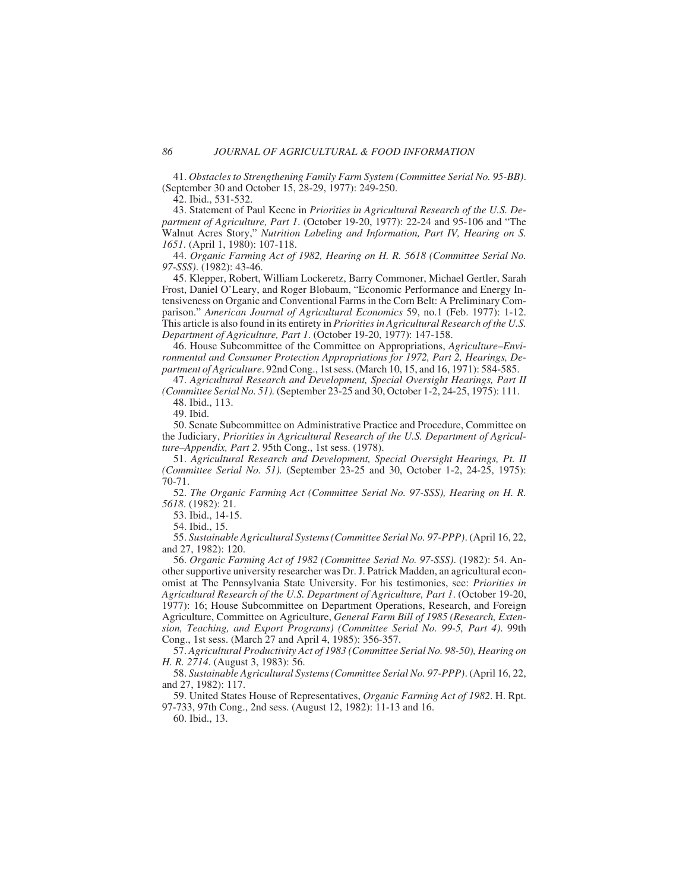41. *Obstacles to Strengthening Family Farm System (Committee Serial No. 95-BB)*. (September 30 and October 15, 28-29, 1977): 249-250.

42. Ibid., 531-532.

43. Statement of Paul Keene in *Priorities in Agricultural Research of the U.S. Department of Agriculture, Part 1*. (October 19-20, 1977): 22-24 and 95-106 and "The Walnut Acres Story," *Nutrition Labeling and Information, Part IV, Hearing on S. 1651*. (April 1, 1980): 107-118.

44. *Organic Farming Act of 1982, Hearing on H. R. 5618 (Committee Serial No. 97-SSS)*. (1982): 43-46.

45. Klepper, Robert, William Lockeretz, Barry Commoner, Michael Gertler, Sarah Frost, Daniel O'Leary, and Roger Blobaum, "Economic Performance and Energy Intensiveness on Organic and Conventional Farms in the Corn Belt: A Preliminary Comparison." *American Journal of Agricultural Economics* 59, no.1 (Feb. 1977): 1-12. This article is also found in its entirety in *Priorities in Agricultural Research of the U.S. Department of Agriculture, Part 1*. (October 19-20, 1977): 147-158.

46. House Subcommittee of the Committee on Appropriations, *Agriculture–Environmental and Consumer Protection Appropriations for 1972, Part 2, Hearings, Department of Agriculture*. 92nd Cong., 1st sess. (March 10, 15, and 16, 1971): 584-585.

47. *Agricultural Research and Development, Special Oversight Hearings, Part II (Committee Serial No. 51).* (September 23-25 and 30, October 1-2, 24-25, 1975): 111.

48. Ibid., 113.

49. Ibid.

50. Senate Subcommittee on Administrative Practice and Procedure, Committee on the Judiciary, *Priorities in Agricultural Research of the U.S. Department of Agriculture–Appendix, Part 2*. 95th Cong., 1st sess. (1978).

51. *Agricultural Research and Development, Special Oversight Hearings, Pt. II (Committee Serial No. 51).* (September 23-25 and 30, October 1-2, 24-25, 1975): 70-71.

52. *The Organic Farming Act (Committee Serial No. 97-SSS), Hearing on H. R. 5618*. (1982): 21.

53. Ibid., 14-15.

54. Ibid., 15.

55. *Sustainable Agricultural Systems (Committee Serial No. 97-PPP)*. (April 16, 22, and 27, 1982): 120.

56. *Organic Farming Act of 1982 (Committee Serial No. 97-SSS)*. (1982): 54. Another supportive university researcher was Dr. J. Patrick Madden, an agricultural economist at The Pennsylvania State University. For his testimonies, see: *Priorities in Agricultural Research of the U.S. Department of Agriculture, Part 1*. (October 19-20, 1977): 16; House Subcommittee on Department Operations, Research, and Foreign Agriculture, Committee on Agriculture, *General Farm Bill of 1985 (Research, Extension, Teaching, and Export Programs) (Committee Serial No. 99-5, Part 4)*. 99th Cong., 1st sess. (March 27 and April 4, 1985): 356-357.

57. *Agricultural Productivity Act of 1983 (Committee Serial No. 98-50), Hearing on H. R. 2714*. (August 3, 1983): 56.

58. *Sustainable Agricultural Systems (Committee Serial No. 97-PPP)*. (April 16, 22, and 27, 1982): 117.

59. United States House of Representatives, *Organic Farming Act of 1982*. H. Rpt. 97-733, 97th Cong., 2nd sess. (August 12, 1982): 11-13 and 16.

60. Ibid., 13.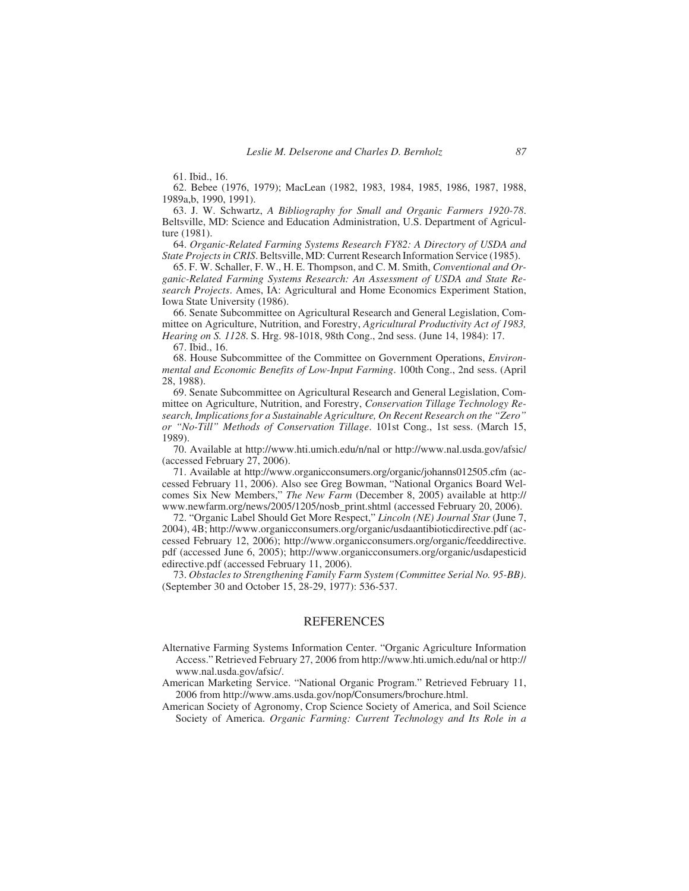61. Ibid., 16.

62. Bebee (1976, 1979); MacLean (1982, 1983, 1984, 1985, 1986, 1987, 1988, 1989a,b, 1990, 1991).

63. J. W. Schwartz, *A Bibliography for Small and Organic Farmers 1920-78*. Beltsville, MD: Science and Education Administration, U.S. Department of Agriculture (1981).

64. *Organic-Related Farming Systems Research FY82: A Directory of USDA and State Projects in CRIS*. Beltsville, MD: Current Research Information Service (1985).

65. F. W. Schaller, F. W., H. E. Thompson, and C. M. Smith, *Conventional and Organic-Related Farming Systems Research: An Assessment of USDA and State Research Projects*. Ames, IA: Agricultural and Home Economics Experiment Station, Iowa State University (1986).

66. Senate Subcommittee on Agricultural Research and General Legislation, Committee on Agriculture, Nutrition, and Forestry, *Agricultural Productivity Act of 1983, Hearing on S. 1128*. S. Hrg. 98-1018, 98th Cong., 2nd sess. (June 14, 1984): 17.

67. Ibid., 16.

68. House Subcommittee of the Committee on Government Operations, *Environmental and Economic Benefits of Low-Input Farming*. 100th Cong., 2nd sess. (April 28, 1988).

69. Senate Subcommittee on Agricultural Research and General Legislation, Committee on Agriculture, Nutrition, and Forestry, *Conservation Tillage Technology Research, Implications for a Sustainable Agriculture, On Recent Research on the "Zero" or "No-Till" Methods of Conservation Tillage*. 101st Cong., 1st sess. (March 15, 1989).

70. Available at [http://www.hti.umich.edu/n/nal or](http://www.hti.umich.edu/n/nal) [http://www.nal.usda.gov/afsic/](http://www.nal.usda.gov/afsic) (accessed February 27, 2006).

71. Available at [http://www.organicconsumers.org/organic/johanns012505.cfm \(a](http://www.organicconsumers.org/organic/johanns012505.cfm)ccessed February 11, 2006). Also see Greg Bowman, "National Organics Board Welcomes Six New Members," *The New Farm* (December 8, 2005) available at [http://](http://www.newfarm.org/news/2005/1205/nosb_print.shtml) [www.newfarm.org/news/2005/1205/nosb\\_print.shtml \(a](http://www.newfarm.org/news/2005/1205/nosb_print.shtml)ccessed February 20, 2006).

72. "Organic Label Should Get More Respect," *Lincoln (NE) Journal Star* (June 7, 2004), 4B; [http://www.organicconsumers.org/organic/usdaantibioticdirective.pdf \(ac](http://www.organicconsumers.org/organic/usdaantibioticdirective.pdf)cessed February 12, 2006); [http://www.organicconsumers.org/organic/feeddirective.](http://www.organicconsumers.org/organic/feeddirective) pdf (accessed June 6, 2005);<http://www.organicconsumers.org/organic/usdapesticid> edirective.pdf (accessed February 11, 2006).

73. *Obstacles to Strengthening Family Farm System (Committee Serial No. 95-BB)*. (September 30 and October 15, 28-29, 1977): 536-537.

#### REFERENCES

- Alternative Farming Systems Information Center. "Organic Agriculture Information Access." Retrieved February 27, 2006 from [http://www.hti.umich.edu/nal or](http://www.hti.umich.edu/nal) [http://](http://www.nal.usda.gov/afsic) [www.nal.usda.gov/afsic/.](http://www.nal.usda.gov/afsic)
- American Marketing Service. "National Organic Program." Retrieved February 11, 2006 from [http://www.ams.usda.gov/nop/Consumers/brochure.html.](http://www.ams.usda.gov/nop/Consumers/brochure.html)

American Society of Agronomy, Crop Science Society of America, and Soil Science Society of America. *Organic Farming: Current Technology and Its Role in a*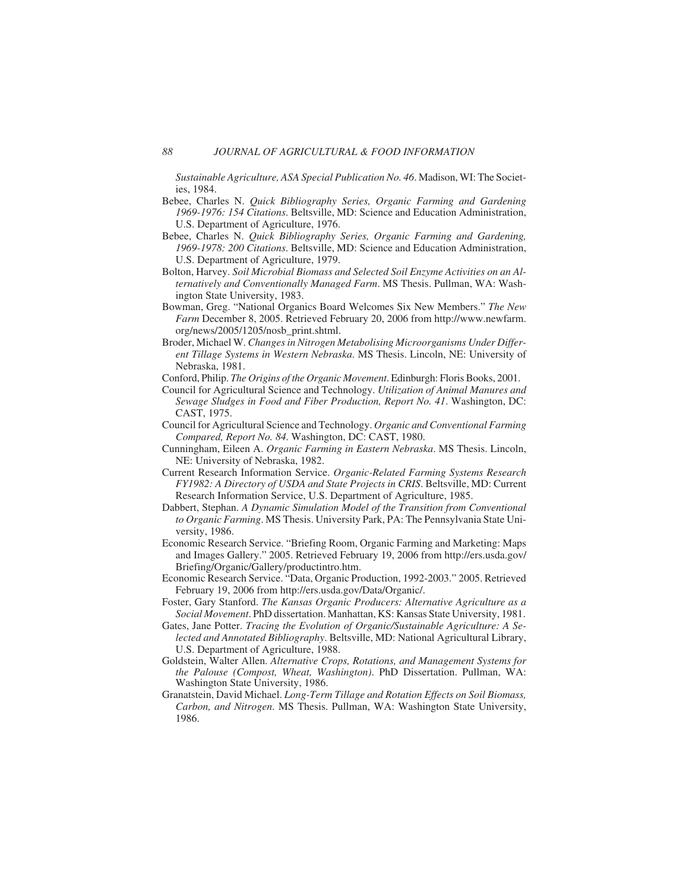*Sustainable Agriculture, ASA Special Publication No. 46*. Madison, WI: The Societies, 1984.

- Bebee, Charles N. *Quick Bibliography Series, Organic Farming and Gardening 1969-1976: 154 Citations*. Beltsville, MD: Science and Education Administration, U.S. Department of Agriculture, 1976.
- Bebee, Charles N. *Quick Bibliography Series, Organic Farming and Gardening, 1969-1978: 200 Citations*. Beltsville, MD: Science and Education Administration, U.S. Department of Agriculture, 1979.
- Bolton, Harvey. *Soil Microbial Biomass and Selected Soil Enzyme Activities on an Alternatively and Conventionally Managed Farm*. MS Thesis. Pullman, WA: Washington State University, 1983.
- Bowman, Greg. "National Organics Board Welcomes Six New Members." *The New Farm* December 8, 2005. Retrieved February 20, 2006 from [http://www.newfarm.](http://www.newfarm) org/news/2005/1205/nosb\_print.shtml.
- Broder, Michael W. *Changes in Nitrogen Metabolising Microorganisms Under Different Tillage Systems in Western Nebraska*. MS Thesis. Lincoln, NE: University of Nebraska, 1981.
- Conford, Philip. *The Origins of the Organic Movement*. Edinburgh: Floris Books, 2001.
- Council for Agricultural Science and Technology. *Utilization of Animal Manures and Sewage Sludges in Food and Fiber Production, Report No. 41*. Washington, DC: CAST, 1975.
- Council for Agricultural Science and Technology. *Organic and Conventional Farming Compared, Report No. 84*. Washington, DC: CAST, 1980.
- Cunningham, Eileen A. *Organic Farming in Eastern Nebraska*. MS Thesis. Lincoln, NE: University of Nebraska, 1982.
- Current Research Information Service. *Organic-Related Farming Systems Research FY1982: A Directory of USDA and State Projects in CRIS*. Beltsville, MD: Current Research Information Service, U.S. Department of Agriculture, 1985.
- Dabbert, Stephan. *A Dynamic Simulation Model of the Transition from Conventional to Organic Farming*. MS Thesis. University Park, PA: The Pennsylvania State University, 1986.
- Economic Research Service. "Briefing Room, Organic Farming and Marketing: Maps and Images Gallery." 2005. Retrieved February 19, 2006 from [http://ers.usda.gov/](http://ers.usda.gov) Briefing/Organic/Gallery/productintro.htm.
- Economic Research Service. "Data, Organic Production, 1992-2003." 2005. Retrieved February 19, 2006 from [http://ers.usda.gov/Data/Organic/.](http://ers.usda.gov/Data/Organic)
- Foster, Gary Stanford. *The Kansas Organic Producers: Alternative Agriculture as a Social Movement*. PhD dissertation. Manhattan, KS: Kansas State University, 1981.
- Gates, Jane Potter. *Tracing the Evolution of Organic/Sustainable Agriculture: A Selected and Annotated Bibliography*. Beltsville, MD: National Agricultural Library, U.S. Department of Agriculture, 1988.
- Goldstein, Walter Allen. *Alternative Crops, Rotations, and Management Systems for the Palouse (Compost, Wheat, Washington)*. PhD Dissertation. Pullman, WA: Washington State University, 1986.
- Granatstein, David Michael. *Long-Term Tillage and Rotation Effects on Soil Biomass, Carbon, and Nitrogen*. MS Thesis. Pullman, WA: Washington State University, 1986.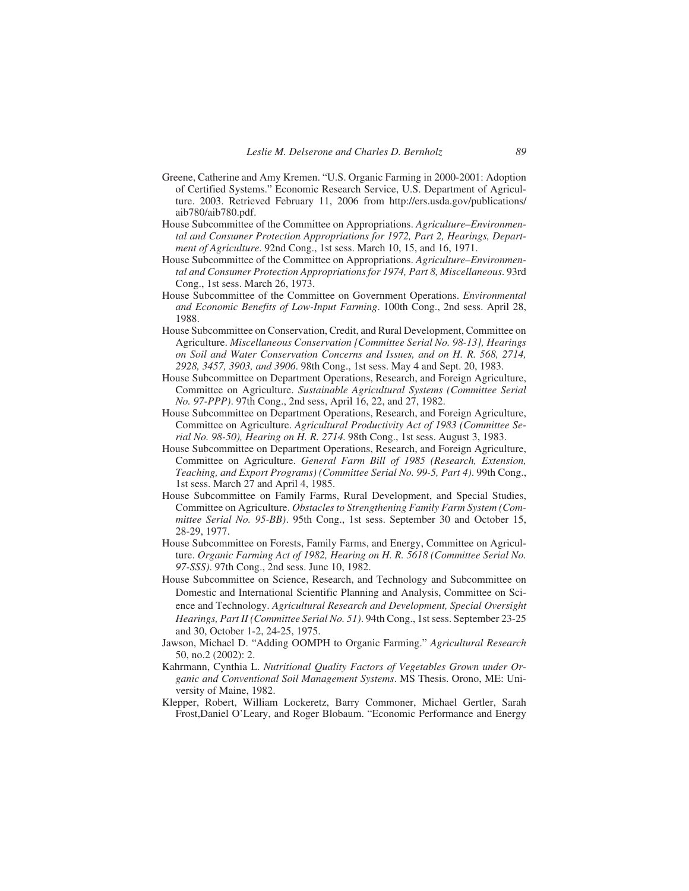- Greene, Catherine and Amy Kremen. "U.S. Organic Farming in 2000-2001: Adoption of Certified Systems." Economic Research Service, U.S. Department of Agriculture. 2003. Retrieved February 11, 2006 from [http://ers.usda.gov/publications/](http://ers.usda.gov/publications) aib780/aib780.pdf.
- House Subcommittee of the Committee on Appropriations. *Agriculture–Environmental and Consumer Protection Appropriations for 1972, Part 2, Hearings, Department of Agriculture*. 92nd Cong., 1st sess. March 10, 15, and 16, 1971.
- House Subcommittee of the Committee on Appropriations. *Agriculture–Environmental and Consumer Protection Appropriations for 1974, Part 8, Miscellaneous*. 93rd Cong., 1st sess. March 26, 1973.
- House Subcommittee of the Committee on Government Operations. *Environmental and Economic Benefits of Low-Input Farming*. 100th Cong., 2nd sess. April 28, 1988.
- House Subcommittee on Conservation, Credit, and Rural Development, Committee on Agriculture. *Miscellaneous Conservation [Committee Serial No. 98-13], Hearings on Soil and Water Conservation Concerns and Issues, and on H. R. 568, 2714, 2928, 3457, 3903, and 3906*. 98th Cong., 1st sess. May 4 and Sept. 20, 1983.
- House Subcommittee on Department Operations, Research, and Foreign Agriculture, Committee on Agriculture. *Sustainable Agricultural Systems (Committee Serial No. 97-PPP)*. 97th Cong., 2nd sess, April 16, 22, and 27, 1982.
- House Subcommittee on Department Operations, Research, and Foreign Agriculture, Committee on Agriculture. *Agricultural Productivity Act of 1983 (Committee Serial No. 98-50), Hearing on H. R. 2714*. 98th Cong., 1st sess. August 3, 1983.
- House Subcommittee on Department Operations, Research, and Foreign Agriculture, Committee on Agriculture. *General Farm Bill of 1985 (Research, Extension, Teaching, and Export Programs) (Committee Serial No. 99-5, Part 4)*. 99th Cong., 1st sess. March 27 and April 4, 1985.
- House Subcommittee on Family Farms, Rural Development, and Special Studies, Committee on Agriculture. *Obstacles to Strengthening Family Farm System (Committee Serial No. 95-BB)*. 95th Cong., 1st sess. September 30 and October 15, 28-29, 1977.
- House Subcommittee on Forests, Family Farms, and Energy, Committee on Agriculture. *Organic Farming Act of 1982, Hearing on H. R. 5618 (Committee Serial No. 97-SSS)*. 97th Cong., 2nd sess. June 10, 1982.
- House Subcommittee on Science, Research, and Technology and Subcommittee on Domestic and International Scientific Planning and Analysis, Committee on Science and Technology. *Agricultural Research and Development, Special Oversight Hearings, Part II (Committee Serial No. 51)*. 94th Cong., 1st sess. September 23-25 and 30, October 1-2, 24-25, 1975.
- Jawson, Michael D. "Adding OOMPH to Organic Farming." *Agricultural Research* 50, no.2 (2002): 2.
- Kahrmann, Cynthia L. *Nutritional Quality Factors of Vegetables Grown under Organic and Conventional Soil Management Systems*. MS Thesis. Orono, ME: University of Maine, 1982.
- Klepper, Robert, William Lockeretz, Barry Commoner, Michael Gertler, Sarah Frost,Daniel O'Leary, and Roger Blobaum. "Economic Performance and Energy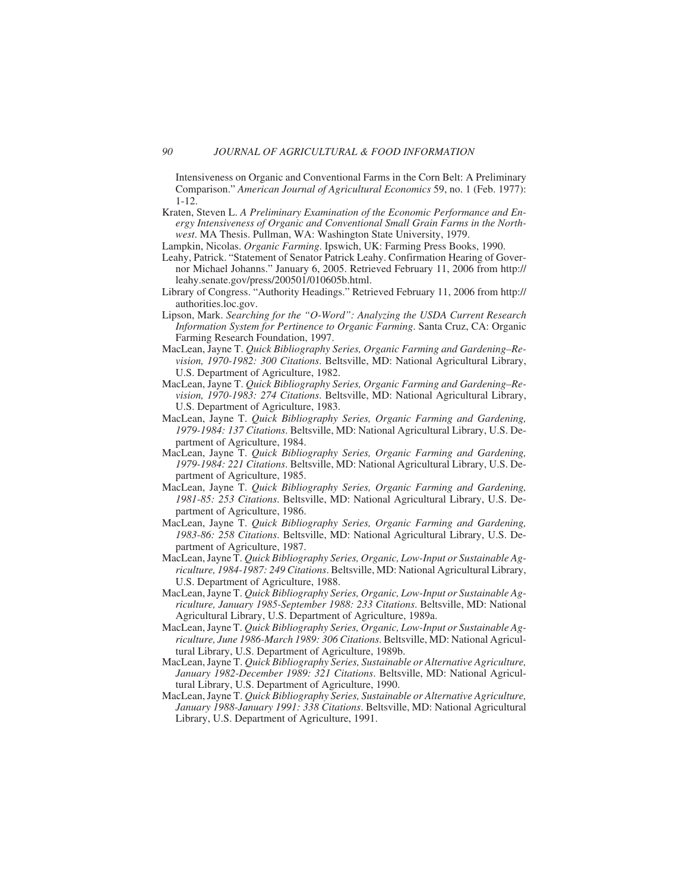Intensiveness on Organic and Conventional Farms in the Corn Belt: A Preliminary Comparison." *American Journal of Agricultural Economics* 59, no. 1 (Feb. 1977): 1-12.

- Kraten, Steven L. *A Preliminary Examination of the Economic Performance and Energy Intensiveness of Organic and Conventional Small Grain Farms in the Northwest*. MA Thesis. Pullman, WA: Washington State University, 1979.
- Lampkin, Nicolas. *Organic Farming*. Ipswich, UK: Farming Press Books, 1990.
- Leahy, Patrick. "Statement of Senator Patrick Leahy. Confirmation Hearing of Governor Michael Johanns." January 6, 2005. Retrieved February 11, 2006 from [http://](http://leahy.senate.gov/press/200501/010605b.html) [leahy.senate.gov/press/200501/010605b.html.](http://leahy.senate.gov/press/200501/010605b.html)
- Library of Congress. "Authority Headings." Retrieved February 11, 2006 from [http://](http://authorities.loc.gov) [authorities.loc.gov.](http://authorities.loc.gov)
- Lipson, Mark. *Searching for the "O-Word": Analyzing the USDA Current Research Information System for Pertinence to Organic Farming*. Santa Cruz, CA: Organic Farming Research Foundation, 1997.
- MacLean, Jayne T. *Quick Bibliography Series, Organic Farming and Gardening–Revision, 1970-1982: 300 Citations*. Beltsville, MD: National Agricultural Library, U.S. Department of Agriculture, 1982.
- MacLean, Jayne T. *Quick Bibliography Series, Organic Farming and Gardening–Revision, 1970-1983: 274 Citations*. Beltsville, MD: National Agricultural Library, U.S. Department of Agriculture, 1983.
- MacLean, Jayne T. *Quick Bibliography Series, Organic Farming and Gardening, 1979-1984: 137 Citations*. Beltsville, MD: National Agricultural Library, U.S. Department of Agriculture, 1984.
- MacLean, Jayne T. *Quick Bibliography Series, Organic Farming and Gardening, 1979-1984: 221 Citations*. Beltsville, MD: National Agricultural Library, U.S. Department of Agriculture, 1985.
- MacLean, Jayne T. *Quick Bibliography Series, Organic Farming and Gardening, 1981-85: 253 Citations*. Beltsville, MD: National Agricultural Library, U.S. Department of Agriculture, 1986.
- MacLean, Jayne T. *Quick Bibliography Series, Organic Farming and Gardening, 1983-86: 258 Citations*. Beltsville, MD: National Agricultural Library, U.S. Department of Agriculture, 1987.
- MacLean, Jayne T. *Quick Bibliography Series, Organic, Low-Input or Sustainable Agriculture, 1984-1987: 249 Citations*. Beltsville, MD: National Agricultural Library, U.S. Department of Agriculture, 1988.
- MacLean, Jayne T. *Quick Bibliography Series, Organic, Low-Input or Sustainable Agriculture, January 1985-September 1988: 233 Citations*. Beltsville, MD: National Agricultural Library, U.S. Department of Agriculture, 1989a.
- MacLean, Jayne T. *Quick Bibliography Series, Organic, Low-Input or Sustainable Agriculture, June 1986-March 1989: 306 Citations*. Beltsville, MD: National Agricultural Library, U.S. Department of Agriculture, 1989b.
- MacLean, Jayne T. *Quick Bibliography Series, Sustainable or Alternative Agriculture, January 1982-December 1989: 321 Citations*. Beltsville, MD: National Agricultural Library, U.S. Department of Agriculture, 1990.
- MacLean, Jayne T. *Quick Bibliography Series, Sustainable or Alternative Agriculture, January 1988-January 1991: 338 Citations*. Beltsville, MD: National Agricultural Library, U.S. Department of Agriculture, 1991.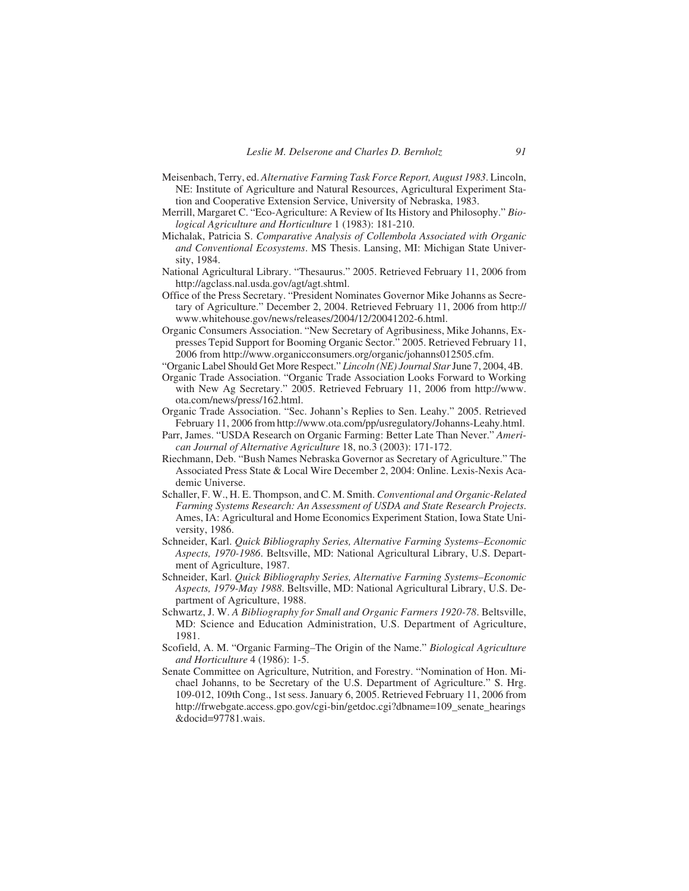- Meisenbach, Terry, ed. *Alternative Farming Task Force Report, August 1983*. Lincoln, NE: Institute of Agriculture and Natural Resources, Agricultural Experiment Station and Cooperative Extension Service, University of Nebraska, 1983.
- Merrill, Margaret C. "Eco-Agriculture: A Review of Its History and Philosophy." *Biological Agriculture and Horticulture* 1 (1983): 181-210.
- Michalak, Patricia S. *Comparative Analysis of Collembola Associated with Organic and Conventional Ecosystems*. MS Thesis. Lansing, MI: Michigan State University, 1984.
- National Agricultural Library. "Thesaurus." 2005. Retrieved February 11, 2006 from [http://agclass.nal.usda.gov/agt/agt.shtml.](http://agclass.nal.usda.gov/agt/agt.shtml)
- Office of the Press Secretary. "President Nominates Governor Mike Johanns as Secretary of Agriculture." December 2, 2004. Retrieved February 11, 2006 from [http://](http://www.whitehouse.gov/news/releases/2004/12/20041202-6.html) [www.whitehouse.gov/news/releases/2004/12/20041202-6.html.](http://www.whitehouse.gov/news/releases/2004/12/20041202-6.html)
- Organic Consumers Association. "New Secretary of Agribusiness, Mike Johanns, Expresses Tepid Support for Booming Organic Sector." 2005. Retrieved February 11, 2006 from [http://www.organicconsumers.org/organic/johanns012505.cfm.](http://www.organicconsumers.org/organic/johanns012505.cfm)
- "Organic Label Should Get More Respect." *Lincoln (NE) Journal Star*June 7, 2004, 4B.
- Organic Trade Association. "Organic Trade Association Looks Forward to Working with New Ag Secretary." 2005. Retrieved February 11, 2006 from [http://www.](http://www) ota.com/news/press/162.html.
- Organic Trade Association. "Sec. Johann's Replies to Sen. Leahy." 2005. Retrieved February 11, 2006 from [http://www.ota.com/pp/usregulatory/Johanns-Leahy.html.](http://www.ota.com/pp/usregulatory/Johanns-Leahy.html)
- Parr, James. "USDA Research on Organic Farming: Better Late Than Never." *American Journal of Alternative Agriculture* 18, no.3 (2003): 171-172.
- Riechmann, Deb. "Bush Names Nebraska Governor as Secretary of Agriculture." The Associated Press State & Local Wire December 2, 2004: Online. Lexis-Nexis Academic Universe.
- Schaller, F. W., H. E. Thompson, and C. M. Smith. *Conventional and Organic-Related Farming Systems Research: An Assessment of USDA and State Research Projects*. Ames, IA: Agricultural and Home Economics Experiment Station, Iowa State University, 1986.
- Schneider, Karl. *Quick Bibliography Series, Alternative Farming Systems–Economic Aspects, 1970-1986*. Beltsville, MD: National Agricultural Library, U.S. Department of Agriculture, 1987.
- Schneider, Karl. *Quick Bibliography Series, Alternative Farming Systems–Economic Aspects, 1979-May 1988*. Beltsville, MD: National Agricultural Library, U.S. Department of Agriculture, 1988.
- Schwartz, J. W. *A Bibliography for Small and Organic Farmers 1920-78*. Beltsville, MD: Science and Education Administration, U.S. Department of Agriculture, 1981.
- Scofield, A. M. "Organic Farming–The Origin of the Name." *Biological Agriculture and Horticulture* 4 (1986): 1-5.
- Senate Committee on Agriculture, Nutrition, and Forestry. "Nomination of Hon. Michael Johanns, to be Secretary of the U.S. Department of Agriculture." S. Hrg. 109-012, 109th Cong., 1st sess. January 6, 2005. Retrieved February 11, 2006 from [http://frwebgate.access.gpo.gov/cgi-bin/getdoc.cgi?dbname=109\\_senate\\_hearings](http://frwebgate.access.gpo.gov/cgi-bin/getdoc.cgi?dbname=109_senate_hearings) &docid=97781.wais.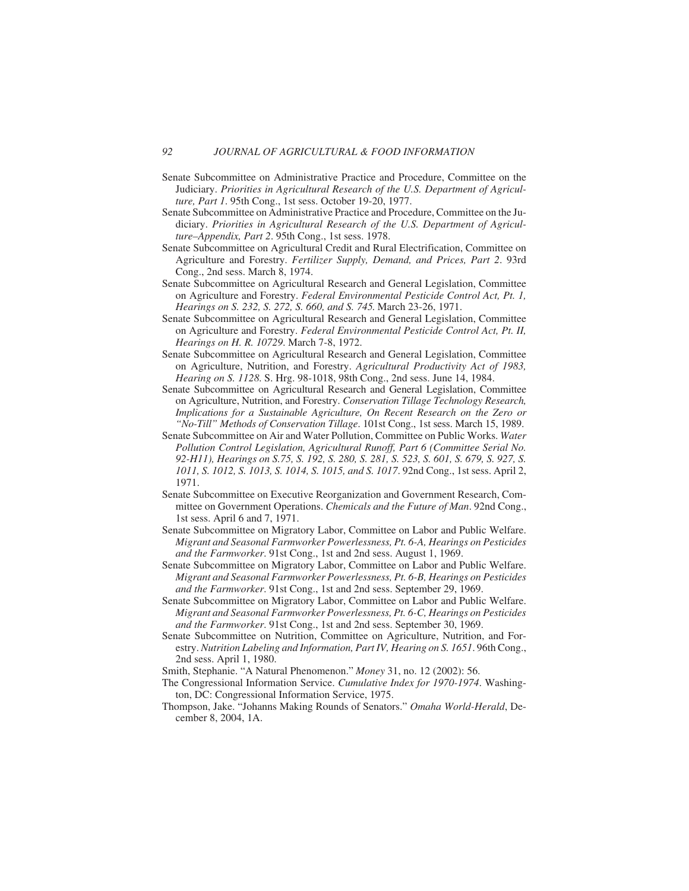- Senate Subcommittee on Administrative Practice and Procedure, Committee on the Judiciary. *Priorities in Agricultural Research of the U.S. Department of Agriculture, Part 1*. 95th Cong., 1st sess. October 19-20, 1977.
- Senate Subcommittee on Administrative Practice and Procedure, Committee on the Judiciary. *Priorities in Agricultural Research of the U.S. Department of Agriculture–Appendix, Part 2*. 95th Cong., 1st sess. 1978.
- Senate Subcommittee on Agricultural Credit and Rural Electrification, Committee on Agriculture and Forestry. *Fertilizer Supply, Demand, and Prices, Part 2*. 93rd Cong., 2nd sess. March 8, 1974.
- Senate Subcommittee on Agricultural Research and General Legislation, Committee on Agriculture and Forestry. *Federal Environmental Pesticide Control Act, Pt. 1, Hearings on S. 232, S. 272, S. 660, and S. 745*. March 23-26, 1971.
- Senate Subcommittee on Agricultural Research and General Legislation, Committee on Agriculture and Forestry. *Federal Environmental Pesticide Control Act, Pt. II, Hearings on H. R. 10729*. March 7-8, 1972.
- Senate Subcommittee on Agricultural Research and General Legislation, Committee on Agriculture, Nutrition, and Forestry. *Agricultural Productivity Act of 1983, Hearing on S. 1128*. S. Hrg. 98-1018, 98th Cong., 2nd sess. June 14, 1984.
- Senate Subcommittee on Agricultural Research and General Legislation, Committee on Agriculture, Nutrition, and Forestry. *Conservation Tillage Technology Research, Implications for a Sustainable Agriculture, On Recent Research on the Zero or "No-Till" Methods of Conservation Tillage*. 101st Cong., 1st sess. March 15, 1989.
- Senate Subcommittee on Air and Water Pollution, Committee on Public Works. *Water Pollution Control Legislation, Agricultural Runoff, Part 6 (Committee Serial No. 92-H11), Hearings on S.75, S. 192, S. 280, S. 281, S. 523, S. 601, S. 679, S. 927, S. 1011, S. 1012, S. 1013, S. 1014, S. 1015, and S. 1017*. 92nd Cong., 1st sess. April 2, 1971.
- Senate Subcommittee on Executive Reorganization and Government Research, Committee on Government Operations. *Chemicals and the Future of Man*. 92nd Cong., 1st sess. April 6 and 7, 1971.
- Senate Subcommittee on Migratory Labor, Committee on Labor and Public Welfare. *Migrant and Seasonal Farmworker Powerlessness, Pt. 6-A, Hearings on Pesticides and the Farmworker*. 91st Cong., 1st and 2nd sess. August 1, 1969.
- Senate Subcommittee on Migratory Labor, Committee on Labor and Public Welfare. *Migrant and Seasonal Farmworker Powerlessness, Pt. 6-B, Hearings on Pesticides and the Farmworker*. 91st Cong., 1st and 2nd sess. September 29, 1969.
- Senate Subcommittee on Migratory Labor, Committee on Labor and Public Welfare. *Migrant and Seasonal Farmworker Powerlessness, Pt. 6-C, Hearings on Pesticides and the Farmworker*. 91st Cong., 1st and 2nd sess. September 30, 1969.
- Senate Subcommittee on Nutrition, Committee on Agriculture, Nutrition, and Forestry. *Nutrition Labeling and Information, Part IV, Hearing on S. 1651*. 96th Cong., 2nd sess. April 1, 1980.
- Smith, Stephanie. "A Natural Phenomenon." *Money* 31, no. 12 (2002): 56.
- The Congressional Information Service. *Cumulative Index for 1970-1974*. Washington, DC: Congressional Information Service, 1975.
- Thompson, Jake. "Johanns Making Rounds of Senators." *Omaha World-Herald*, December 8, 2004, 1A.